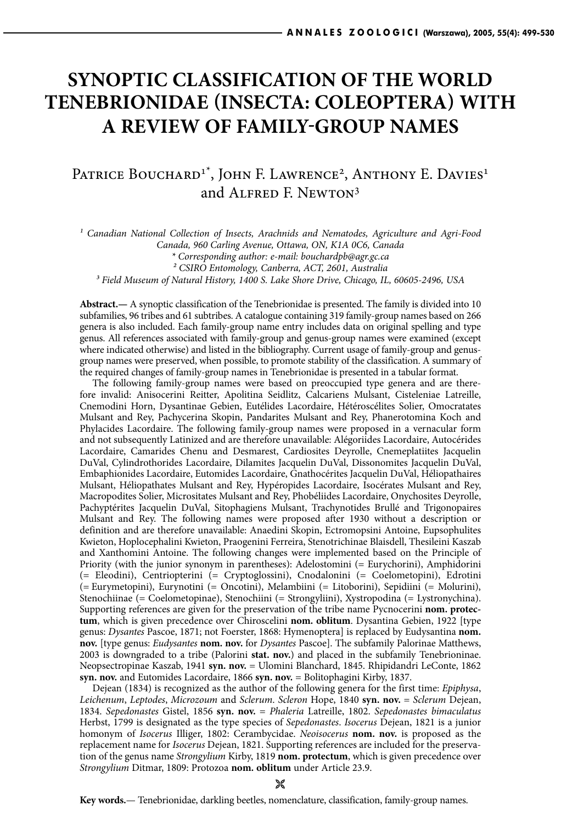# **SYNOPTIC CLASSIFICATION OF THE WORLD TENEBRIONIDAE (INSECTA: COLEOPTERA) WITH A REVIEW OF FAMILY-GROUP NAMES**

# PATRICE BOUCHARD<sup>1\*</sup>, JOHN F. LAWRENCE<sup>2</sup>, ANTHONY E. DAVIES<sup>1</sup> and Alfred F. Newton3

<sup>1</sup> Canadian National Collection of Insects, Arachnids and Nematodes, Agriculture and Agri-Food *Canada, 960 Carling Avenue, Ottawa, ON, K1A 0C6, Canada*

*³ Field Museum of Natural History, 1400 S. Lake Shore Drive, Chicago, IL, 60605-2496, USA*

**Abstract.—** A synoptic classification of the Tenebrionidae is presented. The family is divided into 10 subfamilies, 96 tribes and 61 subtribes. A catalogue containing 319 family-group names based on 266 genera is also included. Each family-group name entry includes data on original spelling and type genus. All references associated with family-group and genus-group names were examined (except where indicated otherwise) and listed in the bibliography. Current usage of family-group and genusgroup names were preserved, when possible, to promote stability of the classification. A summary of the required changes of family-group names in Tenebrionidae is presented in a tabular format.

The following family-group names were based on preoccupied type genera and are therefore invalid: Anisocerini Reitter, Apolitina Seidlitz, Calcariens Mulsant, Cisteleniae Latreille, Cnemodini Horn, Dysantinae Gebien, Eutélides Lacordaire, Hétéroscélites Solier, Omocratates Mulsant and Rey, Pachycerina Skopin, Pandarites Mulsant and Rey, Phanerotomina Koch and Phylacides Lacordaire. The following family-group names were proposed in a vernacular form and not subsequently Latinized and are therefore unavailable: Alégoriides Lacordaire, Autocérides Lacordaire, Camarides Chenu and Desmarest, Cardiosites Deyrolle, Cnemeplatiites Jacquelin DuVal, Cylindrothorides Lacordaire, Dilamites Jacquelin DuVal, Dissonomites Jacquelin DuVal, Embaphionides Lacordaire, Eutomides Lacordaire, Gnathocérites Jacquelin DuVal, Héliopathaires Mulsant, Héliopathates Mulsant and Rey, Hypéropides Lacordaire, Isocérates Mulsant and Rey, Macropodites Solier, Micrositates Mulsant and Rey, Phobéliides Lacordaire, Onychosites Deyrolle, Pachyptérites Jacquelin DuVal, Sitophagiens Mulsant, Trachynotides Brullé and Trigonopaires Mulsant and Rey. The following names were proposed after 1930 without a description or definition and are therefore unavailable: Anaedini Skopin, Ectromopsini Antoine, Eupsophulites Kwieton, Hoplocephalini Kwieton, Praogenini Ferreira, Stenotrichinae Blaisdell, Thesileini Kaszab and Xanthomini Antoine. The following changes were implemented based on the Principle of Priority (with the junior synonym in parentheses): Adelostomini (= Eurychorini), Amphidorini (= Eleodini), Centriopterini (= Cryptoglossini), Cnodalonini (= Coelometopini), Edrotini (= Eurymetopini), Eurynotini (= Oncotini), Melambiini (= Litoborini), Sepidiini (= Molurini), Stenochiinae (= Coelometopinae), Stenochiini (= Strongyliini), Xystropodina (= Lystronychina). Supporting references are given for the preservation of the tribe name Pycnocerini **nom. protectum**, which is given precedence over Chiroscelini **nom. oblitum**. Dysantina Gebien, 1922 [type genus: *Dysantes* Pascoe, 1871; not Foerster, 1868: Hymenoptera] is replaced by Eudysantina **nom. nov.** [type genus: *Eudysantes* **nom. nov.** for *Dysantes* Pascoe]. The subfamily Palorinae Matthews, 2003 is downgraded to a tribe (Palorini **stat. nov.**) and placed in the subfamily Tenebrioninae. Neopsectropinae Kaszab, 1941 **syn. nov.** = Ulomini Blanchard, 1845. Rhipidandri LeConte, 1862 **syn. nov.** and Eutomides Lacordaire, 1866 **syn. nov.** = Bolitophagini Kirby, 1837.

Dejean (1834) is recognized as the author of the following genera for the first time: *Epiphysa*, *Leichenum*, *Leptodes*, *Microzoum* and *Sclerum*. *Scleron* Hope, 1840 **syn. nov.** = *Sclerum* Dejean, 1834. *Sepedonastes* Gistel, 1856 **syn. nov.** = *Phaleria* Latreille, 1802. *Sepedonastes bimaculatus* Herbst, 1799 is designated as the type species of *Sepedonastes*. *Isocerus* Dejean, 1821 is a junior homonym of *Isocerus* Illiger, 1802: Cerambycidae. *Neoisocerus* **nom. nov.** is proposed as the replacement name for *Isocerus* Dejean, 1821. Supporting references are included for the preservation of the genus name *Strongylium* Kirby, 1819 **nom. protectum**, which is given precedence over *Strongylium* Ditmar, 1809: Protozoa **nom. oblitum** under Article 23.9.

*<sup>\*</sup> Corresponding author: e-mail: bouchardpb@agr.gc.ca*

*² CSIRO Entomology, Canberra, ACT, 2601, Australia*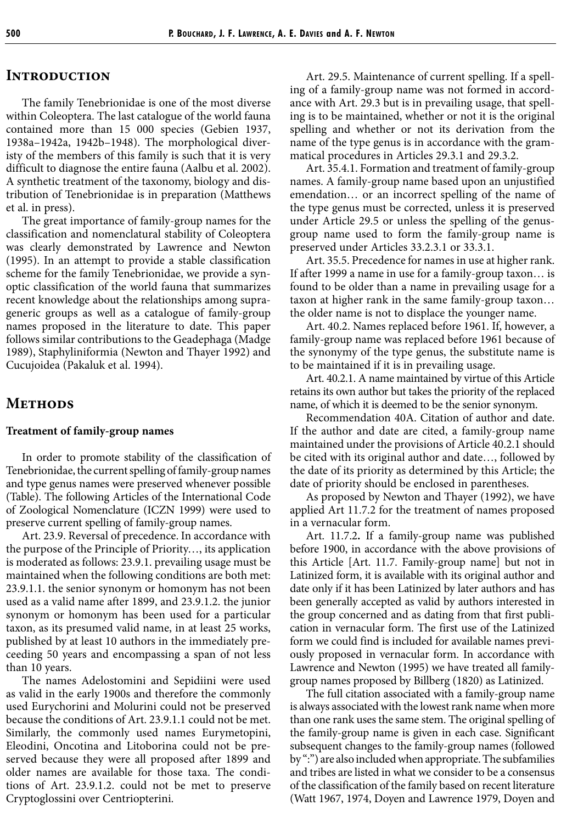#### **Introduction**

The family Tenebrionidae is one of the most diverse within Coleoptera. The last catalogue of the world fauna contained more than 15 000 species (Gebien 1937, 1938a–1942a, 1942b–1948). The morphological diveristy of the members of this family is such that it is very difficult to diagnose the entire fauna (Aalbu et al. 2002). A synthetic treatment of the taxonomy, biology and distribution of Tenebrionidae is in preparation (Matthews et al. in press).

The great importance of family-group names for the classification and nomenclatural stability of Coleoptera was clearly demonstrated by Lawrence and Newton (1995). In an attempt to provide a stable classification scheme for the family Tenebrionidae, we provide a synoptic classification of the world fauna that summarizes recent knowledge about the relationships among suprageneric groups as well as a catalogue of family-group names proposed in the literature to date. This paper follows similar contributions to the Geadephaga (Madge 1989), Staphyliniformia (Newton and Thayer 1992) and Cucujoidea (Pakaluk et al. 1994).

#### **Methods**

#### **Treatment of family-group names**

In order to promote stability of the classification of Tenebrionidae, the current spelling of family-group names and type genus names were preserved whenever possible (Table). The following Articles of the International Code of Zoological Nomenclature (ICZN 1999) were used to preserve current spelling of family-group names.

Art. 23.9. Reversal of precedence. In accordance with the purpose of the Principle of Priority…, its application is moderated as follows: 23.9.1. prevailing usage must be maintained when the following conditions are both met: 23.9.1.1. the senior synonym or homonym has not been used as a valid name after 1899, and 23.9.1.2. the junior synonym or homonym has been used for a particular taxon, as its presumed valid name, in at least 25 works, published by at least 10 authors in the immediately preceeding 50 years and encompassing a span of not less than 10 years.

The names Adelostomini and Sepidiini were used as valid in the early 1900s and therefore the commonly used Eurychorini and Molurini could not be preserved because the conditions of Art. 23.9.1.1 could not be met. Similarly, the commonly used names Eurymetopini, Eleodini, Oncotina and Litoborina could not be preserved because they were all proposed after 1899 and older names are available for those taxa. The conditions of Art. 23.9.1.2. could not be met to preserve Cryptoglossini over Centriopterini.

Art. 29.5. Maintenance of current spelling. If a spelling of a family-group name was not formed in accordance with Art. 29.3 but is in prevailing usage, that spelling is to be maintained, whether or not it is the original spelling and whether or not its derivation from the name of the type genus is in accordance with the grammatical procedures in Articles 29.3.1 and 29.3.2.

Art. 35.4.1. Formation and treatment of family-group names. A family-group name based upon an unjustified emendation… or an incorrect spelling of the name of the type genus must be corrected, unless it is preserved under Article 29.5 or unless the spelling of the genusgroup name used to form the family-group name is preserved under Articles 33.2.3.1 or 33.3.1.

Art. 35.5. Precedence for names in use at higher rank. If after 1999 a name in use for a family-group taxon… is found to be older than a name in prevailing usage for a taxon at higher rank in the same family-group taxon… the older name is not to displace the younger name.

Art. 40.2. Names replaced before 1961. If, however, a family-group name was replaced before 1961 because of the synonymy of the type genus, the substitute name is to be maintained if it is in prevailing usage.

Art. 40.2.1. A name maintained by virtue of this Article retains its own author but takes the priority of the replaced name, of which it is deemed to be the senior synonym.

Recommendation 40A. Citation of author and date. If the author and date are cited, a family-group name maintained under the provisions of Article 40.2.1 should be cited with its original author and date…, followed by the date of its priority as determined by this Article; the date of priority should be enclosed in parentheses.

As proposed by Newton and Thayer (1992), we have applied Art 11.7.2 for the treatment of names proposed in a vernacular form.

Art. 11.7.2**.** If a family-group name was published before 1900, in accordance with the above provisions of this Article [Art. 11.7. Family-group name] but not in Latinized form, it is available with its original author and date only if it has been Latinized by later authors and has been generally accepted as valid by authors interested in the group concerned and as dating from that first publication in vernacular form. The first use of the Latinized form we could find is included for available names previously proposed in vernacular form. In accordance with Lawrence and Newton (1995) we have treated all familygroup names proposed by Billberg (1820) as Latinized.

The full citation associated with a family-group name is always associated with the lowest rank name when more than one rank uses the same stem. The original spelling of the family-group name is given in each case. Significant subsequent changes to the family-group names (followed by ":") are also included when appropriate. The subfamilies and tribes are listed in what we consider to be a consensus of the classification of the family based on recent literature (Watt 1967, 1974, Doyen and Lawrence 1979, Doyen and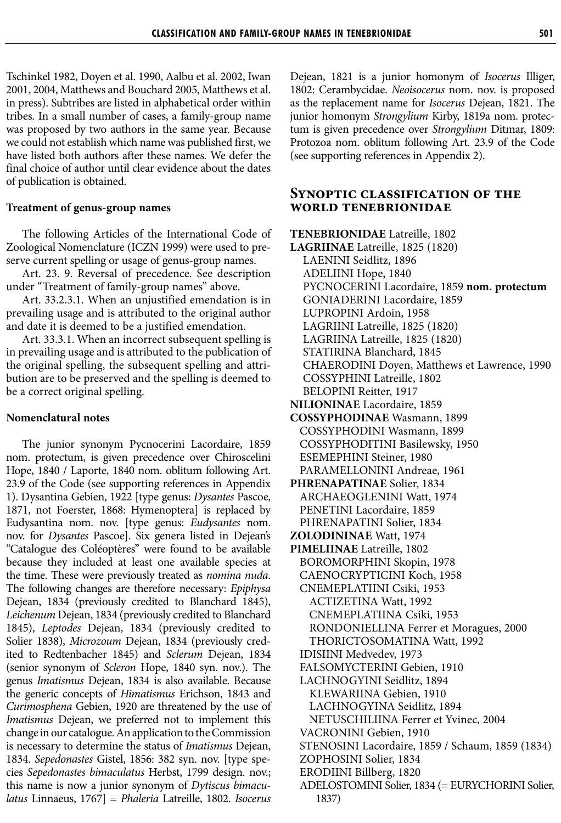Tschinkel 1982, Doyen et al. 1990, Aalbu et al. 2002, Iwan 2001, 2004, Matthews and Bouchard 2005, Matthews et al. in press). Subtribes are listed in alphabetical order within tribes. In a small number of cases, a family-group name was proposed by two authors in the same year. Because we could not establish which name was published first, we have listed both authors after these names. We defer the final choice of author until clear evidence about the dates of publication is obtained.

#### **Treatment of genus-group names**

The following Articles of the International Code of Zoological Nomenclature (ICZN 1999) were used to preserve current spelling or usage of genus-group names.

Art. 23. 9. Reversal of precedence. See description under "Treatment of family-group names" above.

Art. 33.2.3.1. When an unjustified emendation is in prevailing usage and is attributed to the original author and date it is deemed to be a justified emendation.

Art. 33.3.1. When an incorrect subsequent spelling is in prevailing usage and is attributed to the publication of the original spelling, the subsequent spelling and attribution are to be preserved and the spelling is deemed to be a correct original spelling.

#### **Nomenclatural notes**

The junior synonym Pycnocerini Lacordaire, 1859 nom. protectum, is given precedence over Chiroscelini Hope, 1840 / Laporte, 1840 nom. oblitum following Art. 23.9 of the Code (see supporting references in Appendix 1). Dysantina Gebien, 1922 [type genus: *Dysantes* Pascoe, 1871, not Foerster, 1868: Hymenoptera] is replaced by Eudysantina nom. nov. [type genus: *Eudysantes* nom. nov. for *Dysantes* Pascoe]. Six genera listed in Dejean's "Catalogue des Coléoptères" were found to be available because they included at least one available species at the time. These were previously treated as *nomina nuda*. The following changes are therefore necessary: *Epiphysa* Dejean, 1834 (previously credited to Blanchard 1845), *Leichenum* Dejean, 1834 (previously credited to Blanchard 1845), *Leptodes* Dejean, 1834 (previously credited to Solier 1838), *Microzoum* Dejean, 1834 (previously credited to Redtenbacher 1845) and *Sclerum* Dejean, 1834 (senior synonym of *Scleron* Hope, 1840 syn. nov.). The genus *Imatismus* Dejean, 1834 is also available. Because the generic concepts of *Himatismus* Erichson, 1843 and *Curimosphena* Gebien, 1920 are threatened by the use of *Imatismus* Dejean, we preferred not to implement this change in our catalogue. An application to the Commission is necessary to determine the status of *Imatismus* Dejean, 1834. *Sepedonastes* Gistel, 1856: 382 syn. nov. [type species *Sepedonastes bimaculatus* Herbst, 1799 design. nov.; this name is now a junior synonym of *Dytiscus bimaculatus* Linnaeus, 1767] = *Phaleria* Latreille, 1802. *Isocerus*

Dejean, 1821 is a junior homonym of *Isocerus* Illiger, 1802: Cerambycidae. *Neoisocerus* nom. nov. is proposed as the replacement name for *Isocerus* Dejean, 1821. The junior homonym *Strongylium* Kirby, 1819a nom. protectum is given precedence over *Strongylium* Ditmar, 1809: Protozoa nom. oblitum following Art. 23.9 of the Code (see supporting references in Appendix 2).

#### **Synoptic classification of the world tenebrionidae**

**TENEBRIONIDAE** Latreille, 1802 **LAGRIINAE** Latreille, 1825 (1820) LAENINI Seidlitz, 1896 ADELIINI Hope, 1840 PYCNOCERINI Lacordaire, 1859 **nom. protectum** GONIADERINI Lacordaire, 1859 LUPROPINI Ardoin, 1958 LAGRIINI Latreille, 1825 (1820) LAGRIINA Latreille, 1825 (1820) STATIRINA Blanchard, 1845 CHAERODINI Doyen, Matthews et Lawrence, 1990 COSSYPHINI Latreille, 1802 BELOPINI Reitter, 1917 **NILIONINAE** Lacordaire, 1859 **COSSYPHODINAE** Wasmann, 1899 COSSYPHODINI Wasmann, 1899 COSSYPHODITINI Basilewsky, 1950 ESEMEPHINI Steiner, 1980 PARAMELLONINI Andreae, 1961 **PHRENAPATINAE** Solier, 1834 ARCHAEOGLENINI Watt, 1974 PENETINI Lacordaire, 1859 PHRENAPATINI Solier, 1834 **ZOLODININAE** Watt, 1974 **PIMELIINAE** Latreille, 1802 BOROMORPHINI Skopin, 1978 CAENOCRYPTICINI Koch, 1958 CNEMEPLATIINI Csiki, 1953 ACTIZETINA Watt, 1992 CNEMEPLATIINA Csiki, 1953 RONDONIELLINA Ferrer et Moragues, 2000 THORICTOSOMATINA Watt, 1992 IDISIINI Medvedev, 1973 FALSOMYCTERINI Gebien, 1910 LACHNOGYINI Seidlitz, 1894 KLEWARIINA Gebien, 1910 LACHNOGYINA Seidlitz, 1894 NETUSCHILIINA Ferrer et Yvinec, 2004 VACRONINI Gebien, 1910 STENOSINI Lacordaire, 1859 / Schaum, 1859 (1834) ZOPHOSINI Solier, 1834 ERODIINI Billberg, 1820 ADELOSTOMINI Solier, 1834 (= EURYCHORINI Solier,

1837)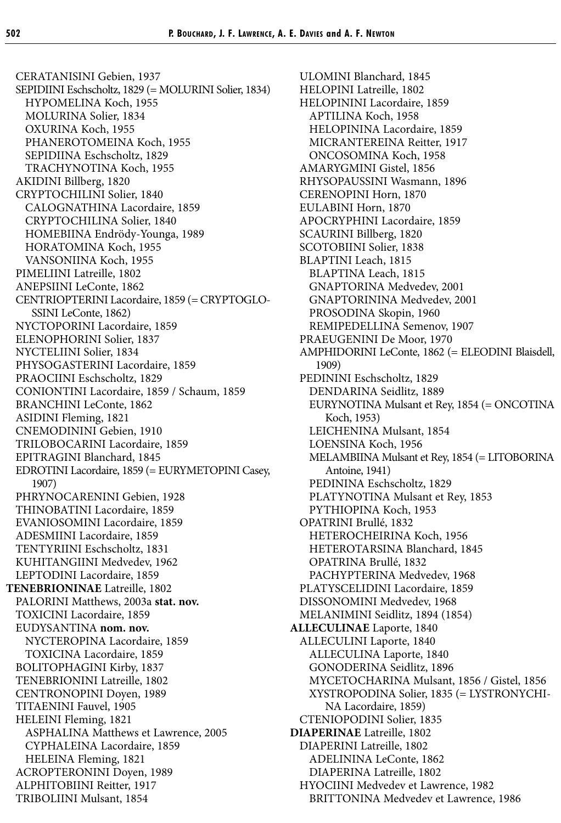CERATANISINI Gebien, 1937 SEPIDIINI Eschscholtz, 1829 (= MOLURINI Solier, 1834) HYPOMELINA Koch, 1955 MOLURINA Solier, 1834 OXURINA Koch, 1955 PHANEROTOMEINA Koch, 1955 SEPIDIINA Eschscholtz, 1829 TRACHYNOTINA Koch, 1955 AKIDINI Billberg, 1820 CRYPTOCHILINI Solier, 1840 CALOGNATHINA Lacordaire, 1859 CRYPTOCHILINA Solier, 1840 HOMEBIINA Endrödy-Younga, 1989 HORATOMINA Koch, 1955 VANSONIINA Koch, 1955 PIMELIINI Latreille, 1802 ANEPSIINI LeConte, 1862 CENTRIOPTERINI Lacordaire, 1859 (= CRYPTOGLO-SSINI LeConte, 1862) NYCTOPORINI Lacordaire, 1859 ELENOPHORINI Solier, 1837 NYCTELIINI Solier, 1834 PHYSOGASTERINI Lacordaire, 1859 PRAOCIINI Eschscholtz, 1829 CONIONTINI Lacordaire, 1859 / Schaum, 1859 BRANCHINI LeConte, 1862 ASIDINI Fleming, 1821 CNEMODININI Gebien, 1910 TRILOBOCARINI Lacordaire, 1859 EPITRAGINI Blanchard, 1845 EDROTINI Lacordaire, 1859 (= EURYMETOPINI Casey, 1907) PHRYNOCARENINI Gebien, 1928 THINOBATINI Lacordaire, 1859 EVANIOSOMINI Lacordaire, 1859 ADESMIINI Lacordaire, 1859 TENTYRIINI Eschscholtz, 1831 KUHITANGIINI Medvedev, 1962 LEPTODINI Lacordaire, 1859 **TENEBRIONINAE** Latreille, 1802 PALORINI Matthews, 2003a **stat. nov.** TOXICINI Lacordaire, 1859 EUDYSANTINA **nom. nov.** NYCTEROPINA Lacordaire, 1859 TOXICINA Lacordaire, 1859 BOLITOPHAGINI Kirby, 1837 TENEBRIONINI Latreille, 1802 CENTRONOPINI Doyen, 1989 TITAENINI Fauvel, 1905 HELEINI Fleming, 1821 ASPHALINA Matthews et Lawrence, 2005 CYPHALEINA Lacordaire, 1859 HELEINA Fleming, 1821 ACROPTERONINI Doyen, 1989 ALPHITOBIINI Reitter, 1917 TRIBOLIINI Mulsant, 1854

ULOMINI Blanchard, 1845 HELOPINI Latreille, 1802 HELOPININI Lacordaire, 1859 APTILINA Koch, 1958 HELOPININA Lacordaire, 1859 MICRANTEREINA Reitter, 1917 ONCOSOMINA Koch, 1958 AMARYGMINI Gistel, 1856 RHYSOPAUSSINI Wasmann, 1896 CERENOPINI Horn, 1870 EULABINI Horn, 1870 APOCRYPHINI Lacordaire, 1859 SCAURINI Billberg, 1820 SCOTOBIINI Solier, 1838 BLAPTINI Leach, 1815 BLAPTINA Leach, 1815 GNAPTORINA Medvedev, 2001 GNAPTORININA Medvedev, 2001 PROSODINA Skopin, 1960 REMIPEDELLINA Semenov, 1907 PRAEUGENINI De Moor, 1970 AMPHIDORINI LeConte, 1862 (= ELEODINI Blaisdell, 1909) PEDININI Eschscholtz, 1829 DENDARINA Seidlitz, 1889 EURYNOTINA Mulsant et Rey, 1854 (= ONCOTINA Koch, 1953) LEICHENINA Mulsant, 1854 LOENSINA Koch, 1956 MELAMBIINA Mulsant et Rey, 1854 (= LITOBORINA Antoine, 1941) PEDININA Eschscholtz, 1829 PLATYNOTINA Mulsant et Rey, 1853 PYTHIOPINA Koch, 1953 OPATRINI Brullé, 1832 HETEROCHEIRINA Koch, 1956 HETEROTARSINA Blanchard, 1845 OPATRINA Brullé, 1832 PACHYPTERINA Medvedev, 1968 PLATYSCELIDINI Lacordaire, 1859 DISSONOMINI Medvedev, 1968 MELANIMINI Seidlitz, 1894 (1854) **ALLECULINAE** Laporte, 1840 ALLECULINI Laporte, 1840 ALLECULINA Laporte, 1840 GONODERINA Seidlitz, 1896 MYCETOCHARINA Mulsant, 1856 / Gistel, 1856 XYSTROPODINA Solier, 1835 (= LYSTRONYCHI-NA Lacordaire, 1859) CTENIOPODINI Solier, 1835 **DIAPERINAE** Latreille, 1802 DIAPERINI Latreille, 1802 ADELININA LeConte, 1862 DIAPERINA Latreille, 1802 HYOCIINI Medvedev et Lawrence, 1982 BRITTONINA Medvedev et Lawrence, 1986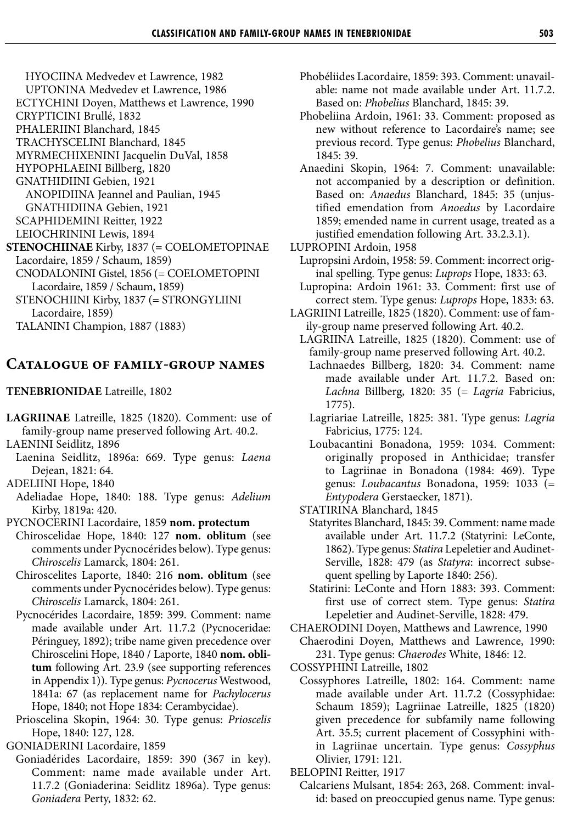HYOCIINA Medvedev et Lawrence, 1982

- UPTONINA Medvedev et Lawrence, 1986
- ECTYCHINI Doyen, Matthews et Lawrence, 1990
- CRYPTICINI Brullé, 1832 PHALERIINI Blanchard, 1845

TRACHYSCELINI Blanchard, 1845

MYRMECHIXENINI Jacquelin DuVal, 1858 HYPOPHLAEINI Billberg, 1820

GNATHIDIINI Gebien, 1921

ANOPIDIINA Jeannel and Paulian, 1945

GNATHIDIINA Gebien, 1921

SCAPHIDEMINI Reitter, 1922

- LEIOCHRININI Lewis, 1894
- **STENOCHIINAE** Kirby, 1837 (**=** COELOMETOPINAE Lacordaire, 1859 / Schaum, 1859)
	- CNODALONINI Gistel, 1856 (= COELOMETOPINI Lacordaire, 1859 / Schaum, 1859) STENOCHIINI Kirby, 1837 (= STRONGYLIINI

Lacordaire, 1859)

TALANINI Champion, 1887 (1883)

### **Catalogue of family-group names**

**TENEBRIONIDAE** Latreille, 1802

**LAGRIINAE** Latreille, 1825 (1820). Comment: use of family-group name preserved following Art. 40.2. LAENINI Seidlitz, 1896

- Laenina Seidlitz, 1896a: 669. Type genus: *Laena* Dejean, 1821: 64.
- ADELIINI Hope, 1840
- Adeliadae Hope, 1840: 188. Type genus: *Adelium* Kirby, 1819a: 420.

PYCNOCERINI Lacordaire, 1859 **nom. protectum**

- Chiroscelidae Hope, 1840: 127 **nom. oblitum** (see comments under Pycnocérides below). Type genus: *Chiroscelis* Lamarck, 1804: 261.
	- Chiroscelites Laporte, 1840: 216 **nom. oblitum** (see comments under Pycnocérides below). Type genus: *Chiroscelis* Lamarck, 1804: 261.
	- Pycnocérides Lacordaire, 1859: 399. Comment: name made available under Art. 11.7.2 (Pycnoceridae: Péringuey, 1892); tribe name given precedence over Chiroscelini Hope, 1840 / Laporte, 1840 **nom. oblitum** following Art. 23.9 (see supporting references in Appendix 1)). Type genus: *Pycnocerus* Westwood, 1841a: 67 (as replacement name for *Pachylocerus* Hope, 1840; not Hope 1834: Cerambycidae).
- Prioscelina Skopin, 1964: 30. Type genus: *Prioscelis* Hope, 1840: 127, 128.

GONIADERINI Lacordaire, 1859

Goniadérides Lacordaire, 1859: 390 (367 in key). Comment: name made available under Art. 11.7.2 (Goniaderina: Seidlitz 1896a). Type genus: *Goniadera* Perty, 1832: 62.

- Phobéliides Lacordaire, 1859: 393. Comment: unavailable: name not made available under Art. 11.7.2. Based on: *Phobelius* Blanchard, 1845: 39.
- Phobeliina Ardoin, 1961: 33. Comment: proposed as new without reference to Lacordaire's name; see previous record. Type genus: *Phobelius* Blanchard, 1845: 39.
- Anaedini Skopin, 1964: 7. Comment: unavailable: not accompanied by a description or definition. Based on: *Anaedus* Blanchard, 1845: 35 (unjustified emendation from *Anoedus* by Lacordaire 1859; emended name in current usage, treated as a justified emendation following Art. 33.2.3.1).
- LUPROPINI Ardoin, 1958
	- Lupropsini Ardoin, 1958: 59. Comment: incorrect original spelling. Type genus: *Luprops* Hope, 1833: 63.
- Lupropina: Ardoin 1961: 33. Comment: first use of correct stem. Type genus: *Luprops* Hope, 1833: 63.
- LAGRIINI Latreille, 1825 (1820). Comment: use of family-group name preserved following Art. 40.2.
	- LAGRIINA Latreille, 1825 (1820). Comment: use of family-group name preserved following Art. 40.2.
		- Lachnaedes Billberg, 1820: 34. Comment: name made available under Art. 11.7.2. Based on: *Lachna* Billberg, 1820: 35 (= *Lagria* Fabricius, 1775).
		- Lagriariae Latreille, 1825: 381. Type genus: *Lagria* Fabricius, 1775: 124.
		- Loubacantini Bonadona, 1959: 1034. Comment: originally proposed in Anthicidae; transfer to Lagriinae in Bonadona (1984: 469). Type genus: *Loubacantus* Bonadona, 1959: 1033 (= *Entypodera* Gerstaecker, 1871).
	- STATIRINA Blanchard, 1845
		- Statyrites Blanchard, 1845: 39. Comment: name made available under Art. 11.7.2 (Statyrini: LeConte, 1862). Type genus: *Statira* Lepeletier and Audinet-Serville, 1828: 479 (as *Statyra*: incorrect subsequent spelling by Laporte 1840: 256).
		- Statirini: LeConte and Horn 1883: 393. Comment: first use of correct stem. Type genus: *Statira* Lepeletier and Audinet-Serville, 1828: 479.
- CHAERODINI Doyen, Matthews and Lawrence, 1990 Chaerodini Doyen, Matthews and Lawrence, 1990: 231. Type genus: *Chaerodes* White, 1846: 12.

COSSYPHINI Latreille, 1802

Cossyphores Latreille, 1802: 164. Comment: name made available under Art. 11.7.2 (Cossyphidae: Schaum 1859); Lagriinae Latreille, 1825 (1820) given precedence for subfamily name following Art. 35.5; current placement of Cossyphini within Lagriinae uncertain. Type genus: *Cossyphus* Olivier, 1791: 121.

BELOPINI Reitter, 1917

Calcariens Mulsant, 1854: 263, 268. Comment: invalid: based on preoccupied genus name. Type genus: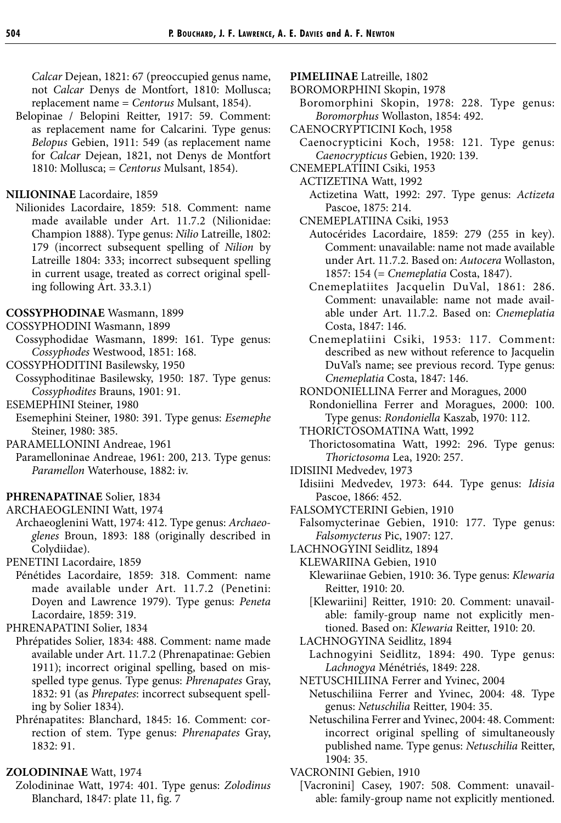*Calcar* Dejean, 1821: 67 (preoccupied genus name, not *Calcar* Denys de Montfort, 1810: Mollusca; replacement name = *Centorus* Mulsant, 1854).

Belopinae / Belopini Reitter, 1917: 59. Comment: as replacement name for Calcarini. Type genus: *Belopus* Gebien, 1911: 549 (as replacement name for *Calcar* Dejean, 1821, not Denys de Montfort 1810: Mollusca; = *Centorus* Mulsant, 1854).

#### **NILIONINAE** Lacordaire, 1859

Nilionides Lacordaire, 1859: 518. Comment: name made available under Art. 11.7.2 (Nilionidae: Champion 1888). Type genus: *Nilio* Latreille, 1802: 179 (incorrect subsequent spelling of *Nilion* by Latreille 1804: 333; incorrect subsequent spelling in current usage, treated as correct original spelling following Art. 33.3.1)

#### **COSSYPHODINAE** Wasmann, 1899

- COSSYPHODINI Wasmann, 1899
- Cossyphodidae Wasmann, 1899: 161. Type genus: *Cossyphodes* Westwood, 1851: 168.
- COSSYPHODITINI Basilewsky, 1950
- Cossyphoditinae Basilewsky, 1950: 187. Type genus: *Cossyphodites* Brauns, 1901: 91.
- ESEMEPHINI Steiner, 1980
- Esemephini Steiner, 1980: 391. Type genus: *Esemephe* Steiner, 1980: 385.
- PARAMELLONINI Andreae, 1961
- Paramelloninae Andreae, 1961: 200, 213. Type genus: *Paramellon* Waterhouse, 1882: iv.

#### **PHRENAPATINAE** Solier, 1834

- ARCHAEOGLENINI Watt, 1974
- Archaeoglenini Watt, 1974: 412. Type genus: *Archaeoglenes* Broun, 1893: 188 (originally described in Colydiidae).

PENETINI Lacordaire, 1859

Pénétides Lacordaire, 1859: 318. Comment: name made available under Art. 11.7.2 (Penetini: Doyen and Lawrence 1979). Type genus: *Peneta* Lacordaire, 1859: 319.

#### PHRENAPATINI Solier, 1834

- Phrépatides Solier, 1834: 488. Comment: name made available under Art. 11.7.2 (Phrenapatinae: Gebien 1911); incorrect original spelling, based on misspelled type genus. Type genus: *Phrenapates* Gray, 1832: 91 (as *Phrepates*: incorrect subsequent spelling by Solier 1834).
- Phrénapatites: Blanchard, 1845: 16. Comment: correction of stem. Type genus: *Phrenapates* Gray, 1832: 91.

#### **ZOLODININAE** Watt, 1974

Zolodininae Watt, 1974: 401. Type genus: *Zolodinus* Blanchard, 1847: plate 11, fig. 7

#### **PIMELIINAE** Latreille, 1802

- BOROMORPHINI Skopin, 1978
- Boromorphini Skopin, 1978: 228. Type genus: *Boromorphus* Wollaston, 1854: 492.
- CAENOCRYPTICINI Koch, 1958
	- Caenocrypticini Koch, 1958: 121. Type genus: *Caenocrypticus* Gebien, 1920: 139.
- CNEMEPLATIINI Csiki, 1953
	- ACTIZETINA Watt, 1992

Actizetina Watt, 1992: 297. Type genus: *Actizeta* Pascoe, 1875: 214.

- CNEMEPLATIINA Csiki, 1953
- Autocérides Lacordaire, 1859: 279 (255 in key). Comment: unavailable: name not made available under Art. 11.7.2. Based on: *Autocera* Wollaston, 1857: 154 (= *Cnemeplatia* Costa, 1847).
- Cnemeplatiites Jacquelin DuVal, 1861: 286. Comment: unavailable: name not made available under Art. 11.7.2. Based on: *Cnemeplatia* Costa, 1847: 146.
- Cnemeplatiini Csiki, 1953: 117. Comment: described as new without reference to Jacquelin DuVal's name; see previous record. Type genus: *Cnemeplatia* Costa, 1847: 146.
- RONDONIELLINA Ferrer and Moragues, 2000
- Rondoniellina Ferrer and Moragues, 2000: 100. Type genus: *Rondoniella* Kaszab, 1970: 112.
- THORICTOSOMATINA Watt, 1992
	- Thorictosomatina Watt, 1992: 296. Type genus: *Thorictosoma* Lea, 1920: 257.
- IDISIINI Medvedev, 1973
	- Idisiini Medvedev, 1973: 644. Type genus: *Idisia* Pascoe, 1866: 452.
- FALSOMYCTERINI Gebien, 1910
- Falsomycterinae Gebien, 1910: 177. Type genus: *Falsomycterus* Pic, 1907: 127.
- LACHNOGYINI Seidlitz, 1894
- KLEWARIINA Gebien, 1910
	- Klewariinae Gebien, 1910: 36. Type genus: *Klewaria* Reitter, 1910: 20.
	- [Klewariini] Reitter, 1910: 20. Comment: unavailable: family-group name not explicitly mentioned. Based on: *Klewaria* Reitter, 1910: 20.
- LACHNOGYINA Seidlitz, 1894
	- Lachnogyini Seidlitz, 1894: 490. Type genus: *Lachnogya* Ménétriés, 1849: 228.
- NETUSCHILIINA Ferrer and Yvinec, 2004
- Netuschiliina Ferrer and Yvinec, 2004: 48. Type genus: *Netuschilia* Reitter, 1904: 35.
- Netuschilina Ferrer and Yvinec, 2004: 48. Comment: incorrect original spelling of simultaneously published name. Type genus: *Netuschilia* Reitter, 1904: 35.
- VACRONINI Gebien, 1910
	- [Vacronini] Casey, 1907: 508. Comment: unavailable: family-group name not explicitly mentioned.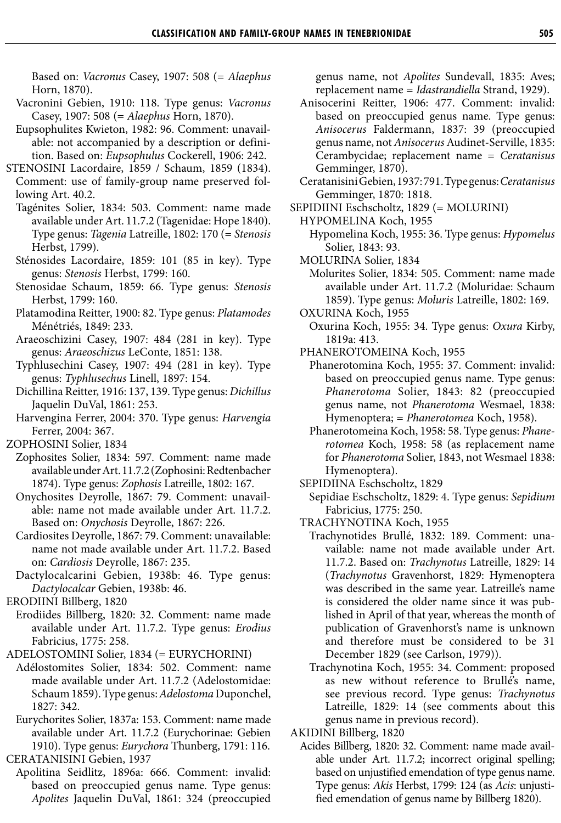Based on: *Vacronus* Casey, 1907: 508 (= *Alaephus* Horn, 1870).

- Vacronini Gebien, 1910: 118. Type genus: *Vacronus* Casey, 1907: 508 (= *Alaephus* Horn, 1870).
- Eupsophulites Kwieton, 1982: 96. Comment: unavailable: not accompanied by a description or definition. Based on: *Eupsophulus* Cockerell, 1906: 242.
- STENOSINI Lacordaire, 1859 / Schaum, 1859 (1834). Comment: use of family-group name preserved following Art. 40.2.
	- Tagénites Solier, 1834: 503. Comment: name made available under Art. 11.7.2 (Tagenidae: Hope 1840). Type genus: *Tagenia* Latreille, 1802: 170 (= *Stenosis* Herbst, 1799).
	- Sténosides Lacordaire, 1859: 101 (85 in key). Type genus: *Stenosis* Herbst, 1799: 160.
	- Stenosidae Schaum, 1859: 66. Type genus: *Stenosis* Herbst, 1799: 160.
	- Platamodina Reitter, 1900: 82. Type genus: *Platamodes* Ménétriés, 1849: 233.
	- Araeoschizini Casey, 1907: 484 (281 in key). Type genus: *Araeoschizus* LeConte, 1851: 138.
	- Typhlusechini Casey, 1907: 494 (281 in key). Type genus: *Typhlusechus* Linell, 1897: 154.
	- Dichillina Reitter, 1916: 137, 139. Type genus: *Dichillus* Jaquelin DuVal, 1861: 253.
	- Harvengina Ferrer, 2004: 370. Type genus: *Harvengia* Ferrer, 2004: 367.
- ZOPHOSINI Solier, 1834
	- Zophosites Solier, 1834: 597. Comment: name made available under Art. 11.7.2 (Zophosini: Redtenbacher 1874). Type genus: *Zophosis* Latreille, 1802: 167.
	- Onychosites Deyrolle, 1867: 79. Comment: unavailable: name not made available under Art. 11.7.2. Based on: *Onychosis* Deyrolle, 1867: 226.
	- Cardiosites Deyrolle, 1867: 79. Comment: unavailable: name not made available under Art. 11.7.2. Based on: *Cardiosis* Deyrolle, 1867: 235.
	- Dactylocalcarini Gebien, 1938b: 46. Type genus: *Dactylocalcar* Gebien, 1938b: 46.
- ERODIINI Billberg, 1820
- Erodiides Billberg, 1820: 32. Comment: name made available under Art. 11.7.2. Type genus: *Erodius* Fabricius, 1775: 258.
- ADELOSTOMINI Solier, 1834 (= EURYCHORINI)
- Adélostomites Solier, 1834: 502. Comment: name made available under Art. 11.7.2 (Adelostomidae: Schaum 1859). Type genus: *Adelostoma* Duponchel, 1827: 342.
- Eurychorites Solier, 1837a: 153. Comment: name made available under Art. 11.7.2 (Eurychorinae: Gebien 1910). Type genus: *Eurychora* Thunberg, 1791: 116. CERATANISINI Gebien, 1937
	- Apolitina Seidlitz, 1896a: 666. Comment: invalid: based on preoccupied genus name. Type genus: *Apolites* Jaquelin DuVal, 1861: 324 (preoccupied

genus name, not *Apolites* Sundevall, 1835: Aves; replacement name = *Idastrandiella* Strand, 1929).

- Anisocerini Reitter, 1906: 477. Comment: invalid: based on preoccupied genus name. Type genus: *Anisocerus* Faldermann, 1837: 39 (preoccupied genus name, not *Anisocerus* Audinet-Serville, 1835: Cerambycidae; replacement name = *Ceratanisus* Gemminger, 1870).
- Ceratanisini Gebien, 1937: 791. Type genus: *Ceratanisus* Gemminger, 1870: 1818.
- SEPIDIINI Eschscholtz, 1829 (= MOLURINI)
- HYPOMELINA Koch, 1955
	- Hypomelina Koch, 1955: 36. Type genus: *Hypomelus* Solier, 1843: 93.
	- MOLURINA Solier, 1834
		- Molurites Solier, 1834: 505. Comment: name made available under Art. 11.7.2 (Moluridae: Schaum 1859). Type genus: *Moluris* Latreille, 1802: 169.
- OXURINA Koch, 1955
	- Oxurina Koch, 1955: 34. Type genus: *Oxura* Kirby, 1819a: 413.
- PHANEROTOMEINA Koch, 1955
	- Phanerotomina Koch, 1955: 37. Comment: invalid: based on preoccupied genus name. Type genus: *Phanerotoma* Solier, 1843: 82 (preoccupied genus name, not *Phanerotoma* Wesmael, 1838: Hymenoptera; = *Phanerotomea* Koch, 1958).
	- Phanerotomeina Koch, 1958: 58. Type genus: *Phanerotomea* Koch, 1958: 58 (as replacement name for *Phanerotoma* Solier, 1843, not Wesmael 1838: Hymenoptera).
- SEPIDIINA Eschscholtz, 1829
- Sepidiae Eschscholtz, 1829: 4. Type genus: *Sepidium* Fabricius, 1775: 250.
- TRACHYNOTINA Koch, 1955
	- Trachynotides Brullé, 1832: 189. Comment: unavailable: name not made available under Art. 11.7.2. Based on: *Trachynotus* Latreille, 1829: 14 (*Trachynotus* Gravenhorst, 1829: Hymenoptera was described in the same year. Latreille's name is considered the older name since it was published in April of that year, whereas the month of publication of Gravenhorst's name is unknown and therefore must be considered to be 31 December 1829 (see Carlson, 1979)).
	- Trachynotina Koch, 1955: 34. Comment: proposed as new without reference to Brullé's name, see previous record. Type genus: *Trachynotus* Latreille, 1829: 14 (see comments about this genus name in previous record).
- AKIDINI Billberg, 1820
	- Acides Billberg, 1820: 32. Comment: name made available under Art. 11.7.2; incorrect original spelling; based on unjustified emendation of type genus name. Type genus: *Akis* Herbst, 1799: 124 (as *Acis*: unjustified emendation of genus name by Billberg 1820).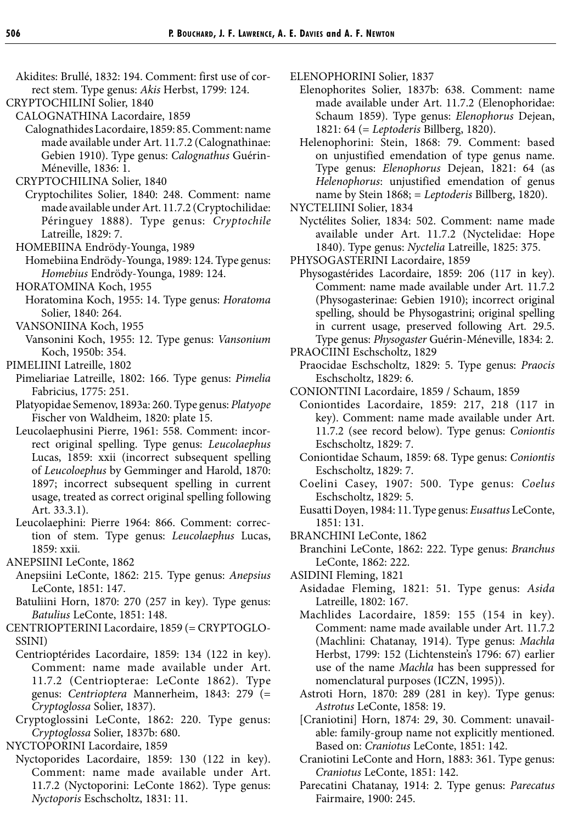- Akidites: Brullé, 1832: 194. Comment: first use of correct stem. Type genus: *Akis* Herbst, 1799: 124.
- CRYPTOCHILINI Solier, 1840
	- CALOGNATHINA Lacordaire, 1859
	- Calognathides Lacordaire, 1859: 85. Comment: name made available under Art. 11.7.2 (Calognathinae: Gebien 1910). Type genus: *Calognathus* Guérin-Méneville, 1836: 1.
	- CRYPTOCHILINA Solier, 1840
		- Cryptochilites Solier, 1840: 248. Comment: name made available under Art. 11.7.2 (Cryptochilidae: Péringuey 1888). Type genus: *Cryptochile* Latreille, 1829: 7.
	- HOMEBIINA Endrödy-Younga, 1989
	- Homebiina Endrödy-Younga, 1989: 124. Type genus: *Homebius* Endrödy-Younga, 1989: 124.
	- HORATOMINA Koch, 1955
	- Horatomina Koch, 1955: 14. Type genus: *Horatoma* Solier, 1840: 264.
	- VANSONIINA Koch, 1955
	- Vansonini Koch, 1955: 12. Type genus: *Vansonium* Koch, 1950b: 354.
- PIMELIINI Latreille, 1802
	- Pimeliariae Latreille, 1802: 166. Type genus: *Pimelia* Fabricius, 1775: 251.
	- Platyopidae Semenov, 1893a: 260. Type genus: *Platyope* Fischer von Waldheim, 1820: plate 15.
	- Leucolaephusini Pierre, 1961: 558. Comment: incorrect original spelling. Type genus: *Leucolaephus* Lucas, 1859: xxii (incorrect subsequent spelling of *Leucoloephus* by Gemminger and Harold, 1870: 1897; incorrect subsequent spelling in current usage, treated as correct original spelling following Art. 33.3.1).
	- Leucolaephini: Pierre 1964: 866. Comment: correction of stem. Type genus: *Leucolaephus* Lucas, 1859: xxii.
- ANEPSIINI LeConte, 1862
	- Anepsiini LeConte, 1862: 215. Type genus: *Anepsius* LeConte, 1851: 147.
	- Batuliini Horn, 1870: 270 (257 in key). Type genus: *Batulius* LeConte, 1851: 148.
- CENTRIOPTERINI Lacordaire, 1859 (= CRYPTOGLO-SSINI)
	- Centrioptérides Lacordaire, 1859: 134 (122 in key). Comment: name made available under Art. 11.7.2 (Centriopterae: LeConte 1862). Type genus: *Centrioptera* Mannerheim, 1843: 279 (= *Cryptoglossa* Solier, 1837).
- Cryptoglossini LeConte, 1862: 220. Type genus: *Cryptoglossa* Solier, 1837b: 680.
- NYCTOPORINI Lacordaire, 1859
- Nyctoporides Lacordaire, 1859: 130 (122 in key). Comment: name made available under Art. 11.7.2 (Nyctoporini: LeConte 1862). Type genus: *Nyctoporis* Eschscholtz, 1831: 11.
- ELENOPHORINI Solier, 1837
	- Elenophorites Solier, 1837b: 638. Comment: name made available under Art. 11.7.2 (Elenophoridae: Schaum 1859). Type genus: *Elenophorus* Dejean, 1821: 64 (= *Leptoderis* Billberg, 1820).
	- Helenophorini: Stein, 1868: 79. Comment: based on unjustified emendation of type genus name. Type genus: *Elenophorus* Dejean, 1821: 64 (as *Helenophorus*: unjustified emendation of genus name by Stein 1868; = *Leptoderis* Billberg, 1820).
- NYCTELIINI Solier, 1834
- Nyctélites Solier, 1834: 502. Comment: name made available under Art. 11.7.2 (Nyctelidae: Hope 1840). Type genus: *Nyctelia* Latreille, 1825: 375.
- PHYSOGASTERINI Lacordaire, 1859
- Physogastérides Lacordaire, 1859: 206 (117 in key). Comment: name made available under Art. 11.7.2 (Physogasterinae: Gebien 1910); incorrect original spelling, should be Physogastrini; original spelling in current usage, preserved following Art. 29.5. Type genus: *Physogaster* Guérin-Méneville, 1834: 2.
- PRAOCIINI Eschscholtz, 1829
	- Praocidae Eschscholtz, 1829: 5. Type genus: *Praocis* Eschscholtz, 1829: 6.
- CONIONTINI Lacordaire, 1859 / Schaum, 1859
- Coniontides Lacordaire, 1859: 217, 218 (117 in key). Comment: name made available under Art. 11.7.2 (see record below). Type genus: *Coniontis* Eschscholtz, 1829: 7.
- Coniontidae Schaum, 1859: 68. Type genus: *Coniontis* Eschscholtz, 1829: 7.
- Coelini Casey, 1907: 500. Type genus: *Coelus* Eschscholtz, 1829: 5.
- Eusatti Doyen, 1984: 11. Type genus: *Eusattus* LeConte, 1851: 131.
- BRANCHINI LeConte, 1862
	- Branchini LeConte, 1862: 222. Type genus: *Branchus* LeConte, 1862: 222.
- ASIDINI Fleming, 1821
	- Asidadae Fleming, 1821: 51. Type genus: *Asida* Latreille, 1802: 167.
	- Machlides Lacordaire, 1859: 155 (154 in key). Comment: name made available under Art. 11.7.2 (Machlini: Chatanay, 1914). Type genus: *Machla* Herbst, 1799: 152 (Lichtenstein's 1796: 67) earlier use of the name *Machla* has been suppressed for nomenclatural purposes (ICZN, 1995)).
	- Astroti Horn, 1870: 289 (281 in key). Type genus: *Astrotus* LeConte, 1858: 19.
	- [Craniotini] Horn, 1874: 29, 30. Comment: unavailable: family-group name not explicitly mentioned. Based on: *Craniotus* LeConte, 1851: 142.
	- Craniotini LeConte and Horn, 1883: 361. Type genus: *Craniotus* LeConte, 1851: 142.
	- Parecatini Chatanay, 1914: 2. Type genus: *Parecatus* Fairmaire, 1900: 245.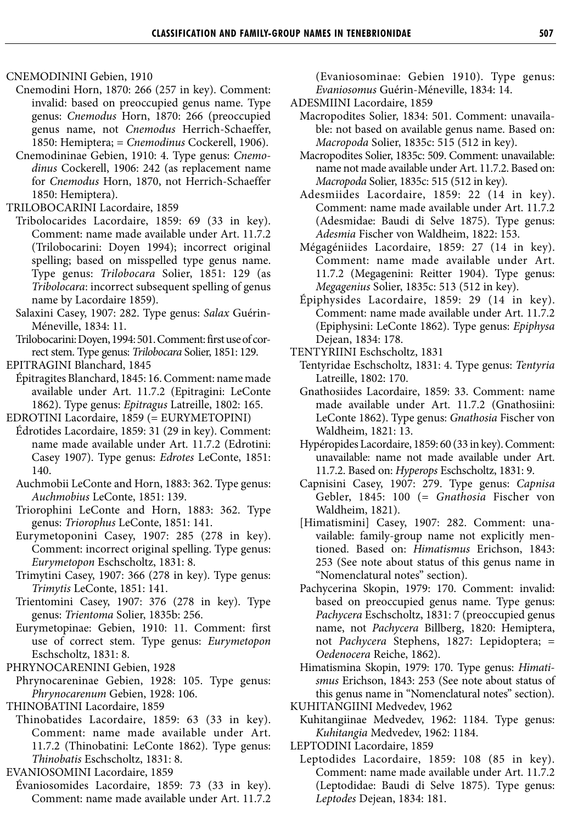CNEMODININI Gebien, 1910

- Cnemodini Horn, 1870: 266 (257 in key). Comment: invalid: based on preoccupied genus name. Type genus: *Cnemodus* Horn, 1870: 266 (preoccupied genus name, not *Cnemodus* Herrich-Schaeffer, 1850: Hemiptera; = *Cnemodinus* Cockerell, 1906).
- Cnemodininae Gebien, 1910: 4. Type genus: *Cnemodinus* Cockerell, 1906: 242 (as replacement name for *Cnemodus* Horn, 1870, not Herrich-Schaeffer 1850: Hemiptera).
- TRILOBOCARINI Lacordaire, 1859
	- Tribolocarides Lacordaire, 1859: 69 (33 in key). Comment: name made available under Art. 11.7.2 (Trilobocarini: Doyen 1994); incorrect original spelling; based on misspelled type genus name. Type genus: *Trilobocara* Solier, 1851: 129 (as *Tribolocara*: incorrect subsequent spelling of genus name by Lacordaire 1859).
	- Salaxini Casey, 1907: 282. Type genus: *Salax* Guérin-Méneville, 1834: 11.
	- Trilobocarini: Doyen, 1994: 501. Comment: first use of correct stem. Type genus: *Trilobocara* Solier, 1851: 129.
- EPITRAGINI Blanchard, 1845
- Épitragites Blanchard, 1845: 16. Comment: name made available under Art. 11.7.2 (Epitragini: LeConte 1862). Type genus: *Epitragus* Latreille, 1802: 165.
- EDROTINI Lacordaire, 1859 (= EURYMETOPINI)
- Édrotides Lacordaire, 1859: 31 (29 in key). Comment: name made available under Art. 11.7.2 (Edrotini: Casey 1907). Type genus: *Edrotes* LeConte, 1851: 140.
- Auchmobii LeConte and Horn, 1883: 362. Type genus: *Auchmobius* LeConte, 1851: 139.
- Triorophini LeConte and Horn, 1883: 362. Type genus: *Triorophus* LeConte, 1851: 141.
- Eurymetoponini Casey, 1907: 285 (278 in key). Comment: incorrect original spelling. Type genus: *Eurymetopon* Eschscholtz, 1831: 8.
- Trimytini Casey, 1907: 366 (278 in key). Type genus: *Trimytis* LeConte, 1851: 141.
- Trientomini Casey, 1907: 376 (278 in key). Type genus: *Trientoma* Solier, 1835b: 256.
- Eurymetopinae: Gebien, 1910: 11. Comment: first use of correct stem. Type genus: *Eurymetopon* Eschscholtz, 1831: 8.
- PHRYNOCARENINI Gebien, 1928
- Phrynocareninae Gebien, 1928: 105. Type genus: *Phrynocarenum* Gebien, 1928: 106.
- THINOBATINI Lacordaire, 1859
	- Thinobatides Lacordaire, 1859: 63 (33 in key). Comment: name made available under Art. 11.7.2 (Thinobatini: LeConte 1862). Type genus: *Thinobatis* Eschscholtz, 1831: 8.
- EVANIOSOMINI Lacordaire, 1859
- Évaniosomides Lacordaire, 1859: 73 (33 in key). Comment: name made available under Art. 11.7.2

(Evaniosominae: Gebien 1910). Type genus: *Evaniosomus* Guérin-Méneville, 1834: 14.

- ADESMIINI Lacordaire, 1859
	- Macropodites Solier, 1834: 501. Comment: unavailable: not based on available genus name. Based on: *Macropoda* Solier, 1835c: 515 (512 in key).
	- Macropodites Solier, 1835c: 509. Comment: unavailable: name not made available under Art. 11.7.2. Based on: *Macropoda* Solier, 1835c: 515 (512 in key).
	- Adesmiides Lacordaire, 1859: 22 (14 in key). Comment: name made available under Art. 11.7.2 (Adesmidae: Baudi di Selve 1875). Type genus: *Adesmia* Fischer von Waldheim, 1822: 153.
	- Mégagéniides Lacordaire, 1859: 27 (14 in key). Comment: name made available under Art. 11.7.2 (Megagenini: Reitter 1904). Type genus: *Megagenius* Solier, 1835c: 513 (512 in key).
	- Épiphysides Lacordaire, 1859: 29 (14 in key). Comment: name made available under Art. 11.7.2 (Epiphysini: LeConte 1862). Type genus: *Epiphysa* Dejean, 1834: 178.
- TENTYRIINI Eschscholtz, 1831
	- Tentyridae Eschscholtz, 1831: 4. Type genus: *Tentyria* Latreille, 1802: 170.
	- Gnathosiides Lacordaire, 1859: 33. Comment: name made available under Art. 11.7.2 (Gnathosiini: LeConte 1862). Type genus: *Gnathosia* Fischer von Waldheim, 1821: 13.
	- Hypéropides Lacordaire, 1859: 60 (33 in key). Comment: unavailable: name not made available under Art. 11.7.2. Based on: *Hyperops* Eschscholtz, 1831: 9.
	- Capnisini Casey, 1907: 279. Type genus: *Capnisa* Gebler, 1845: 100 (= *Gnathosia* Fischer von Waldheim, 1821).
	- [Himatismini] Casey, 1907: 282. Comment: unavailable: family-group name not explicitly mentioned. Based on: *Himatismus* Erichson, 1843: 253 (See note about status of this genus name in "Nomenclatural notes" section).
	- Pachycerina Skopin, 1979: 170. Comment: invalid: based on preoccupied genus name. Type genus: *Pachycera* Eschscholtz, 1831: 7 (preoccupied genus name, not *Pachycera* Billberg, 1820: Hemiptera, not *Pachycera* Stephens, 1827: Lepidoptera; = *Oedenocera* Reiche, 1862).
	- Himatismina Skopin, 1979: 170. Type genus: *Himatismus* Erichson, 1843: 253 (See note about status of this genus name in "Nomenclatural notes" section).
- KUHITANGIINI Medvedev, 1962
	- Kuhitangiinae Medvedev, 1962: 1184. Type genus: *Kuhitangia* Medvedev, 1962: 1184.
- LEPTODINI Lacordaire, 1859
	- Leptodides Lacordaire, 1859: 108 (85 in key). Comment: name made available under Art. 11.7.2 (Leptodidae: Baudi di Selve 1875). Type genus: *Leptodes* Dejean, 1834: 181.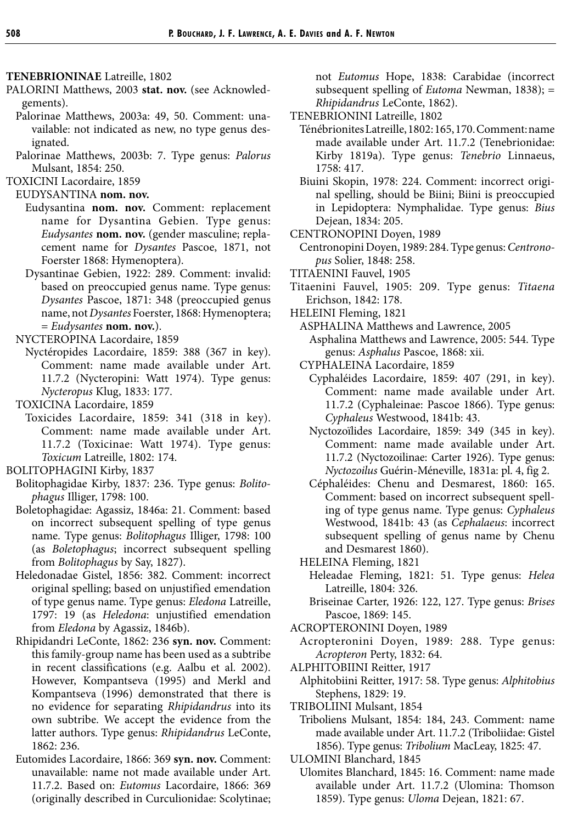#### **TENEBRIONINAE** Latreille, 1802

- PALORINI Matthews, 2003 **stat. nov.** (see Acknowledgements).
	- Palorinae Matthews, 2003a: 49, 50. Comment: unavailable: not indicated as new, no type genus designated.
	- Palorinae Matthews, 2003b: 7. Type genus: *Palorus* Mulsant, 1854: 250.
- TOXICINI Lacordaire, 1859

EUDYSANTINA **nom. nov.**

- Eudysantina **nom. nov.** Comment: replacement name for Dysantina Gebien. Type genus: *Eudysantes* **nom. nov.** (gender masculine; replacement name for *Dysantes* Pascoe, 1871, not Foerster 1868: Hymenoptera).
- Dysantinae Gebien, 1922: 289. Comment: invalid: based on preoccupied genus name. Type genus: *Dysantes* Pascoe, 1871: 348 (preoccupied genus name, not *Dysantes* Foerster, 1868: Hymenoptera; = *Eudysantes* **nom. nov.**).

NYCTEROPINA Lacordaire, 1859

- Nyctéropides Lacordaire, 1859: 388 (367 in key). Comment: name made available under Art. 11.7.2 (Nycteropini: Watt 1974). Type genus: *Nycteropus* Klug, 1833: 177.
- TOXICINA Lacordaire, 1859
- Toxicides Lacordaire, 1859: 341 (318 in key). Comment: name made available under Art. 11.7.2 (Toxicinae: Watt 1974). Type genus: *Toxicum* Latreille, 1802: 174.

BOLITOPHAGINI Kirby, 1837

- Bolitophagidae Kirby, 1837: 236. Type genus: *Bolitophagus* Illiger, 1798: 100.
- Boletophagidae: Agassiz, 1846a: 21. Comment: based on incorrect subsequent spelling of type genus name. Type genus: *Bolitophagus* Illiger, 1798: 100 (as *Boletophagus*; incorrect subsequent spelling from *Bolitophagus* by Say, 1827).
- Heledonadae Gistel, 1856: 382. Comment: incorrect original spelling; based on unjustified emendation of type genus name. Type genus: *Eledona* Latreille, 1797: 19 (as *Heledona*: unjustified emendation from *Eledona* by Agassiz, 1846b).
- Rhipidandri LeConte, 1862: 236 **syn. nov.** Comment: this family-group name has been used as a subtribe in recent classifications (e.g. Aalbu et al. 2002). However, Kompantseva (1995) and Merkl and Kompantseva (1996) demonstrated that there is no evidence for separating *Rhipidandrus* into its own subtribe. We accept the evidence from the latter authors. Type genus: *Rhipidandrus* LeConte, 1862: 236.
- Eutomides Lacordaire, 1866: 369 **syn. nov.** Comment: unavailable: name not made available under Art. 11.7.2. Based on: *Eutomus* Lacordaire, 1866: 369 (originally described in Curculionidae: Scolytinae;

not *Eutomus* Hope, 1838: Carabidae (incorrect subsequent spelling of *Eutoma* Newman, 1838); = *Rhipidandrus* LeConte, 1862).

- TENEBRIONINI Latreille, 1802
	- Ténébrionites Latreille, 1802: 165, 170. Comment: name made available under Art. 11.7.2 (Tenebrionidae: Kirby 1819a). Type genus: *Tenebrio* Linnaeus, 1758: 417.
	- Biuini Skopin, 1978: 224. Comment: incorrect original spelling, should be Biini; Biini is preoccupied in Lepidoptera: Nymphalidae. Type genus: *Bius* Dejean, 1834: 205.
- CENTRONOPINI Doyen, 1989

Centronopini Doyen, 1989: 284. Type genus: *Centronopus* Solier, 1848: 258.

- TITAENINI Fauvel, 1905
- Titaenini Fauvel, 1905: 209. Type genus: *Titaena* Erichson, 1842: 178.
- HELEINI Fleming, 1821
	- ASPHALINA Matthews and Lawrence, 2005 Asphalina Matthews and Lawrence, 2005: 544. Type genus: *Asphalus* Pascoe, 1868: xii.
	- CYPHALEINA Lacordaire, 1859
		- Cyphaléides Lacordaire, 1859: 407 (291, in key). Comment: name made available under Art. 11.7.2 (Cyphaleinae: Pascoe 1866). Type genus: *Cyphaleus* Westwood, 1841b: 43.
		- Nyctozoïlides Lacordaire, 1859: 349 (345 in key). Comment: name made available under Art. 11.7.2 (Nyctozoilinae: Carter 1926). Type genus: *Nyctozoilus* Guérin-Méneville, 1831a: pl. 4, fig 2.
		- Céphaléides: Chenu and Desmarest, 1860: 165. Comment: based on incorrect subsequent spelling of type genus name. Type genus: *Cyphaleus* Westwood, 1841b: 43 (as *Cephalaeus*: incorrect subsequent spelling of genus name by Chenu and Desmarest 1860).
	- HELEINA Fleming, 1821
		- Heleadae Fleming, 1821: 51. Type genus: *Helea* Latreille, 1804: 326.
		- Briseinae Carter, 1926: 122, 127. Type genus: *Brises* Pascoe, 1869: 145.
- ACROPTERONINI Doyen, 1989
	- Acropteronini Doyen, 1989: 288. Type genus: *Acropteron* Perty, 1832: 64.
- ALPHITOBIINI Reitter, 1917
- Alphitobiini Reitter, 1917: 58. Type genus: *Alphitobius* Stephens, 1829: 19.
- TRIBOLIINI Mulsant, 1854
	- Triboliens Mulsant, 1854: 184, 243. Comment: name made available under Art. 11.7.2 (Triboliidae: Gistel 1856). Type genus: *Tribolium* MacLeay, 1825: 47.
- ULOMINI Blanchard, 1845
- Ulomites Blanchard, 1845: 16. Comment: name made available under Art. 11.7.2 (Ulomina: Thomson 1859). Type genus: *Uloma* Dejean, 1821: 67.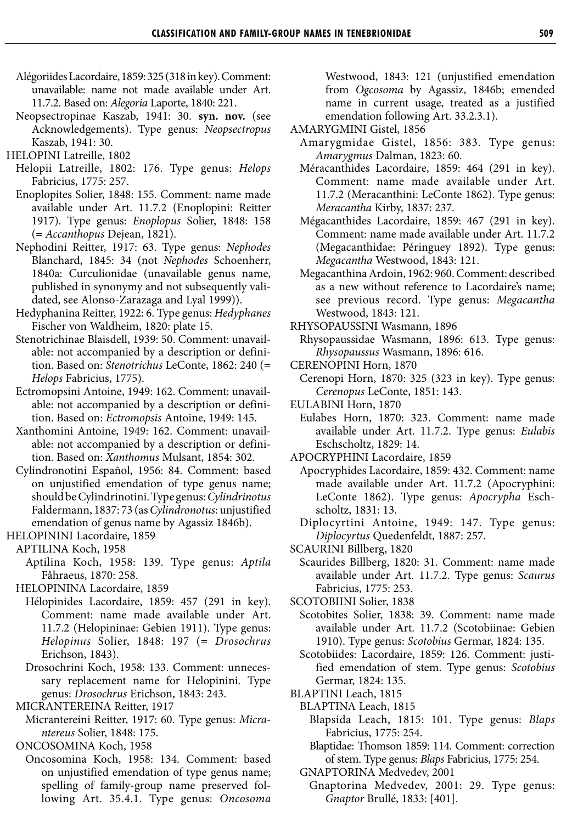- Alégoriides Lacordaire, 1859: 325 (318 in key). Comment: unavailable: name not made available under Art. 11.7.2. Based on: *Alegoria* Laporte, 1840: 221.
- Neopsectropinae Kaszab, 1941: 30. **syn. nov.** (see Acknowledgements). Type genus: *Neopsectropus* Kaszab, 1941: 30.

- Helopii Latreille, 1802: 176. Type genus: *Helops* Fabricius, 1775: 257.
- Enoplopites Solier, 1848: 155. Comment: name made available under Art. 11.7.2 (Enoplopini: Reitter 1917). Type genus: *Enoplopus* Solier, 1848: 158 (= *Accanthopus* Dejean, 1821).
- Nephodini Reitter, 1917: 63. Type genus: *Nephodes* Blanchard, 1845: 34 (not *Nephodes* Schoenherr, 1840a: Curculionidae (unavailable genus name, published in synonymy and not subsequently validated, see Alonso-Zarazaga and Lyal 1999)).
- Hedyphanina Reitter, 1922: 6. Type genus: *Hedyphanes* Fischer von Waldheim, 1820: plate 15.
- Stenotrichinae Blaisdell, 1939: 50. Comment: unavailable: not accompanied by a description or definition. Based on: *Stenotrichus* LeConte, 1862: 240 (= *Helops* Fabricius, 1775).
- Ectromopsini Antoine, 1949: 162. Comment: unavailable: not accompanied by a description or definition. Based on: *Ectromopsis* Antoine, 1949: 145.
- Xanthomini Antoine, 1949: 162. Comment: unavailable: not accompanied by a description or definition. Based on: *Xanthomus* Mulsant, 1854: 302.
- Cylindronotini Español, 1956: 84. Comment: based on unjustified emendation of type genus name; should be Cylindrinotini. Type genus: *Cylindrinotus* Faldermann, 1837: 73 (as *Cylindronotus*: unjustified emendation of genus name by Agassiz 1846b).

HELOPININI Lacordaire, 1859

- APTILINA Koch, 1958
	- Aptilina Koch, 1958: 139. Type genus: *Aptila* Fåhraeus, 1870: 258.

HELOPININA Lacordaire, 1859

- Hélopinides Lacordaire, 1859: 457 (291 in key). Comment: name made available under Art. 11.7.2 (Helopininae: Gebien 1911). Type genus: *Helopinus* Solier, 1848: 197 (= *Drosochrus* Erichson, 1843).
- Drosochrini Koch, 1958: 133. Comment: unnecessary replacement name for Helopinini. Type genus: *Drosochrus* Erichson, 1843: 243.

MICRANTEREINA Reitter, 1917

Micrantereini Reitter, 1917: 60. Type genus: *Micrantereus* Solier, 1848: 175.

ONCOSOMINA Koch, 1958

Oncosomina Koch, 1958: 134. Comment: based on unjustified emendation of type genus name; spelling of family-group name preserved following Art. 35.4.1. Type genus: *Oncosoma*

Westwood, 1843: 121 (unjustified emendation from *Ogcosoma* by Agassiz, 1846b; emended name in current usage, treated as a justified emendation following Art. 33.2.3.1).

- AMARYGMINI Gistel, 1856
	- Amarygmidae Gistel, 1856: 383. Type genus: *Amarygmus* Dalman, 1823: 60.
	- Méracanthides Lacordaire, 1859: 464 (291 in key). Comment: name made available under Art. 11.7.2 (Meracanthini: LeConte 1862). Type genus: *Meracantha* Kirby, 1837: 237.
	- Mégacanthides Lacordaire, 1859: 467 (291 in key). Comment: name made available under Art. 11.7.2 (Megacanthidae: Péringuey 1892). Type genus: *Megacantha* Westwood, 1843: 121.
	- Megacanthina Ardoin, 1962: 960. Comment: described as a new without reference to Lacordaire's name; see previous record. Type genus: *Megacantha* Westwood, 1843: 121.

RHYSOPAUSSINI Wasmann, 1896

- Rhysopaussidae Wasmann, 1896: 613. Type genus: *Rhysopaussus* Wasmann, 1896: 616.
- CERENOPINI Horn, 1870
- Cerenopi Horn, 1870: 325 (323 in key). Type genus: *Cerenopus* LeConte, 1851: 143.
- EULABINI Horn, 1870
	- Eulabes Horn, 1870: 323. Comment: name made available under Art. 11.7.2. Type genus: *Eulabis* Eschscholtz, 1829: 14.

APOCRYPHINI Lacordaire, 1859

Apocryphides Lacordaire, 1859: 432. Comment: name made available under Art. 11.7.2 (Apocryphini: LeConte 1862). Type genus: *Apocrypha* Eschscholtz, 1831: 13.

Diplocyrtini Antoine, 1949: 147. Type genus: *Diplocyrtus* Quedenfeldt, 1887: 257.

- SCAURINI Billberg, 1820
	- Scaurides Billberg, 1820: 31. Comment: name made available under Art. 11.7.2. Type genus: *Scaurus* Fabricius, 1775: 253.
- SCOTOBIINI Solier, 1838
	- Scotobites Solier, 1838: 39. Comment: name made available under Art. 11.7.2 (Scotobiinae: Gebien 1910). Type genus: *Scotobius* Germar, 1824: 135.
	- Scotobiides: Lacordaire, 1859: 126. Comment: justified emendation of stem. Type genus: *Scotobius* Germar, 1824: 135.
- BLAPTINI Leach, 1815
	- BLAPTINA Leach, 1815
		- Blapsida Leach, 1815: 101. Type genus: *Blaps* Fabricius, 1775: 254.

Blaptidae: Thomson 1859: 114. Comment: correction of stem. Type genus: *Blaps* Fabricius, 1775: 254.

- GNAPTORINA Medvedev, 2001
	- Gnaptorina Medvedev, 2001: 29. Type genus: *Gnaptor* Brullé, 1833: [401].

HELOPINI Latreille, 1802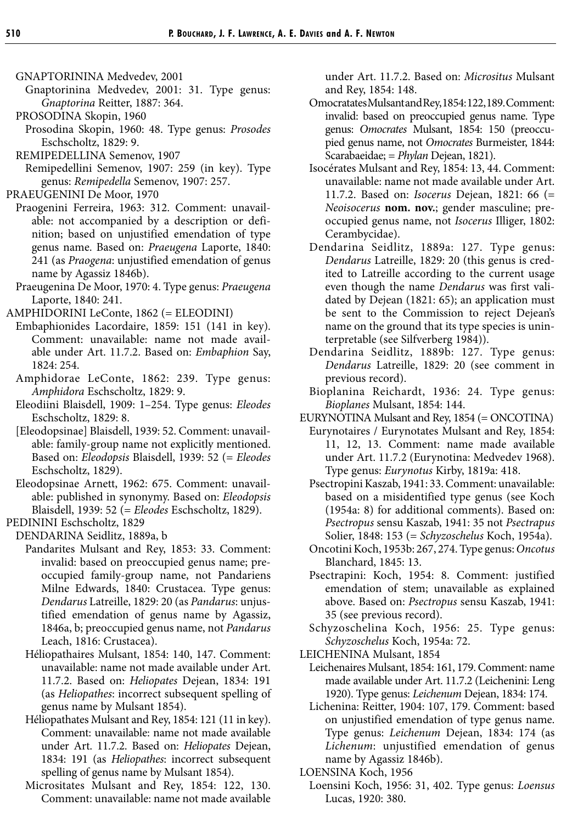- GNAPTORININA Medvedev, 2001
- Gnaptorinina Medvedev, 2001: 31. Type genus: *Gnaptorina* Reitter, 1887: 364.
- PROSODINA Skopin, 1960
- Prosodina Skopin, 1960: 48. Type genus: *Prosodes* Eschscholtz, 1829: 9.
- REMIPEDELLINA Semenov, 1907
- Remipedellini Semenov, 1907: 259 (in key). Type genus: *Remipedella* Semenov, 1907: 257.
- PRAEUGENINI De Moor, 1970
	- Praogenini Ferreira, 1963: 312. Comment: unavailable: not accompanied by a description or definition; based on unjustified emendation of type genus name. Based on: *Praeugena* Laporte, 1840: 241 (as *Praogena*: unjustified emendation of genus name by Agassiz 1846b).
	- Praeugenina De Moor, 1970: 4. Type genus: *Praeugena* Laporte, 1840: 241.
- AMPHIDORINI LeConte, 1862 (= ELEODINI)
	- Embaphionides Lacordaire, 1859: 151 (141 in key). Comment: unavailable: name not made available under Art. 11.7.2. Based on: *Embaphion* Say, 1824: 254.
	- Amphidorae LeConte, 1862: 239. Type genus: *Amphidora* Eschscholtz, 1829: 9.
	- Eleodiini Blaisdell, 1909: 1–254. Type genus: *Eleodes* Eschscholtz, 1829: 8.
	- [Eleodopsinae] Blaisdell, 1939: 52. Comment: unavailable: family-group name not explicitly mentioned. Based on: *Eleodopsis* Blaisdell, 1939: 52 (= *Eleodes* Eschscholtz, 1829).
	- Eleodopsinae Arnett, 1962: 675. Comment: unavailable: published in synonymy. Based on: *Eleodopsis* Blaisdell, 1939: 52 (= *Eleodes* Eschscholtz, 1829).

PEDININI Eschscholtz, 1829

- DENDARINA Seidlitz, 1889a, b
	- Pandarites Mulsant and Rey, 1853: 33. Comment: invalid: based on preoccupied genus name; preoccupied family-group name, not Pandariens Milne Edwards, 1840: Crustacea. Type genus: *Dendarus* Latreille, 1829: 20 (as *Pandarus*: unjustified emendation of genus name by Agassiz, 1846a, b; preoccupied genus name, not *Pandarus* Leach, 1816: Crustacea).
	- Héliopathaires Mulsant, 1854: 140, 147. Comment: unavailable: name not made available under Art. 11.7.2. Based on: *Heliopates* Dejean, 1834: 191 (as *Heliopathes*: incorrect subsequent spelling of genus name by Mulsant 1854).
	- Héliopathates Mulsant and Rey, 1854: 121 (11 in key). Comment: unavailable: name not made available under Art. 11.7.2. Based on: *Heliopates* Dejean, 1834: 191 (as *Heliopathes*: incorrect subsequent spelling of genus name by Mulsant 1854).
	- Micrositates Mulsant and Rey, 1854: 122, 130. Comment: unavailable: name not made available

under Art. 11.7.2. Based on: *Micrositus* Mulsant and Rey, 1854: 148.

- Omocratates Mulsant and Rey, 1854: 122, 189. Comment: invalid: based on preoccupied genus name. Type genus: *Omocrates* Mulsant, 1854: 150 (preoccupied genus name, not *Omocrates* Burmeister, 1844: Scarabaeidae; = *Phylan* Dejean, 1821).
- Isocérates Mulsant and Rey, 1854: 13, 44. Comment: unavailable: name not made available under Art. 11.7.2. Based on: *Isocerus* Dejean, 1821: 66 (= *Neoisocerus* **nom. nov.**; gender masculine; preoccupied genus name, not *Isocerus* Illiger, 1802: Cerambycidae).
- Dendarina Seidlitz, 1889a: 127. Type genus: *Dendarus* Latreille, 1829: 20 (this genus is credited to Latreille according to the current usage even though the name *Dendarus* was first validated by Dejean (1821: 65); an application must be sent to the Commission to reject Dejean's name on the ground that its type species is uninterpretable (see Silfverberg 1984)).
- Dendarina Seidlitz, 1889b: 127. Type genus: *Dendarus* Latreille, 1829: 20 (see comment in previous record).
- Bioplanina Reichardt, 1936: 24. Type genus: *Bioplanes* Mulsant, 1854: 144.
- EURYNOTINA Mulsant and Rey, 1854 (= ONCOTINA)
	- Eurynotaires / Eurynotates Mulsant and Rey, 1854: 11, 12, 13. Comment: name made available under Art. 11.7.2 (Eurynotina: Medvedev 1968). Type genus: *Eurynotus* Kirby, 1819a: 418.
	- Psectropini Kaszab, 1941: 33. Comment: unavailable: based on a misidentified type genus (see Koch (1954a: 8) for additional comments). Based on: *Psectropus* sensu Kaszab, 1941: 35 not *Psectrapus* Solier, 1848: 153 (= *Schyzoschelus* Koch, 1954a).
	- Oncotini Koch, 1953b: 267, 274. Type genus: *Oncotus* Blanchard, 1845: 13.
	- Psectrapini: Koch, 1954: 8. Comment: justified emendation of stem; unavailable as explained above. Based on: *Psectropus* sensu Kaszab, 1941: 35 (see previous record).
	- Schyzoschelina Koch, 1956: 25. Type genus: *Schyzoschelus* Koch, 1954a: 72.
- LEICHENINA Mulsant, 1854
	- Leichenaires Mulsant, 1854: 161, 179. Comment: name made available under Art. 11.7.2 (Leichenini: Leng 1920). Type genus: *Leichenum* Dejean, 1834: 174.
	- Lichenina: Reitter, 1904: 107, 179. Comment: based on unjustified emendation of type genus name. Type genus: *Leichenum* Dejean, 1834: 174 (as *Lichenum*: unjustified emendation of genus name by Agassiz 1846b).
- LOENSINA Koch, 1956
	- Loensini Koch, 1956: 31, 402. Type genus: *Loensus* Lucas, 1920: 380.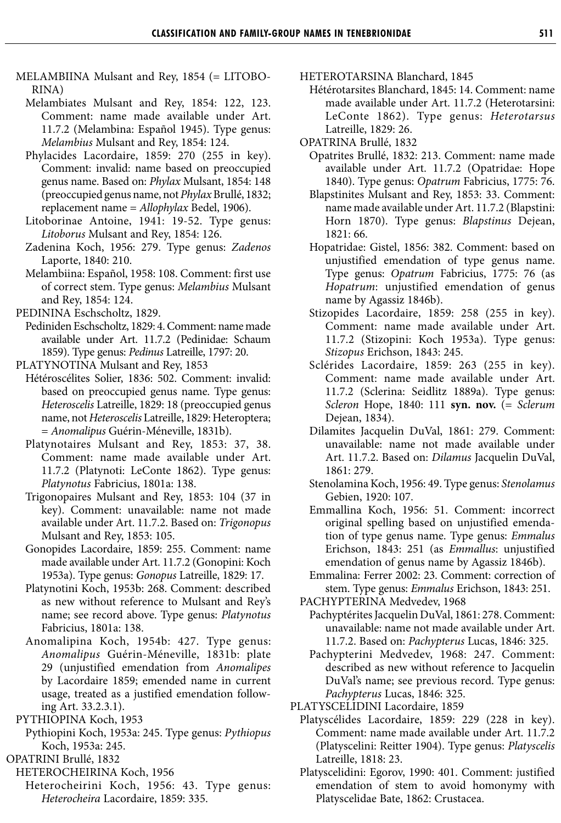- MELAMBIINA Mulsant and Rey, 1854 (= LITOBO-RINA)
	- Melambiates Mulsant and Rey, 1854: 122, 123. Comment: name made available under Art. 11.7.2 (Melambina: Español 1945). Type genus: *Melambius* Mulsant and Rey, 1854: 124.
	- Phylacides Lacordaire, 1859: 270 (255 in key). Comment: invalid: name based on preoccupied genus name. Based on: *Phylax* Mulsant, 1854: 148 (preoccupied genus name, not *Phylax* Brullé, 1832; replacement name = *Allophylax* Bedel, 1906).
	- Litoborinae Antoine, 1941: 19-52. Type genus: *Litoborus* Mulsant and Rey, 1854: 126.
	- Zadenina Koch, 1956: 279. Type genus: *Zadenos* Laporte, 1840: 210.
	- Melambiina: Español, 1958: 108. Comment: first use of correct stem. Type genus: *Melambius* Mulsant and Rey, 1854: 124.
- PEDININA Eschscholtz, 1829.
- Pediniden Eschscholtz, 1829: 4. Comment: name made available under Art. 11.7.2 (Pedinidae: Schaum 1859). Type genus: *Pedinus* Latreille, 1797: 20.

PLATYNOTINA Mulsant and Rey, 1853

- Hétéroscélites Solier, 1836: 502. Comment: invalid: based on preoccupied genus name. Type genus: *Heteroscelis* Latreille, 1829: 18 (preoccupied genus name, not *Heteroscelis* Latreille, 1829: Heteroptera; = *Anomalipus* Guérin-Méneville, 1831b).
- Platynotaires Mulsant and Rey, 1853: 37, 38. Comment: name made available under Art. 11.7.2 (Platynoti: LeConte 1862). Type genus: *Platynotus* Fabricius, 1801a: 138.
- Trigonopaires Mulsant and Rey, 1853: 104 (37 in key). Comment: unavailable: name not made available under Art. 11.7.2. Based on: *Trigonopus* Mulsant and Rey, 1853: 105.
- Gonopides Lacordaire, 1859: 255. Comment: name made available under Art. 11.7.2 (Gonopini: Koch 1953a). Type genus: *Gonopus* Latreille, 1829: 17.
- Platynotini Koch, 1953b: 268. Comment: described as new without reference to Mulsant and Rey's name; see record above. Type genus: *Platynotus* Fabricius, 1801a: 138.
- Anomalipina Koch, 1954b: 427. Type genus: *Anomalipus* Guérin-Méneville, 1831b: plate 29 (unjustified emendation from *Anomalipes* by Lacordaire 1859; emended name in current usage, treated as a justified emendation following Art. 33.2.3.1).
- PYTHIOPINA Koch, 1953
	- Pythiopini Koch, 1953a: 245. Type genus: *Pythiopus* Koch, 1953a: 245.
- OPATRINI Brullé, 1832
	- HETEROCHEIRINA Koch, 1956
		- Heterocheirini Koch, 1956: 43. Type genus: *Heterocheira* Lacordaire, 1859: 335.

HETEROTARSINA Blanchard, 1845

- Hétérotarsites Blanchard, 1845: 14. Comment: name made available under Art. 11.7.2 (Heterotarsini: LeConte 1862). Type genus: *Heterotarsus* Latreille, 1829: 26.
- OPATRINA Brullé, 1832
	- Opatrites Brullé, 1832: 213. Comment: name made available under Art. 11.7.2 (Opatridae: Hope 1840). Type genus: *Opatrum* Fabricius, 1775: 76.
	- Blapstinites Mulsant and Rey, 1853: 33. Comment: name made available under Art. 11.7.2 (Blapstini: Horn 1870). Type genus: *Blapstinus* Dejean, 1821: 66.
	- Hopatridae: Gistel, 1856: 382. Comment: based on unjustified emendation of type genus name. Type genus: *Opatrum* Fabricius, 1775: 76 (as *Hopatrum*: unjustified emendation of genus name by Agassiz 1846b).
	- Stizopides Lacordaire, 1859: 258 (255 in key). Comment: name made available under Art. 11.7.2 (Stizopini: Koch 1953a). Type genus: *Stizopus* Erichson, 1843: 245.
	- Sclérides Lacordaire, 1859: 263 (255 in key). Comment: name made available under Art. 11.7.2 (Sclerina: Seidlitz 1889a). Type genus: *Scleron* Hope, 1840: 111 **syn. nov.** (= *Sclerum* Dejean, 1834).
	- Dilamites Jacquelin DuVal, 1861: 279. Comment: unavailable: name not made available under Art. 11.7.2. Based on: *Dilamus* Jacquelin DuVal, 1861: 279.
	- Stenolamina Koch, 1956: 49. Type genus: *Stenolamus* Gebien, 1920: 107.
	- Emmallina Koch, 1956: 51. Comment: incorrect original spelling based on unjustified emendation of type genus name. Type genus: *Emmalus* Erichson, 1843: 251 (as *Emmallus*: unjustified emendation of genus name by Agassiz 1846b).
	- Emmalina: Ferrer 2002: 23. Comment: correction of stem. Type genus: *Emmalus* Erichson, 1843: 251.

PACHYPTERINA Medvedev, 1968

- Pachyptérites Jacquelin DuVal, 1861: 278. Comment: unavailable: name not made available under Art. 11.7.2. Based on: *Pachypterus* Lucas, 1846: 325.
- Pachypterini Medvedev, 1968: 247. Comment: described as new without reference to Jacquelin DuVal's name; see previous record. Type genus: *Pachypterus* Lucas, 1846: 325.
- PLATYSCELIDINI Lacordaire, 1859
	- Platyscélides Lacordaire, 1859: 229 (228 in key). Comment: name made available under Art. 11.7.2 (Platyscelini: Reitter 1904). Type genus: *Platyscelis* Latreille, 1818: 23.
	- Platyscelidini: Egorov, 1990: 401. Comment: justified emendation of stem to avoid homonymy with Platyscelidae Bate, 1862: Crustacea.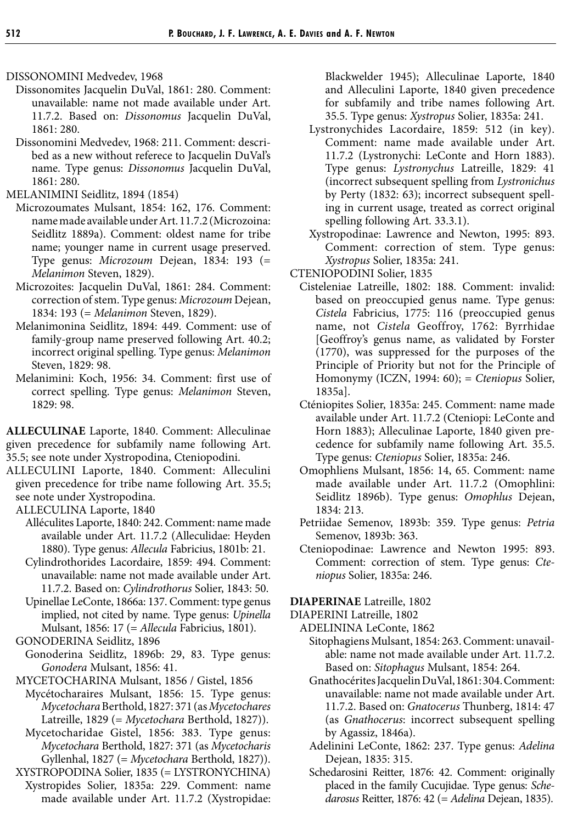DISSONOMINI Medvedev, 1968

- Dissonomites Jacquelin DuVal, 1861: 280. Comment: unavailable: name not made available under Art. 11.7.2. Based on: *Dissonomus* Jacquelin DuVal, 1861: 280.
- Dissonomini Medvedev, 1968: 211. Comment: described as a new without referece to Jacquelin DuVal's name. Type genus: *Dissonomus* Jacquelin DuVal, 1861: 280.

MELANIMINI Seidlitz, 1894 (1854)

- Microzoumates Mulsant, 1854: 162, 176. Comment: name made available under Art. 11.7.2 (Microzoina: Seidlitz 1889a). Comment: oldest name for tribe name; younger name in current usage preserved. Type genus: *Microzoum* Dejean, 1834: 193 (= *Melanimon* Steven, 1829).
- Microzoites: Jacquelin DuVal, 1861: 284. Comment: correction of stem. Type genus: *Microzoum* Dejean, 1834: 193 (= *Melanimon* Steven, 1829).
- Melanimonina Seidlitz, 1894: 449. Comment: use of family-group name preserved following Art. 40.2; incorrect original spelling. Type genus: *Melanimon* Steven, 1829: 98.
- Melanimini: Koch, 1956: 34. Comment: first use of correct spelling. Type genus: *Melanimon* Steven, 1829: 98.

**ALLECULINAE** Laporte, 1840. Comment: Alleculinae given precedence for subfamily name following Art. 35.5; see note under Xystropodina, Cteniopodini.

ALLECULINI Laporte, 1840. Comment: Alleculini given precedence for tribe name following Art. 35.5; see note under Xystropodina.

ALLECULINA Laporte, 1840

- Alléculites Laporte, 1840: 242. Comment: name made available under Art. 11.7.2 (Alleculidae: Heyden 1880). Type genus: *Allecula* Fabricius, 1801b: 21.
- Cylindrothorides Lacordaire, 1859: 494. Comment: unavailable: name not made available under Art. 11.7.2. Based on: *Cylindrothorus* Solier, 1843: 50.
- Upinellae LeConte, 1866a: 137. Comment: type genus implied, not cited by name. Type genus: *Upinella* Mulsant, 1856: 17 (= *Allecula* Fabricius, 1801).

GONODERINA Seidlitz, 1896

Gonoderina Seidlitz, 1896b: 29, 83. Type genus: *Gonodera* Mulsant, 1856: 41.

MYCETOCHARINA Mulsant, 1856 / Gistel, 1856

- Mycétocharaires Mulsant, 1856: 15. Type genus: *Mycetochara* Berthold, 1827: 371 (as *Mycetochares* Latreille, 1829 (= *Mycetochara* Berthold, 1827)).
- Mycetocharidae Gistel, 1856: 383. Type genus: *Mycetochara* Berthold, 1827: 371 (as *Mycetocharis* Gyllenhal, 1827 (= *Mycetochara* Berthold, 1827)).
- XYSTROPODINA Solier, 1835 (= LYSTRONYCHINA) Xystropides Solier, 1835a: 229. Comment: name made available under Art. 11.7.2 (Xystropidae:

Blackwelder 1945); Alleculinae Laporte, 1840 and Alleculini Laporte, 1840 given precedence for subfamily and tribe names following Art. 35.5. Type genus: *Xystropus* Solier, 1835a: 241.

- Lystronychides Lacordaire, 1859: 512 (in key). Comment: name made available under Art. 11.7.2 (Lystronychi: LeConte and Horn 1883). Type genus: *Lystronychus* Latreille, 1829: 41 (incorrect subsequent spelling from *Lystronichus* by Perty (1832: 63); incorrect subsequent spelling in current usage, treated as correct original spelling following Art. 33.3.1).
- Xystropodinae: Lawrence and Newton, 1995: 893. Comment: correction of stem. Type genus: *Xystropus* Solier, 1835a: 241.

CTENIOPODINI Solier, 1835

- Cisteleniae Latreille, 1802: 188. Comment: invalid: based on preoccupied genus name. Type genus: *Cistela* Fabricius, 1775: 116 (preoccupied genus name, not *Cistela* Geoffroy, 1762: Byrrhidae [Geoffroy's genus name, as validated by Forster (1770), was suppressed for the purposes of the Principle of Priority but not for the Principle of Homonymy (ICZN, 1994: 60); = *Cteniopus* Solier, 1835a].
- Cténiopites Solier, 1835a: 245. Comment: name made available under Art. 11.7.2 (Cteniopi: LeConte and Horn 1883); Alleculinae Laporte, 1840 given precedence for subfamily name following Art. 35.5. Type genus: *Cteniopus* Solier, 1835a: 246.
- Omophliens Mulsant, 1856: 14, 65. Comment: name made available under Art. 11.7.2 (Omophlini: Seidlitz 1896b). Type genus: *Omophlus* Dejean, 1834: 213.
- Petriidae Semenov, 1893b: 359. Type genus: *Petria* Semenov, 1893b: 363.
- Cteniopodinae: Lawrence and Newton 1995: 893. Comment: correction of stem. Type genus: *Cteniopus* Solier, 1835a: 246.

**DIAPERINAE** Latreille, 1802

DIAPERINI Latreille, 1802

ADELININA LeConte, 1862

- Sitophagiens Mulsant, 1854: 263. Comment: unavailable: name not made available under Art. 11.7.2. Based on: *Sitophagus* Mulsant, 1854: 264.
- Gnathocérites Jacquelin DuVal, 1861: 304. Comment: unavailable: name not made available under Art. 11.7.2. Based on: *Gnatocerus* Thunberg, 1814: 47 (as *Gnathocerus*: incorrect subsequent spelling by Agassiz, 1846a).
- Adelinini LeConte, 1862: 237. Type genus: *Adelina* Dejean, 1835: 315.
- Schedarosini Reitter, 1876: 42. Comment: originally placed in the family Cucujidae. Type genus: *Schedarosus* Reitter, 1876: 42 (= *Adelina* Dejean, 1835).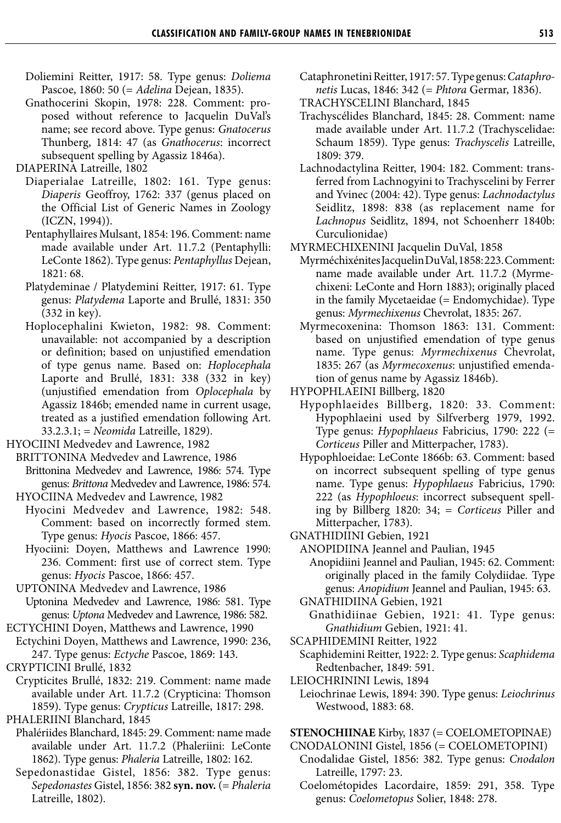- Doliemini Reitter, 1917: 58. Type genus: *Doliema* Pascoe, 1860: 50 (= *Adelina* Dejean, 1835).
- Gnathocerini Skopin, 1978: 228. Comment: proposed without reference to Jacquelin DuVal's name; see record above. Type genus: *Gnatocerus* Thunberg, 1814: 47 (as *Gnathocerus*: incorrect subsequent spelling by Agassiz 1846a).

DIAPERINA Latreille, 1802

- Diaperialae Latreille, 1802: 161. Type genus: *Diaperis* Geoffroy, 1762: 337 (genus placed on the Official List of Generic Names in Zoology (ICZN, 1994)).
- Pentaphyllaires Mulsant, 1854: 196. Comment: name made available under Art. 11.7.2 (Pentaphylli: LeConte 1862). Type genus: *Pentaphyllus* Dejean, 1821: 68.
- Platydeminae / Platydemini Reitter, 1917: 61. Type genus: *Platydema* Laporte and Brullé, 1831: 350 (332 in key).
- Hoplocephalini Kwieton, 1982: 98. Comment: unavailable: not accompanied by a description or definition; based on unjustified emendation of type genus name. Based on: *Hoplocephala* Laporte and Brullé, 1831: 338 (332 in key) (unjustified emendation from *Oplocephala* by Agassiz 1846b; emended name in current usage, treated as a justified emendation following Art. 33.2.3.1; = *Neomida* Latreille, 1829).

HYOCIINI Medvedev and Lawrence, 1982

- BRITTONINA Medvedev and Lawrence, 1986 Brittonina Medvedev and Lawrence, 1986: 574. Type genus: *Brittona* Medvedev and Lawrence, 1986: 574.
- HYOCIINA Medvedev and Lawrence, 1982
	- Hyocini Medvedev and Lawrence, 1982: 548. Comment: based on incorrectly formed stem. Type genus: *Hyocis* Pascoe, 1866: 457.
	- Hyociini: Doyen, Matthews and Lawrence 1990: 236. Comment: first use of correct stem. Type genus: *Hyocis* Pascoe, 1866: 457.
- UPTONINA Medvedev and Lawrence, 1986 Uptonina Medvedev and Lawrence, 1986: 581. Type genus: *Uptona* Medvedev and Lawrence, 1986: 582.
- ECTYCHINI Doyen, Matthews and Lawrence, 1990
- Ectychini Doyen, Matthews and Lawrence, 1990: 236, 247. Type genus: *Ectyche* Pascoe, 1869: 143.
- CRYPTICINI Brullé, 1832
- Crypticites Brullé, 1832: 219. Comment: name made available under Art. 11.7.2 (Crypticina: Thomson 1859). Type genus: *Crypticus* Latreille, 1817: 298.

PHALERIINI Blanchard, 1845

- Phalériides Blanchard, 1845: 29. Comment: name made available under Art. 11.7.2 (Phaleriini: LeConte 1862). Type genus: *Phaleria* Latreille, 1802: 162.
- Sepedonastidae Gistel, 1856: 382. Type genus: *Sepedonastes* Gistel, 1856: 382 **syn. nov.** (= *Phaleria* Latreille, 1802).
- Cataphronetini Reitter, 1917: 57. Type genus: *Cataphronetis* Lucas, 1846: 342 (= *Phtora* Germar, 1836).
- TRACHYSCELINI Blanchard, 1845
- Trachyscélides Blanchard, 1845: 28. Comment: name made available under Art. 11.7.2 (Trachyscelidae: Schaum 1859). Type genus: *Trachyscelis* Latreille, 1809: 379.
- Lachnodactylina Reitter, 1904: 182. Comment: transferred from Lachnogyini to Trachyscelini by Ferrer and Yvinec (2004: 42). Type genus: *Lachnodactylus* Seidlitz, 1898: 838 (as replacement name for *Lachnopus* Seidlitz, 1894, not Schoenherr 1840b: Curculionidae)

MYRMECHIXENINI Jacquelin DuVal, 1858

- Myrméchixénites Jacquelin DuVal, 1858: 223. Comment: name made available under Art. 11.7.2 (Myrmechixeni: LeConte and Horn 1883); originally placed in the family Mycetaeidae (= Endomychidae). Type genus: *Myrmechixenus* Chevrolat, 1835: 267.
- Myrmecoxenina: Thomson 1863: 131. Comment: based on unjustified emendation of type genus name. Type genus: *Myrmechixenus* Chevrolat, 1835: 267 (as *Myrmecoxenus*: unjustified emendation of genus name by Agassiz 1846b).
- HYPOPHLAEINI Billberg, 1820
	- Hypophlaeides Billberg, 1820: 33. Comment: Hypophlaeini used by Silfverberg 1979, 1992. Type genus: *Hypophlaeus* Fabricius, 1790: 222 (= *Corticeus* Piller and Mitterpacher, 1783).
	- Hypophloeidae: LeConte 1866b: 63. Comment: based on incorrect subsequent spelling of type genus name. Type genus: *Hypophlaeus* Fabricius, 1790: 222 (as *Hypophloeus*: incorrect subsequent spelling by Billberg 1820: 34; = *Corticeus* Piller and Mitterpacher, 1783).

GNATHIDIINI Gebien, 1921

- ANOPIDIINA Jeannel and Paulian, 1945
- Anopidiini Jeannel and Paulian, 1945: 62. Comment: originally placed in the family Colydiidae. Type genus: *Anopidium* Jeannel and Paulian, 1945: 63. GNATHIDIINA Gebien, 1921
- Gnathidiinae Gebien, 1921: 41. Type genus: *Gnathidium* Gebien, 1921: 41.
- SCAPHIDEMINI Reitter, 1922
- Scaphidemini Reitter, 1922: 2. Type genus: *Scaphidema* Redtenbacher, 1849: 591.
- LEIOCHRININI Lewis, 1894

**STENOCHIINAE** Kirby, 1837 (= COELOMETOPINAE)

- CNODALONINI Gistel, 1856 (= COELOMETOPINI)
- Cnodalidae Gistel, 1856: 382. Type genus: *Cnodalon* Latreille, 1797: 23.
- Coelométopides Lacordaire, 1859: 291, 358. Type genus: *Coelometopus* Solier, 1848: 278.

Leiochrinae Lewis, 1894: 390. Type genus: *Leiochrinus* Westwood, 1883: 68.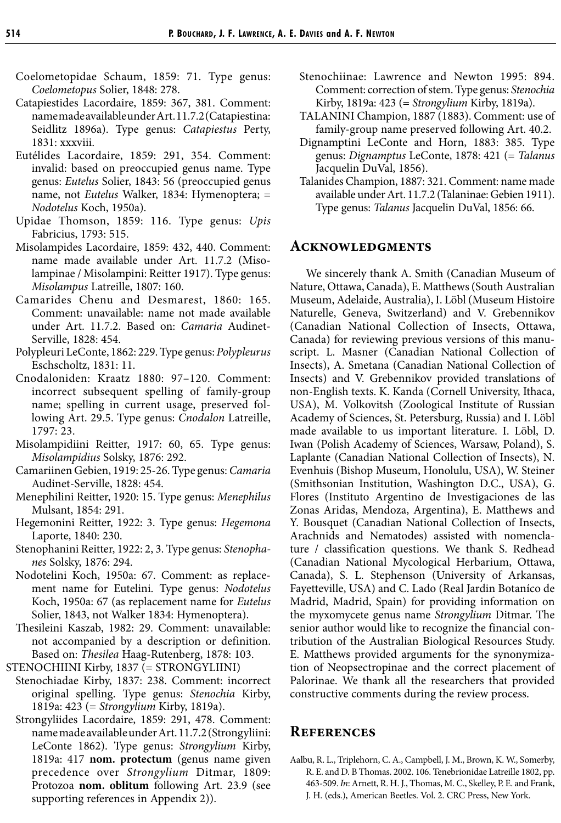- Coelometopidae Schaum, 1859: 71. Type genus: *Coelometopus* Solier, 1848: 278.
- Catapiestides Lacordaire, 1859: 367, 381. Comment: name made available under Art. 11.7.2 (Catapiestina: Seidlitz 1896a). Type genus: *Catapiestus* Perty, 1831: xxxviii.
- Eutélides Lacordaire, 1859: 291, 354. Comment: invalid: based on preoccupied genus name. Type genus: *Eutelus* Solier, 1843: 56 (preoccupied genus name, not *Eutelus* Walker, 1834: Hymenoptera; = *Nodotelus* Koch, 1950a).
- Upidae Thomson, 1859: 116. Type genus: *Upis* Fabricius, 1793: 515.
- Misolampides Lacordaire, 1859: 432, 440. Comment: name made available under Art. 11.7.2 (Misolampinae / Misolampini: Reitter 1917). Type genus: *Misolampus* Latreille, 1807: 160.
- Camarides Chenu and Desmarest, 1860: 165. Comment: unavailable: name not made available under Art. 11.7.2. Based on: *Camaria* Audinet-Serville, 1828: 454.
- Polypleuri LeConte, 1862: 229. Type genus: *Polypleurus* Eschscholtz, 1831: 11.
- Cnodaloniden: Kraatz 1880: 97–120. Comment: incorrect subsequent spelling of family-group name; spelling in current usage, preserved following Art. 29.5. Type genus: *Cnodalon* Latreille, 1797: 23.
- Misolampidiini Reitter, 1917: 60, 65. Type genus: *Misolampidius* Solsky, 1876: 292.
- Camariinen Gebien, 1919: 25-26. Type genus: *Camaria* Audinet-Serville, 1828: 454.
- Menephilini Reitter, 1920: 15. Type genus: *Menephilus* Mulsant, 1854: 291.
- Hegemonini Reitter, 1922: 3. Type genus: *Hegemona* Laporte, 1840: 230.
- Stenophanini Reitter, 1922: 2, 3. Type genus: *Stenophanes* Solsky, 1876: 294.
- Nodotelini Koch, 1950a: 67. Comment: as replacement name for Eutelini. Type genus: *Nodotelus* Koch, 1950a: 67 (as replacement name for *Eutelus* Solier, 1843, not Walker 1834: Hymenoptera).
- Thesileini Kaszab, 1982: 29. Comment: unavailable: not accompanied by a description or definition. Based on: *Thesilea* Haag-Rutenberg, 1878: 103.
- STENOCHIINI Kirby, 1837 (= STRONGYLIINI)
- Stenochiadae Kirby, 1837: 238. Comment: incorrect original spelling. Type genus: *Stenochia* Kirby, 1819a: 423 (= *Strongylium* Kirby, 1819a).
- Strongyliides Lacordaire, 1859: 291, 478. Comment: name made available under Art. 11.7.2 (Strongyliini: LeConte 1862). Type genus: *Strongylium* Kirby, 1819a: 417 **nom. protectum** (genus name given precedence over *Strongylium* Ditmar, 1809: Protozoa **nom. oblitum** following Art. 23.9 (see supporting references in Appendix 2)).
- Stenochiinae: Lawrence and Newton 1995: 894. Comment: correction of stem. Type genus: *Stenochia* Kirby, 1819a: 423 (= *Strongylium* Kirby, 1819a).
- TALANINI Champion, 1887 (1883). Comment: use of family-group name preserved following Art. 40.2.
- Dignamptini LeConte and Horn, 1883: 385. Type genus: *Dignamptus* LeConte, 1878: 421 (= *Talanus* Jacquelin DuVal, 1856).
- Talanides Champion, 1887: 321. Comment: name made available under Art. 11.7.2 (Talaninae: Gebien 1911). Type genus: *Talanus* Jacquelin DuVal, 1856: 66.

#### **Acknowledgments**

We sincerely thank A. Smith (Canadian Museum of Nature, Ottawa, Canada), E. Matthews (South Australian Museum, Adelaide, Australia), I. Löbl (Museum Histoire Naturelle, Geneva, Switzerland) and V. Grebennikov (Canadian National Collection of Insects, Ottawa, Canada) for reviewing previous versions of this manuscript. L. Masner (Canadian National Collection of Insects), A. Smetana (Canadian National Collection of Insects) and V. Grebennikov provided translations of non-English texts. K. Kanda (Cornell University, Ithaca, USA), M. Volkovitsh (Zoological Institute of Russian Academy of Sciences, St. Petersburg, Russia) and I. Löbl made available to us important literature. I. Löbl, D. Iwan (Polish Academy of Sciences, Warsaw, Poland), S. Laplante (Canadian National Collection of Insects), N. Evenhuis (Bishop Museum, Honolulu, USA), W. Steiner (Smithsonian Institution, Washington D.C., USA), G. Flores (Instituto Argentino de Investigaciones de las Zonas Aridas, Mendoza, Argentina), E. Matthews and Y. Bousquet (Canadian National Collection of Insects, Arachnids and Nematodes) assisted with nomenclature / classification questions. We thank S. Redhead (Canadian National Mycological Herbarium, Ottawa, Canada), S. L. Stephenson (University of Arkansas, Fayetteville, USA) and C. Lado (Real Jardin Botaníco de Madrid, Madrid, Spain) for providing information on the myxomycete genus name *Strongylium* Ditmar. The senior author would like to recognize the financial contribution of the Australian Biological Resources Study. E. Matthews provided arguments for the synonymization of Neopsectropinae and the correct placement of Palorinae. We thank all the researchers that provided constructive comments during the review process.

#### **References**

Aalbu, R. L., Triplehorn, C. A., Campbell, J. M., Brown, K. W., Somerby, R. E. and D. B Thomas. 2002. 106. Tenebrionidae Latreille 1802, pp. 463-509. *In*: Arnett, R. H. J., Thomas, M. C., Skelley, P. E. and Frank, J. H. (eds.), American Beetles. Vol. 2. CRC Press, New York.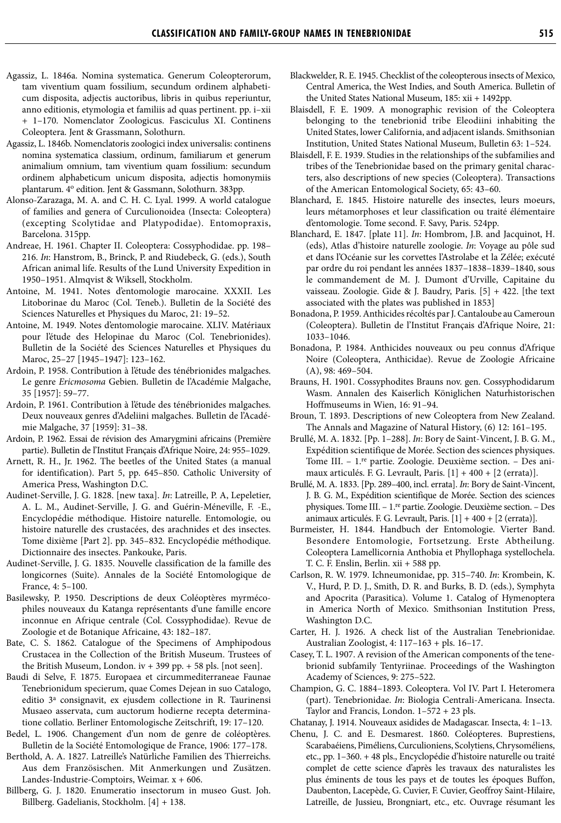- Agassiz, L. 1846a. Nomina systematica. Generum Coleopterorum, tam viventium quam fossilium, secundum ordinem alphabeticum disposita, adjectis auctoribus, libris in quibus reperiuntur, anno editionis, etymologia et familiis ad quas pertinent. pp. i–xii + 1–170. Nomenclator Zoologicus. Fasciculus XI. Continens Coleoptera. Jent & Grassmann, Solothurn.
- Agassiz, L. 1846b. Nomenclatoris zoologici index universalis: continens nomina systematica classium, ordinum, familiarum et generum animalium omnium, tam viventium quam fossilium: secundum ordinem alphabeticum unicum disposita, adjectis homonymiis plantarum. 4o edition. Jent & Gassmann, Solothurn. 383pp.
- Alonso-Zarazaga, M. A. and C. H. C. Lyal. 1999. A world catalogue of families and genera of Curculionoidea (Insecta: Coleoptera) (excepting Scolytidae and Platypodidae). Entomopraxis, Barcelona. 315pp.
- Andreae, H. 1961. Chapter II. Coleoptera: Cossyphodidae. pp. 198– 216. *In*: Hanstrom, B., Brinck, P. and Riudebeck, G. (eds.), South African animal life. Results of the Lund University Expedition in 1950–1951. Almqvist & Wiksell, Stockholm.
- Antoine, M. 1941. Notes d'entomologie marocaine. XXXII. Les Litoborinae du Maroc (Col. Teneb.). Bulletin de la Société des Sciences Naturelles et Physiques du Maroc, 21: 19–52.
- Antoine, M. 1949. Notes d'entomologie marocaine. XLIV. Matériaux pour l'étude des Helopinae du Maroc (Col. Tenebrionides). Bulletin de la Société des Sciences Naturelles et Physiques du Maroc, 25–27 [1945–1947]: 123–162.
- Ardoin, P. 1958. Contribution à l'étude des ténébrionides malgaches. Le genre *Ericmosoma* Gebien. Bulletin de l'Académie Malgache, 35 [1957]: 59–77.
- Ardoin, P. 1961. Contribution à l'étude des ténébrionides malgaches. Deux nouveaux genres d'Adeliini malgaches. Bulletin de l'Académie Malgache, 37 [1959]: 31–38.
- Ardoin, P. 1962. Essai de révision des Amarygmini africains (Première partie). Bulletin de l'Institut Français d'Afrique Noire, 24: 955–1029.
- Arnett, R. H., Jr. 1962. The beetles of the United States (a manual for identification). Part 5, pp. 645–850. Catholic University of America Press, Washington D.C.
- Audinet-Serville, J. G. 1828. [new taxa]. *In*: Latreille, P. A, Lepeletier, A. L. M., Audinet-Serville, J. G. and Guérin-Méneville, F. -E., Encyclopédie méthodique. Histoire naturelle. Entomologie, ou histoire naturelle des crustacées, des arachnides et des insectes. Tome dixième [Part 2]. pp. 345–832. Encyclopédie méthodique. Dictionnaire des insectes. Pankouke, Paris.
- Audinet-Serville, J. G. 1835. Nouvelle classification de la famille des longicornes (Suite). Annales de la Société Entomologique de France, 4: 5–100.
- Basilewsky, P. 1950. Descriptions de deux Coléoptères myrmécophiles nouveaux du Katanga représentants d'une famille encore inconnue en Afrique centrale (Col. Cossyphodidae). Revue de Zoologie et de Botanique Africaine, 43: 182–187.
- Bate, C. S. 1862. Catalogue of the Specimens of Amphipodous Crustacea in the Collection of the British Museum. Trustees of the British Museum, London. iv + 399 pp. + 58 pls. [not seen].
- Baudi di Selve, F. 1875. Europaea et circummediterraneae Faunae Tenebrionidum specierum, quae Comes Dejean in suo Catalogo, editio 3a consignavit, ex ejusdem collectione in R. Taurinensi Musaeo asservata, cum auctorum hodierne recepta determinatione collatio. Berliner Entomologische Zeitschrift, 19: 17–120.
- Bedel, L. 1906. Changement d'un nom de genre de coléoptères. Bulletin de la Société Entomologique de France, 1906: 177–178.
- Berthold, A. A. 1827. Latreille's Natürliche Familien des Thierreichs. Aus dem Französischen. Mit Anmerkungen und Zusätzen. Landes-Industrie-Comptoirs, Weimar. x + 606.
- Billberg, G. J. 1820. Enumeratio insectorum in museo Gust. Joh. Billberg. Gadelianis, Stockholm. [4] + 138.
- Blackwelder, R. E. 1945. Checklist of the coleopterous insects of Mexico, Central America, the West Indies, and South America. Bulletin of the United States National Museum, 185: xii + 1492pp.
- Blaisdell, F. E. 1909. A monographic revision of the Coleoptera belonging to the tenebrionid tribe Eleodiini inhabiting the United States, lower California, and adjacent islands. Smithsonian Institution, United States National Museum, Bulletin 63: 1–524.
- Blaisdell, F. E. 1939. Studies in the relationships of the subfamilies and tribes of the Tenebrionidae based on the primary genital characters, also descriptions of new species (Coleoptera). Transactions of the American Entomological Society, 65: 43–60.
- Blanchard, E. 1845. Histoire naturelle des insectes, leurs moeurs, leurs métamorphoses et leur classification ou traité élémentaire d'entomologie. Tome second. F. Savy, Paris. 524pp.
- Blanchard, E. 1847. [plate 11]. *In*: Hombrom, J.B. and Jacquinot, H. (eds), Atlas d'histoire naturelle zoologie. *In*: Voyage au pôle sud et dans l'Océanie sur les corvettes l'Astrolabe et la Zélée; exécuté par ordre du roi pendant les années 1837–1838–1839–1840, sous le commandement de M. J. Dumont d'Urville, Capitaine du vaisseau. Zoologie. Gide & J. Baudry, Paris. [5] + 422. [the text associated with the plates was published in 1853]
- Bonadona, P. 1959. Anthicides récoltés par J. Cantaloube au Cameroun (Coleoptera). Bulletin de l'Institut Français d'Afrique Noire, 21: 1033–1046.
- Bonadona, P. 1984. Anthicides nouveaux ou peu connus d'Afrique Noire (Coleoptera, Anthicidae). Revue de Zoologie Africaine (A), 98: 469–504.
- Brauns, H. 1901. Cossyphodites Brauns nov. gen. Cossyphodidarum Wasm. Annalen des Kaiserlich Königlichen Naturhistorischen Hoffmuseums in Wien, 16: 91–94.
- Broun, T. 1893. Descriptions of new Coleoptera from New Zealand. The Annals and Magazine of Natural History, (6) 12: 161–195.
- Brullé, M. A. 1832. [Pp. 1–288]. *In*: Bory de Saint-Vincent, J. B. G. M., Expédition scientifique de Morée. Section des sciences physiques. Tome III. – 1.re partie. Zoologie. Deuxième section. – Des animaux articulés. F. G. Levrault, Paris. [1] + 400 + [2 (errata)].
- Brullé, M. A. 1833. [Pp. 289–400, incl. errata]. *In*: Bory de Saint-Vincent, J. B. G. M., Expédition scientifique de Morée. Section des sciences physiques. Tome III. – 1.re partie. Zoologie. Deuxième section. – Des animaux articulés. F. G. Levrault, Paris. [1] + 400 + [2 (errata)].
- Burmeister, H. 1844. Handbuch der Entomologie. Vierter Band. Besondere Entomologie, Fortsetzung. Erste Abtheilung. Coleoptera Lamellicornia Anthobia et Phyllophaga systellochela. T. C. F. Enslin, Berlin. xii + 588 pp.
- Carlson, R. W. 1979. Ichneumonidae, pp. 315–740. *In*: Krombein, K. V., Hurd, P. D. J., Smith, D. R. and Burks, B. D. (eds.), Symphyta and Apocrita (Parasitica). Volume 1. Catalog of Hymenoptera in America North of Mexico. Smithsonian Institution Press, Washington D.C.
- Carter, H. J. 1926. A check list of the Australian Tenebrionidae. Australian Zoologist, 4: 117–163 + pls. 16–17.
- Casey, T. L. 1907. A revision of the American components of the tenebrionid subfamily Tentyriinae. Proceedings of the Washington Academy of Sciences, 9: 275–522.
- Champion, G. C. 1884–1893. Coleoptera. Vol IV. Part I. Heteromera (part). Tenebrionidae. *In*: Biologia Centrali-Americana. Insecta. Taylor and Francis, London. 1–572 + 23 pls.
- Chatanay, J. 1914. Nouveaux asidides de Madagascar. Insecta, 4: 1–13.
- Chenu, J. C. and E. Desmarest. 1860. Coléopteres. Buprestiens, Scarabaéiens, Piméliens, Curculioniens, Scolytiens, Chrysoméliens, etc., pp. 1–360. + 48 pls., Encyclopédie d'histoire naturelle ou traité complet de cette science d'après les travaux des naturalistes les plus éminents de tous les pays et de toutes les époques Buffon, Daubenton, Lacepède, G. Cuvier, F. Cuvier, Geoffroy Saint-Hilaire, Latreille, de Jussieu, Brongniart, etc., etc. Ouvrage résumant les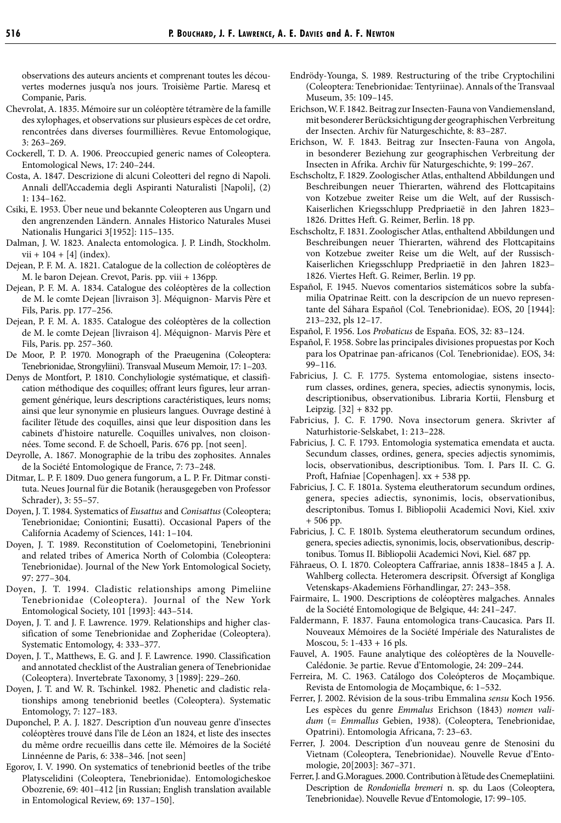observations des auteurs ancients et comprenant toutes les découvertes modernes jusqu'a nos jours. Troisième Partie. Maresq et Companie, Paris.

- Chevrolat, A. 1835. Mémoire sur un coléoptère tétramère de la famille des xylophages, et observations sur plusieurs espèces de cet ordre, rencontrées dans diverses fourmillières. Revue Entomologique, 3: 263–269.
- Cockerell, T. D. A. 1906. Preoccupied generic names of Coleoptera. Entomological News, 17: 240–244.
- Costa, A. 1847. Descrizione di alcuni Coleotteri del regno di Napoli. Annali dell'Accademia degli Aspiranti Naturalisti [Napoli], (2) 1: 134–162.
- Csiki, E. 1953. Über neue und bekannte Coleopteren aus Ungarn und den angrenzenden Ländern. Annales Historico Naturales Musei Nationalis Hungarici 3[1952]: 115–135.
- Dalman, J. W. 1823. Analecta entomologica. J. P. Lindh, Stockholm.  $vii + 104 + [4] (index).$
- Dejean, P. F. M. A. 1821. Catalogue de la collection de coléoptères de M. le baron Dejean. Crevot, Paris. pp. viii + 136pp.
- Dejean, P. F. M. A. 1834. Catalogue des coléoptères de la collection de M. le comte Dejean [livraison 3]. Méquignon- Marvis Père et Fils, Paris. pp. 177–256.
- Dejean, P. F. M. A. 1835. Catalogue des coléoptères de la collection de M. le comte Dejean [livraison 4]. Méquignon- Marvis Père et Fils, Paris. pp. 257–360.
- De Moor, P. P. 1970. Monograph of the Praeugenina (Coleoptera: Tenebrionidae, Strongyliini). Transvaal Museum Memoir, 17: 1–203.
- Denys de Montfort, P. 1810. Conchyliologie systématique, et classification méthodique des coquilles; offrant leurs figures, leur arrangement générique, leurs descriptions caractéristiques, leurs noms; ainsi que leur synonymie en plusieurs langues. Ouvrage destiné à faciliter l'étude des coquilles, ainsi que leur disposition dans les cabinets d'histoire naturelle. Coquilles univalves, non cloisonnées. Tome second. F. de Schoell, Paris. 676 pp. [not seen].
- Deyrolle, A. 1867. Monographie de la tribu des zophosites. Annales de la Société Entomologique de France, 7: 73–248.
- Ditmar, L. P. F. 1809. Duo genera fungorum, a L. P. Fr. Ditmar constituta. Neues Journal für die Botanik (herausgegeben von Professor Schrader), 3: 55–57.
- Doyen, J. T. 1984. Systematics of *Eusattus* and *Conisattus* (Coleoptera; Tenebrionidae; Coniontini; Eusatti). Occasional Papers of the California Academy of Sciences, 141: 1–104.
- Doyen, J. T. 1989. Reconstitution of Coelometopini, Tenebrionini and related tribes of America North of Colombia (Coleoptera: Tenebrionidae). Journal of the New York Entomological Society, 97: 277–304.
- Doyen, J. T. 1994. Cladistic relationships among Pimeliine Tenebrionidae (Coleoptera). Journal of the New York Entomological Society, 101 [1993]: 443–514.
- Doyen, J. T. and J. F. Lawrence. 1979. Relationships and higher classification of some Tenebrionidae and Zopheridae (Coleoptera). Systematic Entomology, 4: 333–377.
- Doyen, J. T., Matthews, E. G. and J. F. Lawrence. 1990. Classification and annotated checklist of the Australian genera of Tenebrionidae (Coleoptera). Invertebrate Taxonomy, 3 [1989]: 229–260.
- Doyen, J. T. and W. R. Tschinkel. 1982. Phenetic and cladistic relationships among tenebrionid beetles (Coleoptera). Systematic Entomology, 7: 127–183.
- Duponchel, P. A. J. 1827. Description d'un nouveau genre d'insectes coléoptères trouvé dans l'île de Léon an 1824, et liste des insectes du même ordre recueillis dans cette île. Mémoires de la Société Linnéenne de Paris, 6: 338–346. [not seen]
- Egorov, I. V. 1990. On systematics of tenebrionid beetles of the tribe Platyscelidini (Coleoptera, Tenebrionidae). Entomologicheskoe Obozrenie, 69: 401–412 [in Russian; English translation available in Entomological Review, 69: 137–150].
- Endrödy-Younga, S. 1989. Restructuring of the tribe Cryptochilini (Coleoptera: Tenebrionidae: Tentyriinae). Annals of the Transvaal Museum, 35: 109–145.
- Erichson, W. F. 1842. Beitrag zur Insecten-Fauna von Vandiemensland, mit besonderer Berücksichtigung der geographischen Verbreitung der Insecten. Archiv für Naturgeschichte, 8: 83–287.
- Erichson, W. F. 1843. Beitrag zur Insecten-Fauna von Angola, in besonderer Beziehung zur geographischen Verbreitung der Insecten in Afrika. Archiv für Naturgeschichte, 9: 199–267.
- Eschscholtz, F. 1829. Zoologischer Atlas, enthaltend Abbildungen und Beschreibungen neuer Thierarten, während des Flottcapitains von Kotzebue zweiter Reise um die Welt, auf der Russisch-Kaiserlichen Kriegsschlupp Predpriaetië in den Jahren 1823– 1826. Drittes Heft. G. Reimer, Berlin. 18 pp.
- Eschscholtz, F. 1831. Zoologischer Atlas, enthaltend Abbildungen und Beschreibungen neuer Thierarten, während des Flottcapitains von Kotzebue zweiter Reise um die Welt, auf der Russisch-Kaiserlichen Kriegsschlupp Predpriaetië in den Jahren 1823– 1826. Viertes Heft. G. Reimer, Berlin. 19 pp.
- Español, F. 1945. Nuevos comentarios sistemáticos sobre la subfamilia Opatrinae Reitt. con la descripcíon de un nuevo representante del Sáhara Español (Col. Tenebrionidae). EOS, 20 [1944]: 213–232, pls 12–17.
- Español, F. 1956. Los *Probaticus* de España. EOS, 32: 83–124.
- Español, F. 1958. Sobre las principales divisiones propuestas por Koch para los Opatrinae pan-africanos (Col. Tenebrionidae). EOS, 34: 99–116.
- Fabricius, J. C. F. 1775. Systema entomologiae, sistens insectorum classes, ordines, genera, species, adiectis synonymis, locis, descriptionibus, observationibus. Libraria Kortii, Flensburg et Leipzig. [32] + 832 pp.
- Fabricius, J. C. F. 1790. Nova insectorum genera. Skrivter af Naturhistorie-Selskabet, 1: 213–228.
- Fabricius, J. C. F. 1793. Entomologia systematica emendata et aucta. Secundum classes, ordines, genera, species adjectis synomimis, locis, observationibus, descriptionibus. Tom. I. Pars II. C. G. Proft, Hafniae [Copenhagen]. xx + 538 pp.
- Fabricius, J. C. F. 1801a. Systema eleutheratorum secundum ordines, genera, species adiectis, synonimis, locis, observationibus, descriptonibus. Tomus I. Bibliopolii Academici Novi, Kiel. xxiv + 506 pp.
- Fabricius, J. C. F. 1801b. Systema eleutheratorum secundum ordines, genera, species adiectis, synonimis, locis, observationibus, descriptonibus. Tomus II. Bibliopolii Academici Novi, Kiel. 687 pp.
- Fåhraeus, O. I. 1870. Coleoptera Caffrariae, annis 1838–1845 a J. A. Wahlberg collecta. Heteromera descripsit. Öfversigt af Kongliga Vetenskaps-Akademiens Förhandlingar, 27: 243–358.
- Fairmaire, L. 1900. Descriptions de coléoptères malgaches. Annales de la Société Entomologique de Belgique, 44: 241–247.
- Faldermann, F. 1837. Fauna entomologica trans-Caucasica. Pars II. Nouveaux Mémoires de la Société Impériale des Naturalistes de Moscou, 5: 1-433 + 16 pls.
- Fauvel, A. 1905. Faune analytique des coléoptères de la Nouvelle-Calédonie. 3e partie. Revue d'Entomologie, 24: 209–244.
- Ferreira, M. C. 1963. Catálogo dos Coleópteros de Moçambique. Revista de Entomologia de Moçambique, 6: 1–532.
- Ferrer, J. 2002. Révision de la sous-tribu Emmalina *sensu* Koch 1956. Les espèces du genre *Emmalus* Erichson (1843) *nomen validum* (= *Emmallus* Gebien, 1938). (Coleoptera, Tenebrionidae, Opatrini). Entomologia Africana, 7: 23–63.
- Ferrer, J. 2004. Description d'un nouveau genre de Stenosini du Vietnam (Coleoptera, Tenebrionidae). Nouvelle Revue d'Entomologie, 20[2003]: 367–371.
- Ferrer, J. and G.Moragues. 2000. Contribution à l'étude des Cnemeplatiini. Description de *Rondoniella bremeri* n. sp. du Laos (Coleoptera, Tenebrionidae). Nouvelle Revue d'Entomologie, 17: 99–105.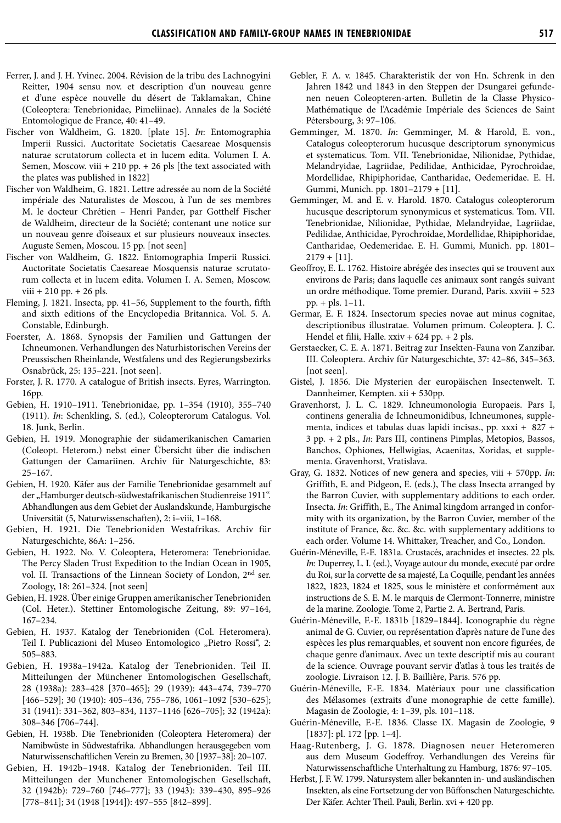- Ferrer, J. and J. H. Yvinec. 2004. Révision de la tribu des Lachnogyini Reitter, 1904 sensu nov. et description d'un nouveau genre et d'une espèce nouvelle du désert de Taklamakan, Chine (Coleoptera: Tenebrionidae, Pimeliinae). Annales de la Société Entomologique de France, 40: 41–49.
- Fischer von Waldheim, G. 1820. [plate 15]. *In*: Entomographia Imperii Russici. Auctoritate Societatis Caesareae Mosquensis naturae scrutatorum collecta et in lucem edita. Volumen I. A. Semen, Moscow. viii + 210 pp. + 26 pls [the text associated with the plates was published in 1822]
- Fischer von Waldheim, G. 1821. Lettre adressée au nom de la Société impériale des Naturalistes de Moscou, à l'un de ses membres M. le docteur Chrétien – Henri Pander, par Gotthelf Fischer de Waldheim, directeur de la Société; contenant une notice sur un nouveau genre d'oiseaux et sur plusieurs nouveaux insectes. Auguste Semen, Moscou. 15 pp. [not seen]
- Fischer von Waldheim, G. 1822. Entomographia Imperii Russici. Auctoritate Societatis Caesareae Mosquensis naturae scrutatorum collecta et in lucem edita. Volumen I. A. Semen, Moscow. viii + 210 pp. + 26 pls.
- Fleming, J. 1821. Insecta, pp. 41–56, Supplement to the fourth, fifth and sixth editions of the Encyclopedia Britannica. Vol. 5. A. Constable, Edinburgh.
- Foerster, A. 1868. Synopsis der Familien und Gattungen der Ichneumonen. Verhandlungen des Naturhistorischen Vereins der Preussischen Rheinlande, Westfalens und des Regierungsbezirks Osnabrück, 25: 135–221. [not seen].
- Forster, J. R. 1770. A catalogue of British insects. Eyres, Warrington. 16pp.
- Gebien, H. 1910–1911. Tenebrionidae, pp. 1–354 (1910), 355–740 (1911). *In*: Schenkling, S. (ed.), Coleopterorum Catalogus. Vol. 18. Junk, Berlin.
- Gebien, H. 1919. Monographie der südamerikanischen Camarien (Coleopt. Heterom.) nebst einer Übersicht über die indischen Gattungen der Camariinen. Archiv für Naturgeschichte, 83: 25–167.
- Gebien, H. 1920. Käfer aus der Familie Tenebrionidae gesammelt auf der "Hamburger deutsch-südwestafrikanischen Studienreise 1911". Abhandlungen aus dem Gebiet der Auslandskunde, Hamburgische Universität (5, Naturwissenschaften), 2: i–viii, 1–168.
- Gebien, H. 1921. Die Tenebrioniden Westafrikas. Archiv für Naturgeschichte, 86A: 1–256.
- Gebien, H. 1922. No. V. Coleoptera, Heteromera: Tenebrionidae. The Percy Sladen Trust Expedition to the Indian Ocean in 1905, vol. II. Transactions of the Linnean Society of London, 2nd ser. Zoology, 18: 261–324. [not seen]
- Gebien, H. 1928. Über einige Gruppen amerikanischer Tenebrioniden (Col. Heter.). Stettiner Entomologische Zeitung, 89: 97–164, 167–234.
- Gebien, H. 1937. Katalog der Tenebrioniden (Col. Heteromera). Teil I. Publicazioni del Museo Entomologico "Pietro Rossi", 2: 505–883.
- Gebien, H. 1938a–1942a. Katalog der Tenebrioniden. Teil II. Mitteilungen der Münchener Entomologischen Gesellschaft, 28 (1938a): 283–428 [370–465]; 29 (1939): 443–474, 739–770 [466–529]; 30 (1940): 405–436, 755–786, 1061–1092 [530–625]; 31 (1941): 331–362, 803–834, 1137–1146 [626–705]; 32 (1942a): 308–346 [706–744].
- Gebien, H. 1938b. Die Tenebrioniden (Coleoptera Heteromera) der Namibwüste in Südwestafrika. Abhandlungen herausgegeben vom Naturwissenschaftlichen Verein zu Bremen, 30 [1937–38]: 20–107.
- Gebien, H. 1942b–1948. Katalog der Tenebrioniden. Teil III. Mitteilungen der Munchener Entomologischen Gesellschaft, 32 (1942b): 729–760 [746–777]; 33 (1943): 339–430, 895–926 [778–841]; 34 (1948 [1944]): 497–555 [842–899].
- Gebler, F. A. v. 1845. Charakteristik der von Hn. Schrenk in den Jahren 1842 und 1843 in den Steppen der Dsungarei gefundenen neuen Coleopteren-arten. Bulletin de la Classe Physico-Mathématique de l'Académie Impériale des Sciences de Saint Pétersbourg, 3: 97–106.
- Gemminger, M. 1870. *In*: Gemminger, M. & Harold, E. von., Catalogus coleopterorum hucusque descriptorum synonymicus et systematicus. Tom. VII. Tenebrionidae, Nilionidae, Pythidae, Melandryidae, Lagriidae, Pedilidae, Anthicidae, Pyrochroidae, Mordellidae, Rhipiphoridae, Cantharidae, Oedemeridae. E. H. Gummi, Munich. pp. 1801–2179 + [11].
- Gemminger, M. and E. v. Harold. 1870. Catalogus coleopterorum hucusque descriptorum synonymicus et systematicus. Tom. VII. Tenebrionidae, Nilionidae, Pythidae, Melandryidae, Lagriidae, Pedilidae, Anthicidae, Pyrochroidae, Mordellidae, Rhipiphoridae, Cantharidae, Oedemeridae. E. H. Gummi, Munich. pp. 1801–  $2179 + [11]$ .
- Geoffroy, E. L. 1762. Histoire abrégée des insectes qui se trouvent aux environs de Paris; dans laquelle ces animaux sont rangés suivant un ordre méthodique. Tome premier. Durand, Paris. xxviii + 523 pp. + pls. 1–11.
- Germar, E. F. 1824. Insectorum species novae aut minus cognitae, descriptionibus illustratae. Volumen primum. Coleoptera. J. C. Hendel et filii, Halle. xxiv + 624 pp. + 2 pls.
- Gerstaecker, C. E. A. 1871. Beitrag zur Insekten-Fauna von Zanzibar. III. Coleoptera. Archiv für Naturgeschichte, 37: 42–86, 345–363. [not seen].
- Gistel, J. 1856. Die Mysterien der europäischen Insectenwelt. T. Dannheimer, Kempten. xii + 530pp.
- Gravenhorst, J. L. C. 1829. Ichneumonologia Europaeis. Pars I, continens generalia de Ichneumonidibus, Ichneumones, supplementa, indices et tabulas duas lapidi incisas., pp. xxxi + 827 + 3 pp. + 2 pls., *In*: Pars III, continens Pimplas, Metopios, Bassos, Banchos, Ophiones, Hellwigias, Acaenitas, Xoridas, et supplementa. Gravenhorst, Vratislava.
- Gray, G. 1832. Notices of new genera and species, viii + 570pp. *In*: Griffith, E. and Pidgeon, E. (eds.), The class Insecta arranged by the Barron Cuvier, with supplementary additions to each order. Insecta. *In*: Griffith, E., The Animal kingdom arranged in conformity with its organization, by the Barron Cuvier, member of the institute of France, &c. &c. &c. with supplementary additions to each order. Volume 14. Whittaker, Treacher, and Co., London.
- Guérin-Méneville, F.-E. 1831a. Crustacés, arachnides et insectes. 22 pls. *In*: Duperrey, L. I. (ed.), Voyage autour du monde, executé par ordre du Roi, sur la corvette de sa majesté, La Coquille, pendant les années 1822, 1823, 1824 et 1825, sous le ministère et conformément aux instructions de S. E. M. le marquis de Clermont-Tonnerre, ministre de la marine. Zoologie. Tome 2, Partie 2. A. Bertrand, Paris.
- Guérin-Méneville, F.-E. 1831b [1829–1844]. Iconographie du règne animal de G. Cuvier, ou représentation d'après nature de l'une des espèces les plus remarquables, et souvent non encore figurées, de chaque genre d'animaux. Avec un texte descriptif mis au courant de la science. Ouvrage pouvant servir d'atlas à tous les traités de zoologie. Livraison 12. J. B. Baillière, Paris. 576 pp.
- Guérin-Méneville, F.-E. 1834. Matériaux pour une classification des Mélasomes (extraits d'une monographie de cette famille). Magasin de Zoologie, 4: 1–39, pls. 101–118.
- Guérin-Méneville, F.-E. 1836. Classe IX. Magasin de Zoologie, 9 [1837]: pl. 172 [pp. 1–4].
- Haag-Rutenberg, J. G. 1878. Diagnosen neuer Heteromeren aus dem Museum Godeffroy. Verhandlungen des Vereins für Naturwissenschaftliche Unterhaltung zu Hamburg, 1876: 97–105.
- Herbst, J. F. W. 1799. Natursystem aller bekannten in- und ausländischen Insekten, als eine Fortsetzung der von Büffonschen Naturgeschichte. Der Käfer. Achter Theil. Pauli, Berlin. xvi + 420 pp.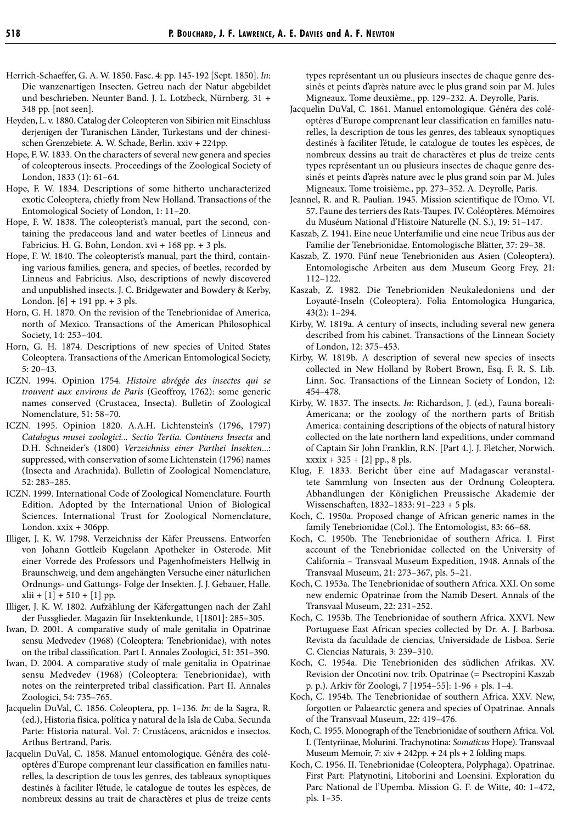- Herrich-Schaeffer, G. A. W. 1850. Fasc. 4: pp. 145-192 [Sept. 1850]. *In*: Die wanzenartigen Insecten. Getreu nach der Natur abgebildet und beschrieben. Neunter Band. J. L. Lotzbeck, Nürnberg. 31 + 348 pp. [not seen].
- Heyden, L. v. 1880. Catalog der Coleopteren von Sibirien mit Einschluss derjenigen der Turanischen Länder, Turkestans und der chinesischen Grenzebiete. A. W. Schade, Berlin. xxiv + 224pp.
- Hope, F. W. 1833. On the characters of several new genera and species of coleopterous insects. Proceedings of the Zoological Society of London, 1833 (1): 61–64.
- Hope, F. W. 1834. Descriptions of some hitherto uncharacterized exotic Coleoptera, chiefly from New Holland. Transactions of the Entomological Society of London, 1: 11–20.
- Hope, F. W. 1838. The coleopterist's manual, part the second, containing the predaceous land and water beetles of Linneus and Fabricius. H. G. Bohn, London. xvi + 168 pp. + 3 pls.
- Hope, F. W. 1840. The coleopterist's manual, part the third, containing various families, genera, and species, of beetles, recorded by Linneus and Fabricius. Also, descriptions of newly discovered and unpublished insects. J. C. Bridgewater and Bowdery & Kerby, London. [6] + 191 pp. + 3 pls.
- Horn, G. H. 1870. On the revision of the Tenebrionidae of America, north of Mexico. Transactions of the American Philosophical Society, 14: 253–404.
- Horn, G. H. 1874. Descriptions of new species of United States Coleoptera. Transactions of the American Entomological Society, 5: 20–43.
- ICZN. 1994. Opinion 1754. *Histoire abrégée des insectes qui se trouvent aux environs de Paris* (Geoffroy, 1762): some generic names conserved (Crustacea, Insecta). Bulletin of Zoological Nomenclature, 51: 58–70.
- ICZN. 1995. Opinion 1820. A.A.H. Lichtenstein's (1796, 1797) *Catalogus musei zoologici... Sectio Tertia. Continens Insecta* and D.H. Schneider's (1800) *Verzeichniss einer Parthei Insekten*...: suppressed, with conservation of some Lichtenstein (1796) names (Insecta and Arachnida). Bulletin of Zoological Nomenclature, 52: 283–285.
- ICZN. 1999. International Code of Zoological Nomenclature. Fourth Edition. Adopted by the International Union of Biological Sciences. International Trust for Zoological Nomenclature, London.  $x\dot{x}$  + 306pp.
- Illiger, J. K. W. 1798. Verzeichniss der Käfer Preussens. Entworfen von Johann Gottleib Kugelann Apotheker in Osterode. Mit einer Vorrede des Professors und Pagenhofmeisters Hellwig in Braunschweig, und dem angehängten Versuche einer näturlichen Ordnungs- und Gattungs- Folge der Insekten. J. J. Gebauer, Halle.  $xlii + [1] + 510 + [1]$  pp.
- Illiger, J. K. W. 1802. Aufzählung der Käfergattungen nach der Zahl der Fussglieder. Magazin für Insektenkunde, 1[1801]: 285–305.
- Iwan, D. 2001. A comparative study of male genitalia in Opatrinae sensu Medvedev (1968) (Coleoptera: Tenebrionidae), with notes on the tribal classification. Part I. Annales Zoologici, 51: 351–390.
- Iwan, D. 2004. A comparative study of male genitalia in Opatrinae sensu Medvedev (1968) (Coleoptera: Tenebrionidae), with notes on the reinterpreted tribal classification. Part II. Annales Zoologici, 54: 735–765.
- Jacquelin DuVal, C. 1856. Coleoptera, pp. 1–136. *In*: de la Sagra, R. (ed.), Historia física, política y natural de la Isla de Cuba. Secunda Parte: Historia natural. Vol. 7: Crustàceos, arácnidos e insectos. Arthus Bertrand, Paris.
- Jacquelin DuVal, C. 1858. Manuel entomologique. Généra des coléoptères d'Europe comprenant leur classification en familles naturelles, la description de tous les genres, des tableaux synoptiques destinés à faciliter l'étude, le catalogue de toutes les espèces, de nombreux dessins au trait de charactères et plus de treize cents

types représentant un ou plusieurs insectes de chaque genre dessinés et peints d'après nature avec le plus grand soin par M. Jules Migneaux. Tome deuxième., pp. 129–232. A. Deyrolle, Paris.

- Jacquelin DuVal, C. 1861. Manuel entomologique. Généra des coléoptères d'Europe comprenant leur classification en familles naturelles, la description de tous les genres, des tableaux synoptiques destinés à faciliter l'étude, le catalogue de toutes les espèces, de nombreux dessins au trait de charactères et plus de treize cents types représentant un ou plusieurs insectes de chaque genre dessinés et peints d'après nature avec le plus grand soin par M. Jules Migneaux. Tome troisième., pp. 273–352. A. Deyrolle, Paris.
- Jeannel, R. and R. Paulian. 1945. Mission scientifique de l'Omo. VI. 57. Faune des terriers des Rats-Taupes. IV. Coléoptères. Mémoires du Muséum National d'Histoire Naturelle (N. S.), 19: 51–147.
- Kaszab, Z. 1941. Eine neue Unterfamilie und eine neue Tribus aus der Familie der Tenebrionidae. Entomologische Blätter, 37: 29–38.
- Kaszab, Z. 1970. Fünf neue Tenebrioniden aus Asien (Coleoptera). Entomologische Arbeiten aus dem Museum Georg Frey, 21: 112–122.
- Kaszab, Z. 1982. Die Tenebrioniden Neukaledoniens und der Loyauté-Inseln (Coleoptera). Folia Entomologica Hungarica, 43(2): 1–294.
- Kirby, W. 1819a. A century of insects, including several new genera described from his cabinet. Transactions of the Linnean Society of London, 12: 375–453.
- Kirby, W. 1819b. A description of several new species of insects collected in New Holland by Robert Brown, Esq. F. R. S. Lib. Linn. Soc. Transactions of the Linnean Society of London, 12: 454–478.
- Kirby, W. 1837. The insects. *In*: Richardson, J. (ed.), Fauna boreali-Americana; or the zoology of the northern parts of British America: containing descriptions of the objects of natural history collected on the late northern land expeditions, under command of Captain Sir John Franklin, R.N. [Part 4.]. J. Fletcher, Norwich.  $xxxxix + 325 + [2] pp.$ , 8 pls.
- Klug, F. 1833. Bericht über eine auf Madagascar veranstaltete Sammlung von Insecten aus der Ordnung Coleoptera. Abhandlungen der Königlichen Preussische Akademie der Wissenschaften, 1832–1833: 91–223 + 5 pls.
- Koch, C. 1950a. Proposed change of African generic names in the family Tenebrionidae (Col.). The Entomologist, 83: 66–68.
- Koch, C. 1950b. The Tenebrionidae of southern Africa. I. First account of the Tenebrionidae collected on the University of California – Transvaal Museum Expedition, 1948. Annals of the Transvaal Museum, 21: 273–367, pls. 5–21.
- Koch, C. 1953a. The Tenebrionidae of southern Africa. XXI. On some new endemic Opatrinae from the Namib Desert. Annals of the Transvaal Museum, 22: 231–252.
- Koch, C. 1953b. The Tenebrionidae of southern Africa. XXVI. New Portuguese East African species collected by Dr. A. J. Barbosa. Revista da faculdade de ciencias, Universidade de Lisboa. Serie C. Ciencias Naturais, 3: 239–310.
- Koch, C. 1954a. Die Tenebrioniden des südlichen Afrikas. XV. Revision der Oncotini nov. trib. Opatrinae (= Psectropini Kaszab p. p.). Arkiv för Zoologi, 7 [1954–55]: 1-96 + pls. 1–4.
- Koch, C. 1954b. The Tenebrionidae of southern Africa. XXV. New, forgotten or Palaearctic genera and species of Opatrinae. Annals of the Transvaal Museum, 22: 419–476.
- Koch, C. 1955. Monograph of the Tenebrionidae of southern Africa. Vol. I. (Tentyriinae, Molurini. Trachynotina: *Somaticus* Hope). Transvaal Museum Memoir, 7:  $xiv + 242pp + 24$  pls + 2 folding maps.
- Koch, C. 1956. II. Tenebrionidae (Coleoptera, Polyphaga). Opatrinae. First Part: Platynotini, Litoborini and Loensini. Exploration du Parc National de l'Upemba. Mission G. F. de Witte, 40: 1–472, pls. 1–35.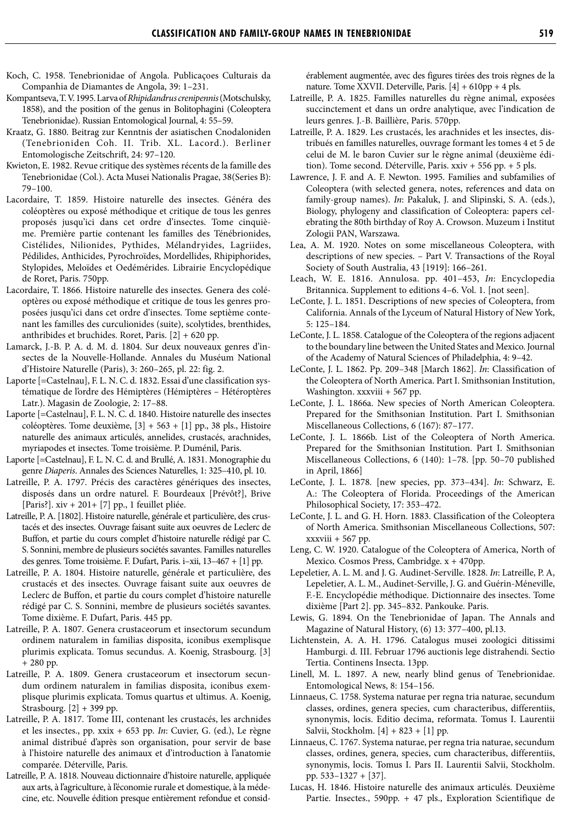- Koch, C. 1958. Tenebrionidae of Angola. Publicaçoes Culturais da Companhia de Diamantes de Angola, 39: 1–231.
- Kompantseva, T. V. 1995. Larva of *Rhipidandrus crenipennis* (Motschulsky, 1858), and the position of the genus in Bolitophagini (Coleoptera Tenebrionidae). Russian Entomological Journal, 4: 55–59.
- Kraatz, G. 1880. Beitrag zur Kenntnis der asiatischen Cnodaloniden (Tenebrioniden Coh. II. Trib. XL. Lacord.). Berliner Entomologische Zeitschrift, 24: 97–120.
- Kwieton, E. 1982. Revue critique des systèmes récents de la famille des Tenebrionidae (Col.). Acta Musei Nationalis Pragae, 38(Series B): 79–100.
- Lacordaire, T. 1859. Histoire naturelle des insectes. Généra des coléoptères ou exposé méthodique et critique de tous les genres proposés jusqu'ici dans cet ordre d'insectes. Tome cinquième. Première partie contenant les familles des Ténébrionides, Cistélides, Nilionides, Pythides, Mélandryides, Lagriides, Pédilides, Anthicides, Pyrochroïdes, Mordellides, Rhipiphorides, Stylopides, Meloïdes et Oedémérides. Librairie Encyclopédique de Roret, Paris. 750pp.
- Lacordaire, T. 1866. Histoire naturelle des insectes. Genera des coléoptères ou exposé méthodique et critique de tous les genres proposées jusqu'ici dans cet ordre d'insectes. Tome septième contenant les familles des curculionides (suite), scolytides, brenthides, anthribides et bruchides. Roret, Paris. [2] + 620 pp.
- Lamarck, J.-B. P. A. d. M. d. 1804. Sur deux nouveaux genres d'insectes de la Nouvelle-Hollande. Annales du Muséum National d'Histoire Naturelle (Paris), 3: 260–265, pl. 22: fig. 2.
- Laporte [=Castelnau], F. L. N. C. d. 1832. Essai d'une classification systématique de l'ordre des Hémiptères (Hémiptères – Hétéroptères Latr.). Magasin de Zoologie, 2: 17–88.
- Laporte [=Castelnau], F. L. N. C. d. 1840. Histoire naturelle des insectes coléoptères. Tome deuxième, [3] + 563 + [1] pp., 38 pls., Histoire naturelle des animaux articulés, annelides, crustacés, arachnides, myriapodes et insectes. Tome troisième. P. Duménil, Paris.
- Laporte [=Castelnau], F. L. N. C. d. and Brullé, A. 1831. Monographie du genre *Diaperis*. Annales des Sciences Naturelles, 1: 325–410, pl. 10.
- Latreille, P. A. 1797. Précis des caractères génériques des insectes, disposés dans un ordre naturel. F. Bourdeaux [Prévôt?], Brive [Paris?].  $xiv + 201 + 7$ ] pp., 1 feuillet pliée.
- Latreille, P. A. [1802]. Histoire naturelle, générale et particulière, des crustacés et des insectes. Ouvrage faisant suite aux oeuvres de Leclerc de Buffon, et partie du cours complet d'histoire naturelle rédigé par C. S. Sonnini, membre de plusieurs sociétés savantes. Familles naturelles des genres. Tome troisième. F. Dufart, Paris. i–xii, 13–467 + [1] pp.
- Latreille, P. A. 1804. Histoire naturelle, générale et particulière, des crustacés et des insectes. Ouvrage faisant suite aux oeuvres de Leclerc de Buffon, et partie du cours complet d'histoire naturelle rédigé par C. S. Sonnini, membre de plusieurs sociétés savantes. Tome dixième. F. Dufart, Paris. 445 pp.
- Latreille, P. A. 1807. Genera crustaceorum et insectorum secundum ordinem naturalem in familias disposita, iconibus exemplisque plurimis explicata. Tomus secundus. A. Koenig, Strasbourg. [3] + 280 pp.
- Latreille, P. A. 1809. Genera crustaceorum et insectorum secundum ordinem naturalem in familias disposita, iconibus exemplisque plurimis explicata. Tomus quartus et ultimus. A. Koenig, Strasbourg. [2] + 399 pp.
- Latreille, P. A. 1817. Tome III, contenant les crustacés, les archnides et les insectes., pp. xxix + 653 pp. *In*: Cuvier, G. (ed.), Le règne animal distribué d'après son organisation, pour servir de base à l'histoire naturelle des animaux et d'introduction à l'anatomie comparée. Déterville, Paris.
- Latreille, P. A. 1818. Nouveau dictionnaire d'histoire naturelle, appliquée aux arts, à l'agriculture, à l'économie rurale et domestique, à la médecine, etc. Nouvelle édition presque entièrement refondue et consid-

érablement augmentée, avec des figures tirées des trois règnes de la nature. Tome XXVII. Deterville, Paris. [4] + 610pp + 4 pls.

- Latreille, P. A. 1825. Familles naturelles du règne animal, exposées succinctement et dans un ordre analytique, avec l'indication de leurs genres. J.-B. Baillière, Paris. 570pp.
- Latreille, P. A. 1829. Les crustacés, les arachnides et les insectes, distribués en familles naturelles, ouvrage formant les tomes 4 et 5 de celui de M. le baron Cuvier sur le règne animal (deuxième édition). Tome second. Déterville, Paris. xxiv + 556 pp. + 5 pls.
- Lawrence, J. F. and A. F. Newton. 1995. Families and subfamilies of Coleoptera (with selected genera, notes, references and data on family-group names). *In*: Pakaluk, J. and Slipinski, S. A. (eds.), Biology, phylogeny and classification of Coleoptera: papers celebrating the 80th birthday of Roy A. Crowson. Muzeum i Institut Zologii PAN, Warszawa.
- Lea, A. M. 1920. Notes on some miscellaneous Coleoptera, with descriptions of new species. – Part V. Transactions of the Royal Society of South Australia, 43 [1919]: 166–261.
- Leach, W. E. 1816. Annulosa. pp. 401–453, *In*: Encyclopedia Britannica. Supplement to editions 4–6. Vol. 1. [not seen].
- LeConte, J. L. 1851. Descriptions of new species of Coleoptera, from California. Annals of the Lyceum of Natural History of New York, 5: 125–184.
- LeConte, J. L. 1858. Catalogue of the Coleoptera of the regions adjacent to the boundary line between the United States and Mexico. Journal of the Academy of Natural Sciences of Philadelphia, 4: 9–42.
- LeConte, J. L. 1862. Pp. 209–348 [March 1862]. *In*: Classification of the Coleoptera of North America. Part I. Smithsonian Institution, Washington. xxxviii + 567 pp.
- LeConte, J. L. 1866a. New species of North American Coleoptera. Prepared for the Smithsonian Institution. Part I. Smithsonian Miscellaneous Collections, 6 (167): 87–177.
- LeConte, J. L. 1866b. List of the Coleoptera of North America. Prepared for the Smithsonian Institution. Part I. Smithsonian Miscellaneous Collections, 6 (140): 1–78. [pp. 50–70 published in April, 1866]
- LeConte, J. L. 1878. [new species, pp. 373–434]. *In*: Schwarz, E. A.: The Coleoptera of Florida. Proceedings of the American Philosophical Society, 17: 353–472.
- LeConte, J. L. and G. H. Horn. 1883. Classification of the Coleoptera of North America. Smithsonian Miscellaneous Collections, 507: xxxviii + 567 pp.
- Leng, C. W. 1920. Catalogue of the Coleoptera of America, North of Mexico. Cosmos Press, Cambridge. x + 470pp.
- Lepeletier, A. L. M. and J. G. Audinet-Serville. 1828. *In*: Latreille, P. A, Lepeletier, A. L. M., Audinet-Serville, J. G. and Guérin-Méneville, F.-E. Encyclopédie méthodique. Dictionnaire des insectes. Tome dixième [Part 2]. pp. 345–832. Pankouke. Paris.
- Lewis, G. 1894. On the Tenebrionidae of Japan. The Annals and Magazine of Natural History, (6) 13: 377–400, pl.13.
- Lichtenstein, A. A. H. 1796. Catalogus musei zoologici ditissimi Hamburgi. d. III. Februar 1796 auctionis lege distrahendi. Sectio Tertia. Continens Insecta. 13pp.
- Linell, M. L. 1897. A new, nearly blind genus of Tenebrionidae. Entomological News, 8: 154–156.
- Linnaeus, C. 1758. Systema naturae per regna tria naturae, secundum classes, ordines, genera species, cum characteribus, differentiis, synonymis, locis. Editio decima, reformata. Tomus I. Laurentii Salvii, Stockholm. [4] + 823 + [1] pp.
- Linnaeus, C. 1767. Systema naturae, per regna tria naturae, secundum classes, ordines, genera, species, cum characteribus, differentiis, synonymis, locis. Tomus I. Pars II. Laurentii Salvii, Stockholm. pp. 533–1327 + [37].
- Lucas, H. 1846. Histoire naturelle des animaux articulés. Deuxième Partie. Insectes., 590pp. + 47 pls., Exploration Scientifique de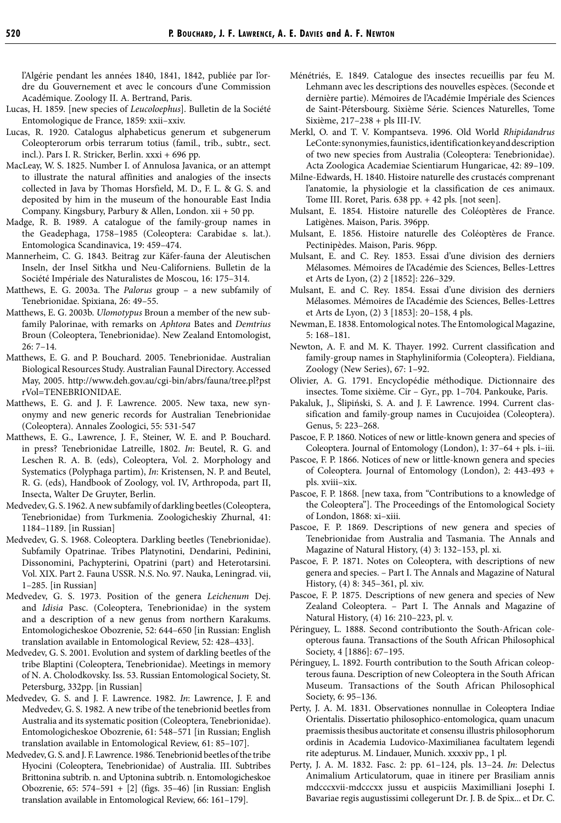l'Algérie pendant les années 1840, 1841, 1842, publiée par l'ordre du Gouvernement et avec le concours d'une Commission Académique. Zoology II. A. Bertrand, Paris.

- Lucas, H. 1859. [new species of *Leucoloephus*]. Bulletin de la Société Entomologique de France, 1859: xxii–xxiv.
- Lucas, R. 1920. Catalogus alphabeticus generum et subgenerum Coleopterorum orbis terrarum totius (famil., trib., subtr., sect. incl.). Pars I. R. Stricker, Berlin. xxxi + 696 pp.
- MacLeay, W. S. 1825. Number I. of Annulosa Javanica, or an attempt to illustrate the natural affinities and analogies of the insects collected in Java by Thomas Horsfield, M. D., F. L. & G. S. and deposited by him in the museum of the honourable East India Company. Kingsbury, Parbury & Allen, London. xii + 50 pp.
- Madge, R. B. 1989. A catalogue of the family-group names in the Geadephaga, 1758–1985 (Coleoptera: Carabidae s. lat.). Entomologica Scandinavica, 19: 459–474.
- Mannerheim, C. G. 1843. Beitrag zur Käfer-fauna der Aleutischen Inseln, der Insel Sitkha und Neu-Californiens. Bulletin de la Société Impériale des Naturalistes de Moscou, 16: 175–314.
- Matthews, E. G. 2003a. The *Palorus* group a new subfamily of Tenebrionidae. Spixiana, 26: 49–55.
- Matthews, E. G. 2003b. *Ulomotypus* Broun a member of the new subfamily Palorinae, with remarks on *Aphtora* Bates and *Demtrius* Broun (Coleoptera, Tenebrionidae). New Zealand Entomologist, 26: 7–14.
- Matthews, E. G. and P. Bouchard. 2005. Tenebrionidae. Australian Biological Resources Study. Australian Faunal Directory. Accessed May, 2005. http://www.deh.gov.au/cgi-bin/abrs/fauna/tree.pl?pst rVol=TENEBRIONIDAE.
- Matthews, E. G. and J. F. Lawrence. 2005. New taxa, new synonymy and new generic records for Australian Tenebrionidae (Coleoptera). Annales Zoologici, 55: 531-547
- Matthews, E. G., Lawrence, J. F., Steiner, W. E. and P. Bouchard. in press? Tenebrionidae Latreille, 1802. *In*: Beutel, R. G. and Leschen R. A. B. (eds), Coleoptera, Vol. 2. Morphology and Systematics (Polyphaga partim), *In*: Kristensen, N. P. and Beutel, R. G. (eds), Handbook of Zoology, vol. IV, Arthropoda, part II, Insecta, Walter De Gruyter, Berlin.
- Medvedev, G. S. 1962. A new subfamily of darkling beetles (Coleoptera, Tenebrionidae) from Turkmenia. Zoologicheskiy Zhurnal, 41: 1184–1189. [in Russian]
- Medvedev, G. S. 1968. Coleoptera. Darkling beetles (Tenebrionidae). Subfamily Opatrinae. Tribes Platynotini, Dendarini, Pedinini, Dissonomini, Pachypterini, Opatrini (part) and Heterotarsini. Vol. XIX. Part 2. Fauna USSR. N.S. No. 97. Nauka, Leningrad. vii, 1–285. [in Russian]
- Medvedev, G. S. 1973. Position of the genera *Leichenum* Dej. and *Idisia* Pasc. (Coleoptera, Tenebrionidae) in the system and a description of a new genus from northern Karakums. Entomologicheskoe Obozrenie, 52: 644–650 [in Russian: English translation available in Entomological Review, 52: 428–433].
- Medvedev, G. S. 2001. Evolution and system of darkling beetles of the tribe Blaptini (Coleoptera, Tenebrionidae). Meetings in memory of N. A. Cholodkovsky. Iss. 53. Russian Entomological Society, St. Petersburg, 332pp. [in Russian]
- Medvedev, G. S. and J. F. Lawrence. 1982. *In*: Lawrence, J. F. and Medvedev, G. S. 1982. A new tribe of the tenebrionid beetles from Australia and its systematic position (Coleoptera, Tenebrionidae). Entomologicheskoe Obozrenie, 61: 548–571 [in Russian; English translation available in Entomological Review, 61: 85–107].
- Medvedev, G. S. and J. F. Lawrence. 1986. Tenebrionid beetles of the tribe Hyocini (Coleoptera, Tenebrionidae) of Australia. III. Subtribes Brittonina subtrib. n. and Uptonina subtrib. n. Entomologicheskoe Obozrenie, 65: 574–591 + [2] (figs. 35–46) [in Russian: English translation available in Entomological Review, 66: 161–179].
- Ménétriés, E. 1849. Catalogue des insectes recueillis par feu M. Lehmann avec les descriptions des nouvelles espèces. (Seconde et dernière partie). Mémoires de l'Académie Impériale des Sciences de Saint-Pétersbourg. Sixième Série. Sciences Naturelles, Tome Sixième, 217–238 + pls III-IV.
- Merkl, O. and T. V. Kompantseva. 1996. Old World *Rhipidandrus*  LeConte: synonymies, faunistics, identification key and description of two new species from Australia (Coleoptera: Tenebrionidae). Acta Zoologica Academiae Scientiarum Hungaricae, 42: 89–109.
- Milne-Edwards, H. 1840. Histoire naturelle des crustacés comprenant l'anatomie, la physiologie et la classification de ces animaux. Tome III. Roret, Paris. 638 pp. + 42 pls. [not seen].
- Mulsant, E. 1854. Histoire naturelle des Coléoptères de France. Latigènes. Maison, Paris. 396pp.
- Mulsant, E. 1856. Histoire naturelle des Coléoptères de France. Pectinipèdes. Maison, Paris. 96pp.
- Mulsant, E. and C. Rey. 1853. Essai d'une division des derniers Mélasomes. Mémoires de l'Académie des Sciences, Belles-Lettres et Arts de Lyon, (2) 2 [1852]: 226–329.
- Mulsant, E. and C. Rey. 1854. Essai d'une division des derniers Mélasomes. Mémoires de l'Académie des Sciences, Belles-Lettres et Arts de Lyon, (2) 3 [1853]: 20–158, 4 pls.
- Newman, E. 1838. Entomological notes. The Entomological Magazine, 5: 168–181.
- Newton, A. F. and M. K. Thayer. 1992. Current classification and family-group names in Staphyliniformia (Coleoptera). Fieldiana, Zoology (New Series), 67: 1–92.
- Olivier, A. G. 1791. Encyclopédie méthodique. Dictionnaire des insectes. Tome sixième. Cir – Gyr., pp. 1–704. Pankouke, Paris.
- Pakaluk, J., Ślipiński, S. A. and J. F. Lawrence. 1994. Current classification and family-group names in Cucujoidea (Coleoptera). Genus, 5: 223–268.
- Pascoe, F. P. 1860. Notices of new or little-known genera and species of Coleoptera. Journal of Entomology (London), 1: 37–64 + pls. i–iii.
- Pascoe, F. P. 1866. Notices of new or little-known genera and species of Coleoptera. Journal of Entomology (London), 2: 443-493 + pls. xviii–xix.
- Pascoe, F. P. 1868. [new taxa, from "Contributions to a knowledge of the Coleoptera"]. The Proceedings of the Entomological Society of London, 1868: xi–xiii.
- Pascoe, F. P. 1869. Descriptions of new genera and species of Tenebrionidae from Australia and Tasmania. The Annals and Magazine of Natural History, (4) 3: 132–153, pl. xi.
- Pascoe, F. P. 1871. Notes on Coleoptera, with descriptions of new genera and species. – Part I. The Annals and Magazine of Natural History, (4) 8: 345–361, pl. xiv.
- Pascoe, F. P. 1875. Descriptions of new genera and species of New Zealand Coleoptera. – Part I. The Annals and Magazine of Natural History, (4) 16: 210–223, pl. v.
- Péringuey, L. 1888. Second contributionto the South-African coleopterous fauna. Transactions of the South African Philosophical Society, 4 [1886]: 67–195.
- Péringuey, L. 1892. Fourth contribution to the South African coleopterous fauna. Description of new Coleoptera in the South African Museum. Transactions of the South African Philosophical Society, 6: 95–136.
- Perty, J. A. M. 1831. Observationes nonnullae in Coleoptera Indiae Orientalis. Dissertatio philosophico-entomologica, quam unacum praemissis thesibus auctoritate et consensu illustris philosophorum ordinis in Academia Ludovico-Maximilianea facultatem legendi rite adepturus. M. Lindauer, Munich. xxxxiv pp., 1 pl.
- Perty, J. A. M. 1832. Fasc. 2: pp. 61–124, pls. 13–24. *In*: Delectus Animalium Articulatorum, quae in itinere per Brasiliam annis mdcccxvii-mdcccxx jussu et auspiciis Maximilliani Josephi I. Bavariae regis augustissimi collegerunt Dr. J. B. de Spix... et Dr. C.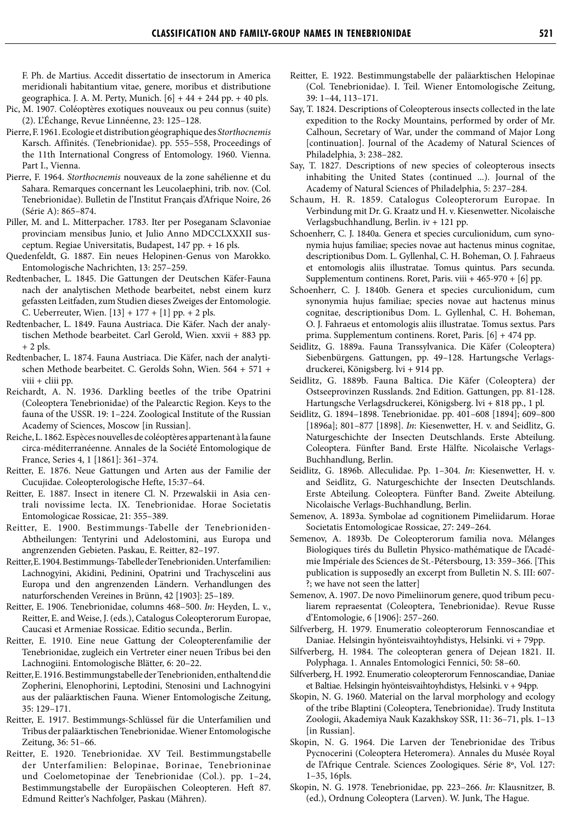F. Ph. de Martius. Accedit dissertatio de insectorum in America meridionali habitantium vitae, genere, moribus et distributione geographica. J. A. M. Perty, Munich.  $[6] + 44 + 244$  pp.  $+ 40$  pls.

- Pic, M. 1907. Coléoptères exotiques nouveaux ou peu connus (suite) (2). L'Échange, Revue Linnéenne, 23: 125–128.
- Pierre, F. 1961. Ecologie et distribution géographique des *Storthocnemis*  Karsch. Affinités. (Tenebrionidae). pp. 555–558, Proceedings of the 11th International Congress of Entomology. 1960. Vienna. Part I., Vienna.
- Pierre, F. 1964. *Storthocnemis* nouveaux de la zone sahélienne et du Sahara. Remarques concernant les Leucolaephini, trib. nov. (Col. Tenebrionidae). Bulletin de l'Institut Français d'Afrique Noire, 26 (Série A): 865–874.
- Piller, M. and L. Mitterpacher. 1783. Iter per Poseganam Sclavoniae provinciam mensibus Junio, et Julio Anno MDCCLXXXII susceptum. Regiae Universitatis, Budapest, 147 pp. + 16 pls.
- Quedenfeldt, G. 1887. Ein neues Helopinen-Genus von Marokko. Entomologische Nachrichten, 13: 257–259.
- Redtenbacher, L. 1845. Die Gattungen der Deutschen Käfer-Fauna nach der analytischen Methode bearbeitet, nebst einem kurz gefassten Leitfaden, zum Studien dieses Zweiges der Entomologie. C. Ueberreuter, Wien.  $[13] + 177 + [1]$  pp. + 2 pls.
- Redtenbacher, L. 1849. Fauna Austriaca. Die Käfer. Nach der analytischen Methode bearbeitet. Carl Gerold, Wien. xxvii + 883 pp.  $+ 2$  pls.
- Redtenbacher, L. 1874. Fauna Austriaca. Die Käfer, nach der analytischen Methode bearbeitet. C. Gerolds Sohn, Wien. 564 + 571 + viii + cliii pp.
- Reichardt, A. N. 1936. Darkling beetles of the tribe Opatrini (Coleoptera Tenebrionidae) of the Palearctic Region. Keys to the fauna of the USSR. 19: 1–224. Zoological Institute of the Russian Academy of Sciences, Moscow [in Russian].
- Reiche, L. 1862. Espèces nouvelles de coléoptères appartenant à la faune circa-méditerranéenne. Annales de la Société Entomologique de France, Series 4, 1 [1861]: 361–374.
- Reitter, E. 1876. Neue Gattungen und Arten aus der Familie der Cucujidae. Coleopterologische Hefte, 15:37–64.
- Reitter, E. 1887. Insect in itenere Cl. N. Przewalskii in Asia centrali novissime lecta. IX. Tenebrionidae. Horae Societatis Entomologicae Rossicae, 21: 355–389.
- Reitter, E. 1900. Bestimmungs-Tabelle der Tenebrioniden-Abtheilungen: Tentyrini und Adelostomini, aus Europa und angrenzenden Gebieten. Paskau, E. Reitter, 82–197.
- Reitter, E. 1904. Bestimmungs-Tabelle der Tenebrioniden. Unterfamilien: Lachnogyini, Akidini, Pedinini, Opatrini und Trachyscelini aus Europa und den angrenzenden Ländern. Verhandlungen des naturforschenden Vereines in Brünn, 42 [1903]: 25–189.
- Reitter, E. 1906. Tenebrionidae, columns 468–500. *In*: Heyden, L. v., Reitter, E. and Weise, J. (eds.), Catalogus Coleopterorum Europae, Caucasi et Armeniae Rossicae. Editio secunda., Berlin.
- Reitter, E. 1910. Eine neue Gattung der Coleopterenfamilie der Tenebrionidae, zugleich ein Vertreter einer neuen Tribus bei den Lachnogiini. Entomologische Blätter, 6: 20–22.
- Reitter, E. 1916. Bestimmungstabelle der Tenebrioniden, enthaltend die Zopherini, Elenophorini, Leptodini, Stenosini und Lachnogyini aus der paläarktischen Fauna. Wiener Entomologische Zeitung, 35: 129–171.
- Reitter, E. 1917. Bestimmungs-Schlüssel für die Unterfamilien und Tribus der paläarktischen Tenebrionidae. Wiener Entomologische Zeitung, 36: 51–66.
- Reitter, E. 1920. Tenebrionidae. XV Teil. Bestimmungstabelle der Unterfamilien: Belopinae, Borinae, Tenebrioninae und Coelometopinae der Tenebrionidae (Col.). pp. 1–24, Bestimmungstabelle der Europäischen Coleopteren. Heft 87. Edmund Reitter's Nachfolger, Paskau (Mähren).
- Reitter, E. 1922. Bestimmungstabelle der paläarktischen Helopinae (Col. Tenebrionidae). I. Teil. Wiener Entomologische Zeitung, 39: 1–44, 113–171.
- Say, T. 1824. Descriptions of Coleopterous insects collected in the late expedition to the Rocky Mountains, performed by order of Mr. Calhoun, Secretary of War, under the command of Major Long [continuation]. Journal of the Academy of Natural Sciences of Philadelphia, 3: 238–282.
- Say, T. 1827. Descriptions of new species of coleopterous insects inhabiting the United States (continued ...). Journal of the Academy of Natural Sciences of Philadelphia, 5: 237–284.
- Schaum, H. R. 1859. Catalogus Coleopterorum Europae. In Verbindung mit Dr. G. Kraatz und H. v. Kiesenwetter. Nicolaische Verlagsbuchhandlung, Berlin. iv + 121 pp.
- Schoenherr, C. J. 1840a. Genera et species curculionidum, cum synonymia hujus familiae; species novae aut hactenus minus cognitae, descriptionibus Dom. L. Gyllenhal, C. H. Boheman, O. J. Fahraeus et entomologis aliis illustratae. Tomus quintus. Pars secunda. Supplementum continens. Roret, Paris. viii + 465-970 + [6] pp.
- Schoenherr, C. J. 1840b. Genera et species curculionidum, cum synonymia hujus familiae; species novae aut hactenus minus cognitae, descriptionibus Dom. L. Gyllenhal, C. H. Boheman, O. J. Fahraeus et entomologis aliis illustratae. Tomus sextus. Pars prima. Supplementum continens. Roret, Paris. [6] + 474 pp.
- Seidlitz, G. 1889a. Fauna Transsylvanica. Die Käfer (Coleoptera) Siebenbürgens. Gattungen, pp. 49–128. Hartungsche Verlagsdruckerei, Königsberg. lvi + 914 pp.
- Seidlitz, G. 1889b. Fauna Baltica. Die Käfer (Coleoptera) der Ostseeprovinzen Russlands. 2nd Edition. Gattungen, pp. 81-128. Hartungsche Verlagsdruckerei, Königsberg. lvi + 818 pp., 1 pl.
- Seidlitz, G. 1894–1898. Tenebrionidae. pp. 401–608 [1894]; 609–800 [1896a]; 801–877 [1898]. *In*: Kiesenwetter, H. v. and Seidlitz, G. Naturgeschichte der Insecten Deutschlands. Erste Abteilung. Coleoptera. Fünfter Band. Erste Hälfte. Nicolaische Verlags-Buchhandlung, Berlin.
- Seidlitz, G. 1896b. Alleculidae. Pp. 1–304. *In*: Kiesenwetter, H. v. and Seidlitz, G. Naturgeschichte der Insecten Deutschlands. Erste Abteilung. Coleoptera. Fünfter Band. Zweite Abteilung. Nicolaische Verlags-Buchhandlung, Berlin.
- Semenov, A. 1893a. Symbolae ad cognitionem Pimeliidarum. Horae Societatis Entomologicae Rossicae, 27: 249–264.
- Semenov, A. 1893b. De Coleopterorum familia nova. Mélanges Biologiques tirés du Bulletin Physico-mathématique de l'Académie Impériale des Sciences de St.-Pétersbourg, 13: 359–366. [This publication is supposedly an excerpt from Bulletin N. S. III: 607- ?; we have not seen the latter]
- Semenov, A. 1907. De novo Pimeliinorum genere, quod tribum peculiarem repraesentat (Coleoptera, Tenebrionidae). Revue Russe d'Entomologie, 6 [1906]: 257–260.
- Silfverberg, H. 1979. Enumeratio coleopterorum Fennoscandiae et Daniae. Helsingin hyönteisvaihtoyhdistys, Helsinki. vi + 79pp.
- Silfverberg, H. 1984. The coleopteran genera of Dejean 1821. II. Polyphaga. 1. Annales Entomologici Fennici, 50: 58–60.
- Silfverberg, H. 1992. Enumeratio coleopterorum Fennoscandiae, Daniae et Baltiae. Helsingin hyönteisvaihtoyhdistys, Helsinki. v + 94pp.
- Skopin, N. G. 1960. Material on the larval morphology and ecology of the tribe Blaptini (Coleoptera, Tenebrionidae). Trudy Instituta Zoologii, Akademiya Nauk Kazakhskoy SSR, 11: 36–71, pls. 1–13 [in Russian].
- Skopin, N. G. 1964. Die Larven der Tenebrionidae des Tribus Pycnocerini (Coleoptera Heteromera). Annales du Musée Royal de l'Afrique Centrale. Sciences Zoologiques. Série 8º, Vol. 127: 1–35, 16pls.
- Skopin, N. G. 1978. Tenebrionidae, pp. 223–266. *In*: Klausnitzer, B. (ed.), Ordnung Coleoptera (Larven). W. Junk, The Hague.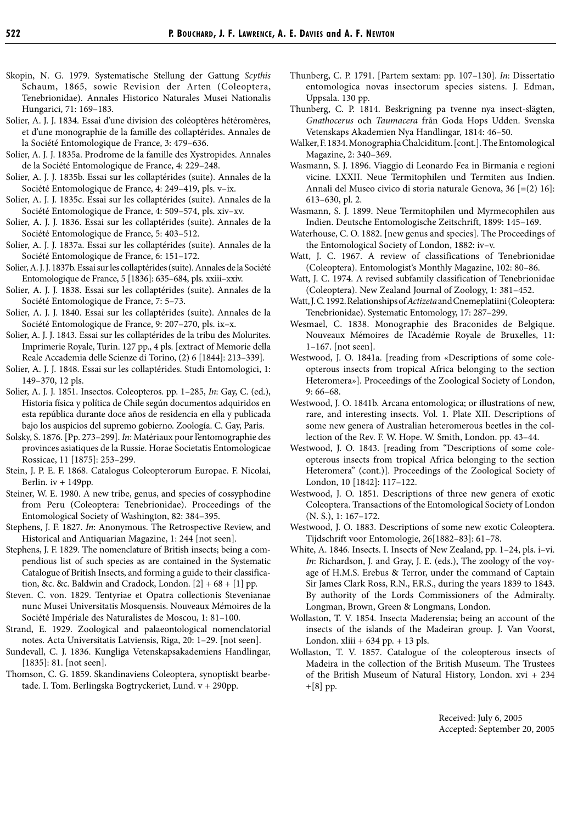- Skopin, N. G. 1979. Systematische Stellung der Gattung *Scythis*  Schaum, 1865, sowie Revision der Arten (Coleoptera, Tenebrionidae). Annales Historico Naturales Musei Nationalis Hungarici, 71: 169–183.
- Solier, A. J. J. 1834. Essai d'une division des coléoptères hétéromères, et d'une monographie de la famille des collaptérides. Annales de la Société Entomologique de France, 3: 479–636.
- Solier, A. J. J. 1835a. Prodrome de la famille des Xystropides. Annales de la Société Entomologique de France, 4: 229–248.
- Solier, A. J. J. 1835b. Essai sur les collaptérides (suite). Annales de la Société Entomologique de France, 4: 249–419, pls. v–ix.
- Solier, A. J. J. 1835c. Essai sur les collaptérides (suite). Annales de la Société Entomologique de France, 4: 509–574, pls. xiv–xv.
- Solier, A. J. J. 1836. Essai sur les collaptérides (suite). Annales de la Société Entomologique de France, 5: 403–512.
- Solier, A. J. J. 1837a. Essai sur les collaptérides (suite). Annales de la Société Entomologique de France, 6: 151–172.
- Solier, A. J. J. 1837b. Essai sur les collaptérides (suite). Annales de la Société Entomologique de France, 5 [1836]: 635–684, pls. xxiii–xxiv.
- Solier, A. J. J. 1838. Essai sur les collaptérides (suite). Annales de la Société Entomologique de France, 7: 5–73.
- Solier, A. J. J. 1840. Essai sur les collaptérides (suite). Annales de la Société Entomologique de France, 9: 207–270, pls. ix–x.
- Solier, A. J. J. 1843. Essai sur les collaptérides de la tribu des Molurites. Imprimerie Royale, Turin. 127 pp., 4 pls. [extract of Memorie della Reale Accademia delle Scienze di Torino, (2) 6 [1844]: 213–339].
- Solier, A. J. J. 1848. Essai sur les collaptérides. Studi Entomologici, 1: 149–370, 12 pls.
- Solier, A. J. J. 1851. Insectos. Coleopteros. pp. 1–285, *In*: Gay, C. (ed.), Historia física y política de Chile según documentos adquiridos en esta república durante doce años de residencia en ella y publicada bajo los auspicios del supremo gobierno. Zoología. C. Gay, Paris.
- Solsky, S. 1876. [Pp. 273–299]. *In*: Matériaux pour l'entomographie des provinces asiatiques de la Russie. Horae Societatis Entomologicae Rossicae, 11 [1875]: 253–299.
- Stein, J. P. E. F. 1868. Catalogus Coleopterorum Europae. F. Nicolai, Berlin. iv + 149pp.
- Steiner, W. E. 1980. A new tribe, genus, and species of cossyphodine from Peru (Coleoptera: Tenebrionidae). Proceedings of the Entomological Society of Washington, 82: 384–395.
- Stephens, J. F. 1827. *In*: Anonymous. The Retrospective Review, and Historical and Antiquarian Magazine, 1: 244 [not seen].
- Stephens, J. F. 1829. The nomenclature of British insects; being a compendious list of such species as are contained in the Systematic Catalogue of British Insects, and forming a guide to their classification, &c. &c. Baldwin and Cradock, London.  $[2] + 68 + [1]$  pp.
- Steven. C. von. 1829. Tentyriae et Opatra collectionis Stevenianae nunc Musei Universitatis Mosquensis. Nouveaux Mémoires de la Société Impériale des Naturalistes de Moscou, 1: 81–100.
- Strand, E. 1929. Zoological and palaeontological nomenclatorial notes. Acta Universitatis Latviensis, Riga, 20: 1–29. [not seen].
- Sundevall, C. J. 1836. Kungliga Vetenskapsakademiens Handlingar, [1835]: 81. [not seen].
- Thomson, C. G. 1859. Skandinaviens Coleoptera, synoptiskt bearbetade. I. Tom. Berlingska Bogtryckeriet, Lund. v + 290pp.
- Thunberg, C. P. 1791. [Partem sextam: pp. 107–130]. *In*: Dissertatio entomologica novas insectorum species sistens. J. Edman, Uppsala. 130 pp.
- Thunberg, C. P. 1814. Beskrigning pa tvenne nya insect-slägten, *Gnathocerus* och *Taumacera* från Goda Hops Udden. Svenska Vetenskaps Akademien Nya Handlingar, 1814: 46–50.
- Walker, F. 1834. Monographia Chalciditum. [cont.]. The Entomological Magazine, 2: 340–369.
- Wasmann, S. J. 1896. Viaggio di Leonardo Fea in Birmania e regioni vicine. LXXII. Neue Termitophilen und Termiten aus Indien. Annali del Museo civico di storia naturale Genova, 36 [=(2) 16]: 613–630, pl. 2.
- Wasmann, S. J. 1899. Neue Termitophilen und Myrmecophilen aus Indien. Deutsche Entomologische Zeitschrift, 1899: 145–169.
- Waterhouse, C. O. 1882. [new genus and species]. The Proceedings of the Entomological Society of London, 1882: iv–v.
- Watt, J. C. 1967. A review of classifications of Tenebrionidae (Coleoptera). Entomologist's Monthly Magazine, 102: 80–86.
- Watt, J. C. 1974. A revised subfamily classification of Tenebrionidae (Coleoptera). New Zealand Journal of Zoology, 1: 381–452.
- Watt, J. C. 1992. Relationships of *Actizeta* and Cnemeplatiini (Coleoptera: Tenebrionidae). Systematic Entomology, 17: 287–299.
- Wesmael, C. 1838. Monographie des Braconides de Belgique. Nouveaux Mémoires de l'Académie Royale de Bruxelles, 11: 1–167. [not seen].
- Westwood, J. O. 1841a. [reading from «Descriptions of some coleopterous insects from tropical Africa belonging to the section Heteromera»]. Proceedings of the Zoological Society of London, 9: 66–68.
- Westwood, J. O. 1841b. Arcana entomologica; or illustrations of new, rare, and interesting insects. Vol. 1. Plate XII. Descriptions of some new genera of Australian heteromerous beetles in the collection of the Rev. F. W. Hope. W. Smith, London. pp. 43–44.
- Westwood, J. O. 1843. [reading from "Descriptions of some coleopterous insects from tropical Africa belonging to the section Heteromera" (cont.)]. Proceedings of the Zoological Society of London, 10 [1842]: 117–122.
- Westwood, J. O. 1851. Descriptions of three new genera of exotic Coleoptera. Transactions of the Entomological Society of London (N. S.), 1: 167–172.
- Westwood, J. O. 1883. Descriptions of some new exotic Coleoptera. Tijdschrift voor Entomologie, 26[1882–83]: 61–78.
- White, A. 1846. Insects. I. Insects of New Zealand, pp. 1–24, pls. i–vi. *In*: Richardson, J. and Gray, J. E. (eds.), The zoology of the voyage of H.M.S. Erebus & Terror, under the command of Captain Sir James Clark Ross, R.N., F.R.S., during the years 1839 to 1843. By authority of the Lords Commissioners of the Admiralty. Longman, Brown, Green & Longmans, London.
- Wollaston, T. V. 1854. Insecta Maderensia; being an account of the insects of the islands of the Madeiran group. J. Van Voorst, London. xliii + 634 pp. + 13 pls.
- Wollaston, T. V. 1857. Catalogue of the coleopterous insects of Madeira in the collection of the British Museum. The Trustees of the British Museum of Natural History, London. xvi + 234 +[8] pp.

Received: July 6, 2005 Accepted: September 20, 2005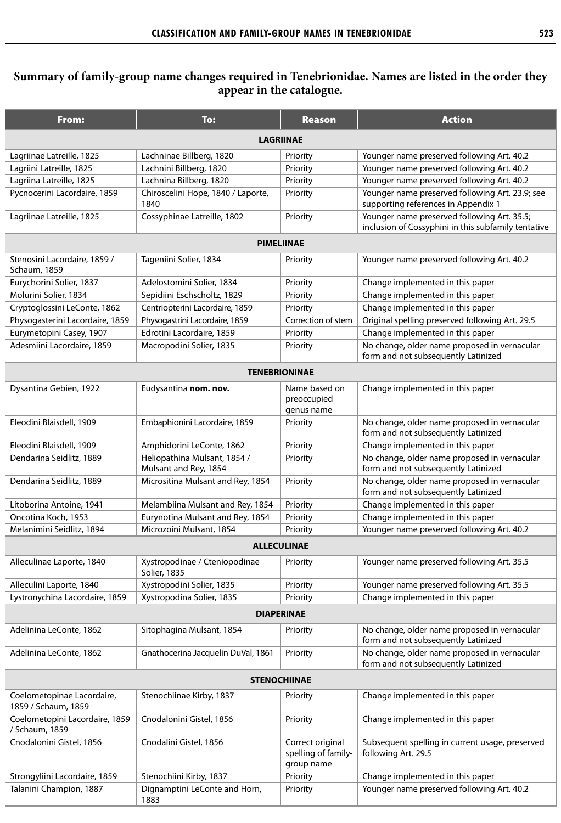## **Summary of family-group name changes required in Tenebrionidae. Names are listed in the order they appear in the catalogue.**

| From:                                             | To:                                                   | <b>Reason</b>                                         | <b>Action</b>                                                                                      |
|---------------------------------------------------|-------------------------------------------------------|-------------------------------------------------------|----------------------------------------------------------------------------------------------------|
| <b>LAGRIINAE</b>                                  |                                                       |                                                       |                                                                                                    |
| Lagriinae Latreille, 1825                         | Lachninae Billberg, 1820                              | Priority                                              | Younger name preserved following Art. 40.2                                                         |
| Lagriini Latreille, 1825                          | Lachnini Billberg, 1820                               | Priority                                              | Younger name preserved following Art. 40.2                                                         |
| Lagriina Latreille, 1825                          | Lachnina Billberg, 1820                               | Priority                                              | Younger name preserved following Art. 40.2                                                         |
| Pycnocerini Lacordaire, 1859                      | Chiroscelini Hope, 1840 / Laporte,                    | Priority                                              | Younger name preserved following Art. 23.9; see                                                    |
|                                                   | 1840                                                  |                                                       | supporting references in Appendix 1                                                                |
| Lagriinae Latreille, 1825                         | Cossyphinae Latreille, 1802                           | Priority                                              | Younger name preserved following Art. 35.5;<br>inclusion of Cossyphini in this subfamily tentative |
| <b>PIMELIINAE</b>                                 |                                                       |                                                       |                                                                                                    |
| Stenosini Lacordaire, 1859 /<br>Schaum, 1859      | Tageniini Solier, 1834                                | Priority                                              | Younger name preserved following Art. 40.2                                                         |
| Eurychorini Solier, 1837                          | Adelostomini Solier, 1834                             | Priority                                              | Change implemented in this paper                                                                   |
| Molurini Solier, 1834                             | Sepidiini Eschscholtz, 1829                           | Priority                                              | Change implemented in this paper                                                                   |
| Cryptoglossini LeConte, 1862                      | Centriopterini Lacordaire, 1859                       | Priority                                              | Change implemented in this paper                                                                   |
| Physogasterini Lacordaire, 1859                   | Physogastrini Lacordaire, 1859                        | Correction of stem                                    | Original spelling preserved following Art. 29.5                                                    |
| Eurymetopini Casey, 1907                          | Edrotini Lacordaire, 1859                             | Priority                                              | Change implemented in this paper                                                                   |
| Adesmiini Lacordaire, 1859                        | Macropodini Solier, 1835                              | Priority                                              | No change, older name proposed in vernacular<br>form and not subsequently Latinized                |
| <b>TENEBRIONINAE</b>                              |                                                       |                                                       |                                                                                                    |
| Dysantina Gebien, 1922                            | Eudysantina nom. nov.                                 | Name based on<br>preoccupied<br>genus name            | Change implemented in this paper                                                                   |
| Eleodini Blaisdell, 1909                          | Embaphionini Lacordaire, 1859                         | Priority                                              | No change, older name proposed in vernacular<br>form and not subsequently Latinized                |
| Eleodini Blaisdell, 1909                          | Amphidorini LeConte, 1862                             | Priority                                              | Change implemented in this paper                                                                   |
| Dendarina Seidlitz, 1889                          | Heliopathina Mulsant, 1854 /<br>Mulsant and Rey, 1854 | Priority                                              | No change, older name proposed in vernacular<br>form and not subsequently Latinized                |
| Dendarina Seidlitz, 1889                          | Micrositina Mulsant and Rey, 1854                     | Priority                                              | No change, older name proposed in vernacular<br>form and not subsequently Latinized                |
| Litoborina Antoine, 1941                          | Melambiina Mulsant and Rey, 1854                      | Priority                                              | Change implemented in this paper                                                                   |
| Oncotina Koch, 1953                               | Eurynotina Mulsant and Rey, 1854                      | Priority                                              | Change implemented in this paper                                                                   |
| Melanimini Seidlitz, 1894                         | Microzoini Mulsant, 1854                              | Priority                                              | Younger name preserved following Art. 40.2                                                         |
| <b>ALLECULINAE</b>                                |                                                       |                                                       |                                                                                                    |
| Alleculinae Laporte, 1840                         | Xystropodinae / Cteniopodinae<br><b>Solier, 1835</b>  | Priority                                              | Younger name preserved following Art. 35.5                                                         |
| Alleculini Laporte, 1840                          | Xystropodini Solier, 1835                             | Priority                                              | Younger name preserved following Art. 35.5                                                         |
| Lystronychina Lacordaire, 1859                    | Xystropodina Solier, 1835                             | Priority                                              | Change implemented in this paper                                                                   |
| <b>DIAPERINAE</b>                                 |                                                       |                                                       |                                                                                                    |
| Adelinina LeConte, 1862                           | Sitophagina Mulsant, 1854                             | Priority                                              | No change, older name proposed in vernacular<br>form and not subsequently Latinized                |
| Adelinina LeConte, 1862                           | Gnathocerina Jacquelin DuVal, 1861                    | Priority                                              | No change, older name proposed in vernacular<br>form and not subsequently Latinized                |
| <b>STENOCHIINAE</b>                               |                                                       |                                                       |                                                                                                    |
| Coelometopinae Lacordaire,<br>1859 / Schaum, 1859 | Stenochiinae Kirby, 1837                              | Priority                                              | Change implemented in this paper                                                                   |
| Coelometopini Lacordaire, 1859<br>/ Schaum, 1859  | Cnodalonini Gistel, 1856                              | Priority                                              | Change implemented in this paper                                                                   |
| Cnodalonini Gistel, 1856                          | Cnodalini Gistel, 1856                                | Correct original<br>spelling of family-<br>group name | Subsequent spelling in current usage, preserved<br>following Art. 29.5                             |
| Strongyliini Lacordaire, 1859                     | Stenochiini Kirby, 1837                               | Priority                                              | Change implemented in this paper                                                                   |
| Talanini Champion, 1887                           | Dignamptini LeConte and Horn,<br>1883                 | Priority                                              | Younger name preserved following Art. 40.2                                                         |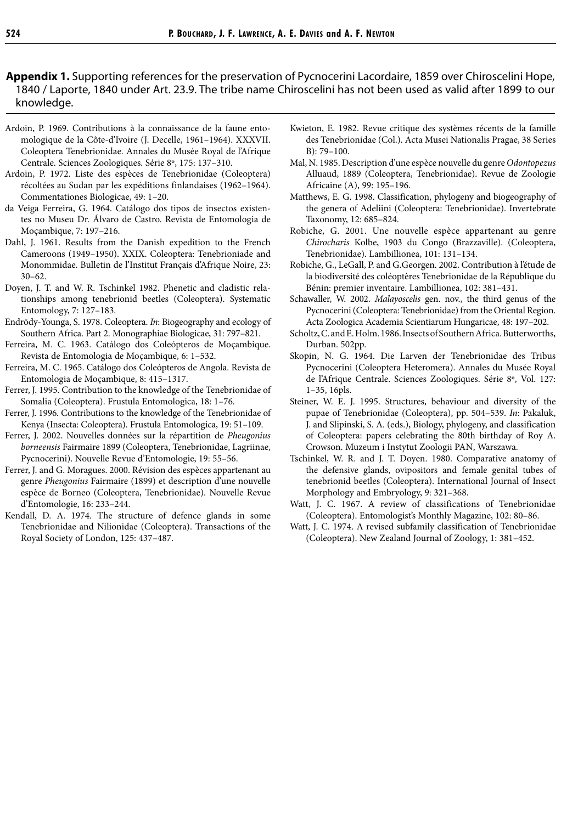**Appendix 1.** Supporting references for the preservation of Pycnocerini Lacordaire, 1859 over Chiroscelini Hope, 1840 / Laporte, 1840 under Art. 23.9. The tribe name Chiroscelini has not been used as valid after 1899 to our knowledge.

- Ardoin, P. 1969. Contributions à la connaissance de la faune entomologique de la Côte-d'Ivoire (J. Decelle, 1961–1964). XXXVII. Coleoptera Tenebrionidae. Annales du Musée Royal de l'Afrique Centrale. Sciences Zoologiques. Série 8º, 175: 137–310.
- Ardoin, P. 1972. Liste des espèces de Tenebrionidae (Coleoptera) récoltées au Sudan par les expéditions finlandaises (1962–1964). Commentationes Biologicae, 49: 1–20.
- da Veiga Ferreira, G. 1964. Catálogo dos tipos de insectos existentes no Museu Dr. Álvaro de Castro. Revista de Entomologia de Moçambique, 7: 197–216.
- Dahl, J. 1961. Results from the Danish expedition to the French Cameroons (1949–1950). XXIX. Coleoptera: Tenebrioniade and Monommidae. Bulletin de l'Institut Français d'Afrique Noire, 23: 30–62.
- Doyen, J. T. and W. R. Tschinkel 1982. Phenetic and cladistic relationships among tenebrionid beetles (Coleoptera). Systematic Entomology, 7: 127–183.
- Endrödy-Younga, S. 1978. Coleoptera. *In*: Biogeography and ecology of Southern Africa. Part 2. Monographiae Biologicae, 31: 797–821.
- Ferreira, M. C. 1963. Catálogo dos Coleópteros de Moçambique. Revista de Entomologia de Moçambique, 6: 1–532.
- Ferreira, M. C. 1965. Catálogo dos Coleópteros de Angola. Revista de Entomologia de Moçambique, 8: 415–1317.
- Ferrer, J. 1995. Contribution to the knowledge of the Tenebrionidae of Somalia (Coleoptera). Frustula Entomologica, 18: 1–76.
- Ferrer, J. 1996. Contributions to the knowledge of the Tenebrionidae of Kenya (Insecta: Coleoptera). Frustula Entomologica, 19: 51–109.
- Ferrer, J. 2002. Nouvelles données sur la répartition de *Pheugonius borneensis* Fairmaire 1899 (Coleoptera, Tenebrionidae, Lagriinae, Pycnocerini). Nouvelle Revue d'Entomologie, 19: 55–56.
- Ferrer, J. and G. Moragues. 2000. Révision des espèces appartenant au genre *Pheugonius* Fairmaire (1899) et description d'une nouvelle espèce de Borneo (Coleoptera, Tenebrionidae). Nouvelle Revue d'Entomologie, 16: 233–244.
- Kendall, D. A. 1974. The structure of defence glands in some Tenebrionidae and Nilionidae (Coleoptera). Transactions of the Royal Society of London, 125: 437–487.
- Kwieton, E. 1982. Revue critique des systèmes récents de la famille des Tenebrionidae (Col.). Acta Musei Nationalis Pragae, 38 Series B): 79–100.
- Mal, N. 1985. Description d'une espèce nouvelle du genre *Odontopezus*  Alluaud, 1889 (Coleoptera, Tenebrionidae). Revue de Zoologie Africaine (A), 99: 195–196.
- Matthews, E. G. 1998. Classification, phylogeny and biogeography of the genera of Adeliini (Coleoptera: Tenebrionidae). Invertebrate Taxonomy, 12: 685–824.
- Robiche, G. 2001. Une nouvelle espèce appartenant au genre *Chirocharis* Kolbe, 1903 du Congo (Brazzaville). (Coleoptera, Tenebrionidae). Lambillionea, 101: 131–134.
- Robiche, G., LeGall, P. and G.Georgen. 2002. Contribution à l'étude de la biodiversité des coléoptères Tenebrionidae de la République du Bénin: premier inventaire. Lambillionea, 102: 381–431.
- Schawaller, W. 2002. *Malayoscelis* gen. nov., the third genus of the Pycnocerini (Coleoptera: Tenebrionidae) from the Oriental Region. Acta Zoologica Academia Scientiarum Hungaricae, 48: 197–202.
- Scholtz, C. and E. Holm. 1986. Insects of Southern Africa. Butterworths, Durban. 502pp.
- Skopin, N. G. 1964. Die Larven der Tenebrionidae des Tribus Pycnocerini (Coleoptera Heteromera). Annales du Musée Royal de l'Afrique Centrale. Sciences Zoologiques. Série 8º, Vol. 127: 1–35, 16pls.
- Steiner, W. E. J. 1995. Structures, behaviour and diversity of the pupae of Tenebrionidae (Coleoptera), pp. 504–539. *In*: Pakaluk, J. and Slipinski, S. A. (eds.), Biology, phylogeny, and classification of Coleoptera: papers celebrating the 80th birthday of Roy A. Crowson. Muzeum i Instytut Zoologii PAN, Warszawa.
- Tschinkel, W. R. and J. T. Doyen. 1980. Comparative anatomy of the defensive glands, ovipositors and female genital tubes of tenebrionid beetles (Coleoptera). International Journal of Insect Morphology and Embryology, 9: 321–368.
- Watt, J. C. 1967. A review of classifications of Tenebrionidae (Coleoptera). Entomologist's Monthly Magazine, 102: 80–86.
- Watt, J. C. 1974. A revised subfamily classification of Tenebrionidae (Coleoptera). New Zealand Journal of Zoology, 1: 381–452.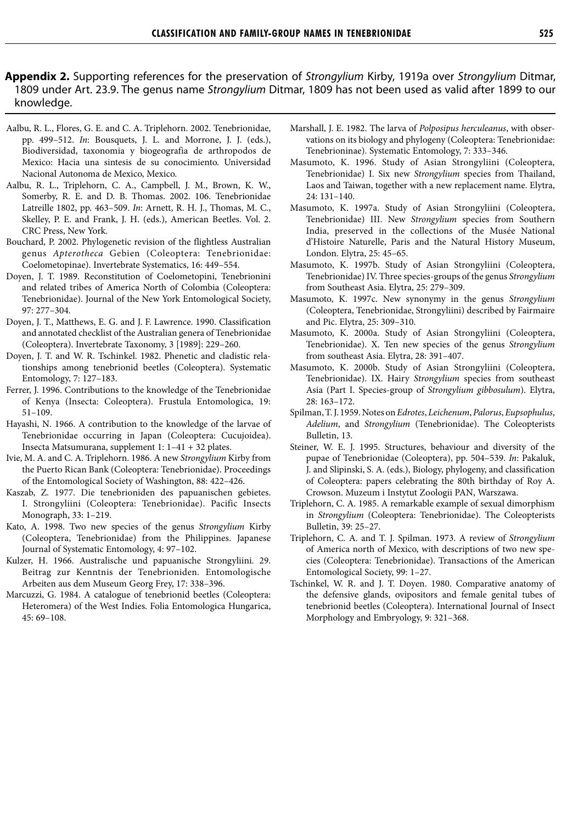#### **Appendix 2.** Supporting references for the preservation of Strongylium Kirby, 1919a over Strongylium Ditmar, 1809 under Art. 23.9. The genus name Strongylium Ditmar, 1809 has not been used as valid after 1899 to our knowledge.

- Aalbu, R. L., Flores, G. E. and C. A. Triplehorn. 2002. Tenebrionidae, pp. 499–512. *In*: Bousquets, J. L. and Morrone, J. J. (eds.), Biodiversidad, taxonomia y biogeografia de arthropodos de Mexico: Hacia una sintesis de su conocimiento. Universidad Nacional Autonoma de Mexico, Mexico.
- Aalbu, R. L., Triplehorn, C. A., Campbell, J. M., Brown, K. W., Somerby, R. E. and D. B. Thomas. 2002. 106. Tenebrionidae Latreille 1802, pp. 463–509. *In*: Arnett, R. H. J., Thomas, M. C., Skelley, P. E. and Frank, J. H. (eds.), American Beetles. Vol. 2. CRC Press, New York.
- Bouchard, P. 2002. Phylogenetic revision of the flightless Australian genus *Apterotheca* Gebien (Coleoptera: Tenebrionidae: Coelometopinae). Invertebrate Systematics, 16: 449–554.
- Doyen, J. T. 1989. Reconstitution of Coelometopini, Tenebrionini and related tribes of America North of Colombia (Coleoptera: Tenebrionidae). Journal of the New York Entomological Society, 97: 277–304.
- Doyen, J. T., Matthews, E. G. and J. F. Lawrence. 1990. Classification and annotated checklist of the Australian genera of Tenebrionidae (Coleoptera). Invertebrate Taxonomy, 3 [1989]: 229–260.
- Doyen, J. T. and W. R. Tschinkel. 1982. Phenetic and cladistic relationships among tenebrionid beetles (Coleoptera). Systematic Entomology, 7: 127–183.
- Ferrer, J. 1996. Contributions to the knowledge of the Tenebrionidae of Kenya (Insecta: Coleoptera). Frustula Entomologica, 19: 51–109.
- Hayashi, N. 1966. A contribution to the knowledge of the larvae of Tenebrionidae occurring in Japan (Coleoptera: Cucujoidea). Insecta Matsumurana, supplement 1: 1–41 + 32 plates.
- Ivie, M. A. and C. A. Triplehorn. 1986. A new *Strongylium* Kirby from the Puerto Rican Bank (Coleoptera: Tenebrionidae). Proceedings of the Entomological Society of Washington, 88: 422–426.
- Kaszab, Z. 1977. Die tenebrioniden des papuanischen gebietes. I. Strongyliini (Coleoptera: Tenebrionidae). Pacific Insects Monograph, 33: 1–219.
- Kato, A. 1998. Two new species of the genus *Strongylium* Kirby (Coleoptera, Tenebrionidae) from the Philippines. Japanese Journal of Systematic Entomology, 4: 97–102.
- Kulzer, H. 1966. Australische und papuanische Strongyliini. 29. Beitrag zur Kenntnis der Tenebrioniden. Entomologische Arbeiten aus dem Museum Georg Frey, 17: 338–396.
- Marcuzzi, G. 1984. A catalogue of tenebrionid beetles (Coleoptera: Heteromera) of the West Indies. Folia Entomologica Hungarica, 45: 69–108.
- Marshall, J. E. 1982. The larva of *Polposipus herculeanus*, with observations on its biology and phylogeny (Coleoptera: Tenebrionidae: Tenebrioninae). Systematic Entomology, 7: 333–346.
- Masumoto, K. 1996. Study of Asian Strongyliini (Coleoptera, Tenebrionidae) I. Six new *Strongylium* species from Thailand, Laos and Taiwan, together with a new replacement name. Elytra, 24: 131–140.
- Masumoto, K. 1997a. Study of Asian Strongyliini (Coleoptera, Tenebrionidae) III. New *Strongylium* species from Southern India, preserved in the collections of the Musée National d'Histoire Naturelle, Paris and the Natural History Museum, London. Elytra, 25: 45–65.
- Masumoto, K. 1997b. Study of Asian Strongyliini (Coleoptera, Tenebrionidae) IV. Three species-groups of the genus *Strongylium* from Southeast Asia. Elytra, 25: 279–309.
- Masumoto, K. 1997c. New synonymy in the genus *Strongylium* (Coleoptera, Tenebrionidae, Strongyliini) described by Fairmaire and Pic. Elytra, 25: 309–310.
- Masumoto, K. 2000a. Study of Asian Strongyliini (Coleoptera, Tenebrionidae). X. Ten new species of the genus *Strongylium* from southeast Asia. Elytra, 28: 391–407.
- Masumoto, K. 2000b. Study of Asian Strongyliini (Coleoptera, Tenebrionidae). IX. Hairy *Strongylium* species from southeast Asia (Part I. Species-group of *Strongylium gibbosulum*). Elytra, 28: 163–172.
- Spilman, T. J. 1959. Notes on *Edrotes*, *Leichenum*, *Palorus*, *Eupsophulus*, *Adelium*, and *Strongylium* (Tenebrionidae). The Coleopterists Bulletin, 13.
- Steiner, W. E. J. 1995. Structures, behaviour and diversity of the pupae of Tenebrionidae (Coleoptera), pp. 504–539. *In*: Pakaluk, J. and Slipinski, S. A. (eds.), Biology, phylogeny, and classification of Coleoptera: papers celebrating the 80th birthday of Roy A. Crowson. Muzeum i Instytut Zoologii PAN, Warszawa.
- Triplehorn, C. A. 1985. A remarkable example of sexual dimorphism in *Strongylium* (Coleoptera: Tenebrionidae). The Coleopterists Bulletin, 39: 25–27.
- Triplehorn, C. A. and T. J. Spilman. 1973. A review of *Strongylium* of America north of Mexico, with descriptions of two new species (Coleoptera: Tenebrionidae). Transactions of the American Entomological Society, 99: 1–27.
- Tschinkel, W. R. and J. T. Doyen. 1980. Comparative anatomy of the defensive glands, ovipositors and female genital tubes of tenebrionid beetles (Coleoptera). International Journal of Insect Morphology and Embryology, 9: 321–368.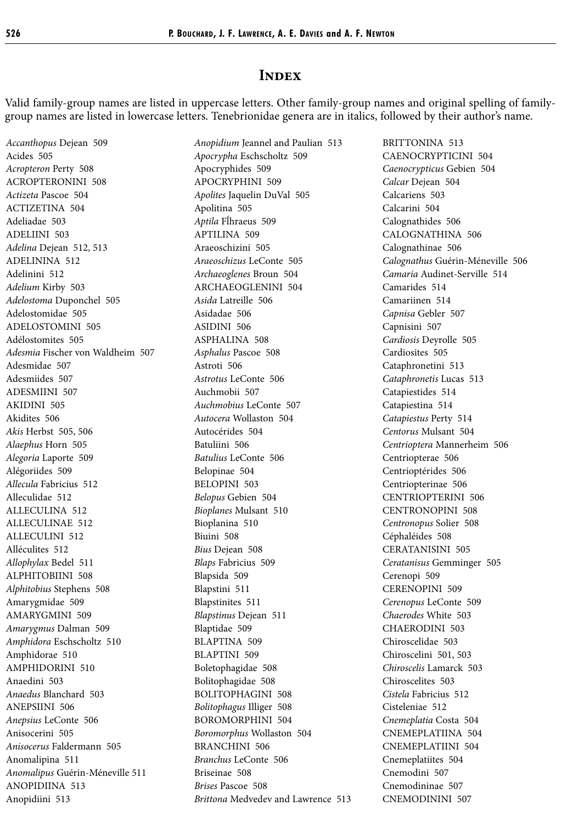#### **INDEX**

Valid family-group names are listed in uppercase letters. Other family-group names and original spelling of familygroup names are listed in lowercase letters. Tenebrionidae genera are in italics, followed by their author's name.

*Accanthopus* Dejean 509 Acides 505 *Acropteron* Perty 508 ACROPTERONINI 508 *Actizeta* Pascoe 504 ACTIZETINA 504 Adeliadae 503 ADELIINI 503 *Adelina* Dejean 512, 513 ADELININA 512 Adelinini 512 *Adelium* Kirby 503 *Adelostoma* Duponchel 505 Adelostomidae 505 ADELOSTOMINI 505 Adélostomites 505 *Adesmia* Fischer von Waldheim 507 Adesmidae 507 Adesmiides 507 ADESMIINI 507 AKIDINI 505 Akidites 506 *Akis* Herbst 505, 506 *Alaephus* Horn 505 *Alegoria* Laporte 509 Alégoriides 509 *Allecula* Fabricius 512 Alleculidae 512 ALLECULINA 512 ALLECULINAE 512 ALLECULINI 512 Alléculites 512 *Allophylax* Bedel 511 ALPHITOBIINI 508 *Alphitobius* Stephens 508 Amarygmidae 509 AMARYGMINI 509 *Amarygmus* Dalman 509 *Amphidora* Eschscholtz 510 Amphidorae 510 AMPHIDORINI 510 Anaedini 503 *Anaedus* Blanchard 503 ANEPSIINI 506 *Anepsius* LeConte 506 Anisocerini 505 *Anisocerus* Faldermann 505 Anomalipina 511 *Anomalipus* Guérin-Méneville 511 ANOPIDIINA 513 Anopidiini 513

*Anopidium* Jeannel and Paulian 513 *Apocrypha* Eschscholtz 509 Apocryphides 509 APOCRYPHINI 509 *Apolites* Jaquelin DuVal 505 Apolitina 505 *Aptila* Fĺhraeus 509 APTILINA 509 Araeoschizini 505 *Araeoschizus* LeConte 505 *Archaeoglenes* Broun 504 ARCHAEOGLENINI 504 *Asida* Latreille 506 Asidadae 506 ASIDINI 506 ASPHALINA 508 *Asphalus* Pascoe 508 Astroti 506 *Astrotus* LeConte 506 Auchmobii 507 *Auchmobius* LeConte 507 *Autocera* Wollaston 504 Autocérides 504 Batuliini 506 *Batulius* LeConte 506 Belopinae 504 BELOPINI 503 *Belopus* Gebien 504 *Bioplanes* Mulsant 510 Bioplanina 510 Biuini 508 *Bius* Dejean 508 *Blaps* Fabricius 509 Blapsida 509 Blapstini 511 Blapstinites 511 *Blapstinus* Dejean 511 Blaptidae 509 BLAPTINA 509 BLAPTINI 509 Boletophagidae 508 Bolitophagidae 508 BOLITOPHAGINI 508 *Bolitophagus* Illiger 508 BOROMORPHINI 504 *Boromorphus* Wollaston 504 BRANCHINI 506 *Branchus* LeConte 506 Briseinae 508 *Brises* Pascoe 508 *Brittona* Medvedev and Lawrence 513

BRITTONINA 513 CAENOCRYPTICINI 504 *Caenocrypticus* Gebien 504 *Calcar* Dejean 504 Calcariens 503 Calcarini 504 Calognathides 506 CALOGNATHINA 506 Calognathinae 506 *Calognathus* Guérin-Méneville 506 *Camaria* Audinet-Serville 514 Camarides 514 Camariinen 514 *Capnisa* Gebler 507 Capnisini 507 *Cardiosis* Deyrolle 505 Cardiosites 505 Cataphronetini 513 *Cataphronetis* Lucas 513 Catapiestides 514 Catapiestina 514 *Catapiestus* Perty 514 *Centorus* Mulsant 504 *Centrioptera* Mannerheim 506 Centriopterae 506 Centrioptérides 506 Centriopterinae 506 CENTRIOPTERINI 506 CENTRONOPINI 508 *Centronopus* Solier 508 Céphaléides 508 CERATANISINI 505 *Ceratanisus* Gemminger 505 Cerenopi 509 CERENOPINI 509 *Cerenopus* LeConte 509 *Chaerodes* White 503 CHAERODINI 503 Chiroscelidae 503 Chiroscelini 501, 503 *Chiroscelis* Lamarck 503 Chiroscelites 503 *Cistela* Fabricius 512 Cisteleniae 512 *Cnemeplatia* Costa 504 CNEMEPLATIINA 504 CNEMEPLATIINI 504 Cnemeplatiites 504 Cnemodini 507 Cnemodininae 507 CNEMODININI 507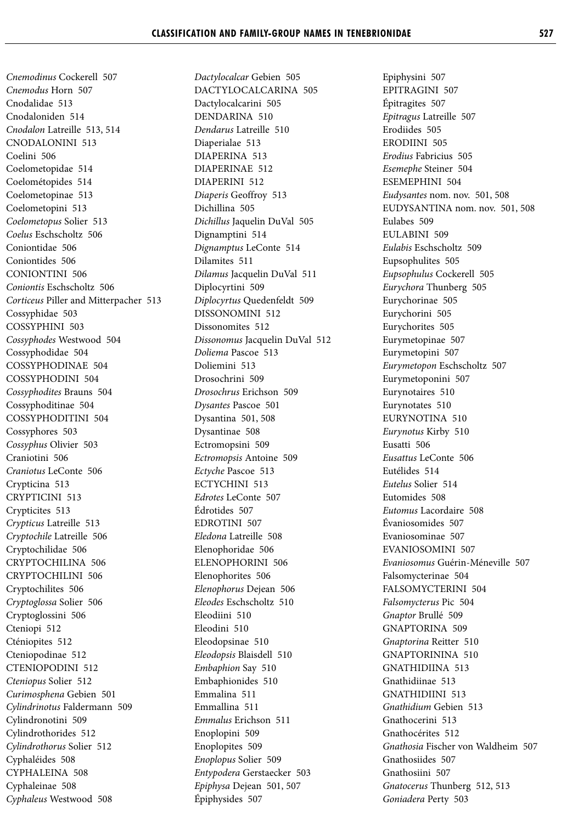*Cnemodinus* Cockerell 507 *Cnemodus* Horn 507 Cnodalidae 513 Cnodaloniden 514 *Cnodalon* Latreille 513, 514 CNODALONINI 513 Coelini 506 Coelometopidae 514 Coelométopides 514 Coelometopinae 513 Coelometopini 513 *Coelometopus* Solier 513 *Coelus* Eschscholtz 506 Coniontidae 506 Coniontides 506 CONIONTINI 506 *Coniontis* Eschscholtz 506 *Corticeus* Piller and Mitterpacher 513 Cossyphidae 503 COSSYPHINI 503 *Cossyphodes* Westwood 504 Cossyphodidae 504 COSSYPHODINAE 504 COSSYPHODINI 504 *Cossyphodites* Brauns 504 Cossyphoditinae 504 COSSYPHODITINI 504 Cossyphores 503 *Cossyphus* Olivier 503 Craniotini 506 *Craniotus* LeConte 506 Crypticina 513 CRYPTICINI 513 Crypticites 513 *Crypticus* Latreille 513 *Cryptochile* Latreille 506 Cryptochilidae 506 CRYPTOCHILINA 506 CRYPTOCHILINI 506 Cryptochilites 506 *Cryptoglossa* Solier 506 Cryptoglossini 506 Cteniopi 512 Cténiopites 512 Cteniopodinae 512 CTENIOPODINI 512 *Cteniopus* Solier 512 *Curimosphena* Gebien 501 *Cylindrinotus* Faldermann 509 Cylindronotini 509 Cylindrothorides 512 *Cylindrothorus* Solier 512 Cyphaléides 508 CYPHALEINA 508 Cyphaleinae 508 *Cyphaleus* Westwood 508

*Dactylocalcar* Gebien 505 DACTYLOCALCARINA 505 Dactylocalcarini 505 DENDARINA 510 *Dendarus* Latreille 510 Diaperialae 513 DIAPERINA 513 DIAPERINAE 512 DIAPERINI 512 *Diaperis* Geoffroy 513 Dichillina 505 *Dichillus* Jaquelin DuVal 505 Dignamptini 514 *Dignamptus* LeConte 514 Dilamites 511 *Dilamus* Jacquelin DuVal 511 Diplocyrtini 509 *Diplocyrtus* Quedenfeldt 509 DISSONOMINI 512 Dissonomites 512 *Dissonomus* Jacquelin DuVal 512 *Doliema* Pascoe 513 Doliemini 513 Drosochrini 509 *Drosochrus* Erichson 509 *Dysantes* Pascoe 501 Dysantina 501, 508 Dysantinae 508 Ectromopsini 509 *Ectromopsis* Antoine 509 *Ectyche* Pascoe 513 ECTYCHINI 513 *Edrotes* LeConte 507 Édrotides 507 EDROTINI 507 *Eledona* Latreille 508 Elenophoridae 506 ELENOPHORINI 506 Elenophorites 506 *Elenophorus* Dejean 506 *Eleodes* Eschscholtz 510 Eleodiini 510 Eleodini 510 Eleodopsinae 510 *Eleodopsis* Blaisdell 510 *Embaphion* Say 510 Embaphionides 510 Emmalina 511 Emmallina 511 *Emmalus* Erichson 511 Enoplopini 509 Enoplopites 509 *Enoplopus* Solier 509 *Entypodera* Gerstaecker 503 *Epiphysa* Dejean 501, 507 Épiphysides 507

Epiphysini 507 EPITRAGINI 507 Épitragites 507 *Epitragus* Latreille 507 Erodiides 505 ERODIINI 505 *Erodius* Fabricius 505 *Esemephe* Steiner 504 ESEMEPHINI 504 *Eudysantes* nom. nov. 501, 508 EUDYSANTINA nom. nov. 501, 508 Eulabes 509 EULABINI 509 *Eulabis* Eschscholtz 509 Eupsophulites 505 *Eupsophulus* Cockerell 505 *Eurychora* Thunberg 505 Eurychorinae 505 Eurychorini 505 Eurychorites 505 Eurymetopinae 507 Eurymetopini 507 *Eurymetopon* Eschscholtz 507 Eurymetoponini 507 Eurynotaires 510 Eurynotates 510 EURYNOTINA 510 *Eurynotus* Kirby 510 Eusatti 506 *Eusattus* LeConte 506 Eutélides 514 *Eutelus* Solier 514 Eutomides 508 *Eutomus* Lacordaire 508 Évaniosomides 507 Evaniosominae 507 EVANIOSOMINI 507 *Evaniosomus* Guérin-Méneville 507 Falsomycterinae 504 FALSOMYCTERINI 504 *Falsomycterus* Pic 504 *Gnaptor* Brullé 509 GNAPTORINA 509 *Gnaptorina* Reitter 510 GNAPTORININA 510 GNATHIDIINA 513 Gnathidiinae 513 GNATHIDIINI 513 *Gnathidium* Gebien 513 Gnathocerini 513 Gnathocérites 512 *Gnathosia* Fischer von Waldheim 507 Gnathosiides 507 Gnathosiini 507 *Gnatocerus* Thunberg 512, 513 *Goniadera* Perty 503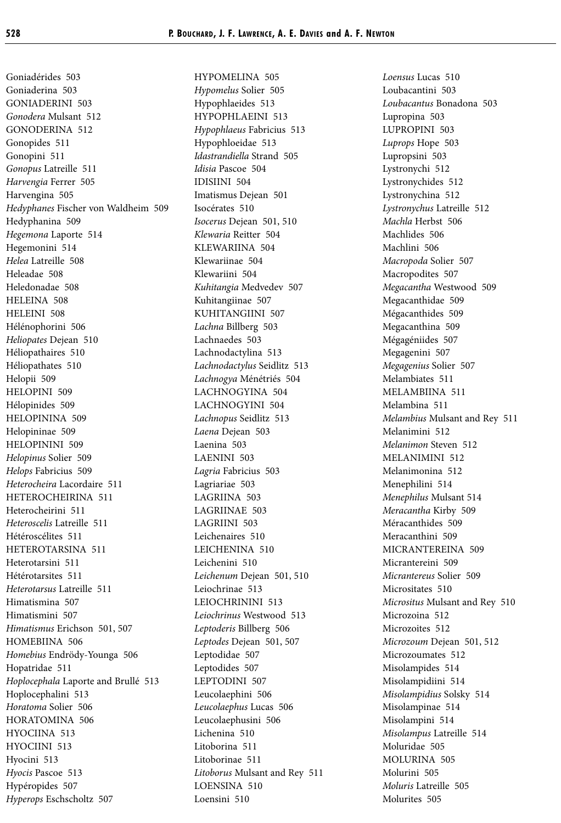Goniadérides 503 Goniaderina 503 GONIADERINI 503 *Gonodera* Mulsant 512 GONODERINA 512 Gonopides 511 Gonopini 511 *Gonopus* Latreille 511 *Harvengia* Ferrer 505 Harvengina 505 *Hedyphanes* Fischer von Waldheim 509 Hedyphanina 509 *Hegemona* Laporte 514 Hegemonini 514 *Helea* Latreille 508 Heleadae 508 Heledonadae 508 HELEINA 508 HELEINI 508 Hélénophorini 506 *Heliopates* Dejean 510 Héliopathaires 510 Héliopathates 510 Helopii 509 HELOPINI 509 Hélopinides 509 HELOPININA 509 Helopininae 509 HELOPININI 509 *Helopinus* Solier 509 *Helops* Fabricius 509 *Heterocheira* Lacordaire 511 HETEROCHEIRINA 511 Heterocheirini 511 *Heteroscelis* Latreille 511 Hétéroscélites 511 HETEROTARSINA 511 Heterotarsini 511 Hétérotarsites 511 *Heterotarsus* Latreille 511 Himatismina 507 Himatismini 507 *Himatismus* Erichson 501, 507 HOMEBIINA 506 *Homebius* Endrödy-Younga 506 Hopatridae 511 *Hoplocephala* Laporte and Brullé 513 Hoplocephalini 513 *Horatoma* Solier 506 HORATOMINA 506 HYOCIINA 513 HYOCIINI 513 Hyocini 513 *Hyocis* Pascoe 513 Hypéropides 507 *Hyperops* Eschscholtz 507

HYPOMELINA 505 *Hypomelus* Solier 505 Hypophlaeides 513 HYPOPHLAEINI 513 *Hypophlaeus* Fabricius 513 Hypophloeidae 513 *Idastrandiella* Strand 505 *Idisia* Pascoe 504 IDISIINI 504 Imatismus Dejean 501 Isocérates 510 *Isocerus* Dejean 501, 510 *Klewaria* Reitter 504 KLEWARIINA 504 Klewariinae 504 Klewariini 504 *Kuhitangia* Medvedev 507 Kuhitangiinae 507 KUHITANGIINI 507 *Lachna* Billberg 503 Lachnaedes 503 Lachnodactylina 513 *Lachnodactylus* Seidlitz 513 *Lachnogya* Ménétriés 504 LACHNOGYINA 504 LACHNOGYINI 504 *Lachnopus* Seidlitz 513 *Laena* Dejean 503 Laenina 503 LAENINI 503 *Lagria* Fabricius 503 Lagriariae 503 LAGRIINA 503 LAGRIINAE 503 LAGRIINI 503 Leichenaires 510 LEICHENINA 510 Leichenini 510 *Leichenum* Dejean 501, 510 Leiochrinae 513 LEIOCHRININI 513 *Leiochrinus* Westwood 513 *Leptoderis* Billberg 506 *Leptodes* Dejean 501, 507 Leptodidae 507 Leptodides 507 LEPTODINI 507 Leucolaephini 506 *Leucolaephus* Lucas 506 Leucolaephusini 506 Lichenina 510 Litoborina 511 Litoborinae 511 *Litoborus* Mulsant and Rey 511 LOENSINA 510 Loensini 510

*Loensus* Lucas 510 Loubacantini 503 *Loubacantus* Bonadona 503 Lupropina 503 LUPROPINI 503 *Luprops* Hope 503 Lupropsini 503 Lystronychi 512 Lystronychides 512 Lystronychina 512 *Lystronychus* Latreille 512 *Machla* Herbst 506 Machlides 506 Machlini 506 *Macropoda* Solier 507 Macropodites 507 *Megacantha* Westwood 509 Megacanthidae 509 Mégacanthides 509 Megacanthina 509 Mégagéniides 507 Megagenini 507 *Megagenius* Solier 507 Melambiates 511 MELAMBIINA 511 Melambina 511 *Melambius* Mulsant and Rey 511 Melanimini 512 *Melanimon* Steven 512 MELANIMINI 512 Melanimonina 512 Menephilini 514 *Menephilus* Mulsant 514 *Meracantha* Kirby 509 Méracanthides 509 Meracanthini 509 MICRANTEREINA 509 Micrantereini 509 *Micrantereus* Solier 509 Micrositates 510 *Micrositus* Mulsant and Rey 510 Microzoina 512 Microzoites 512 *Microzoum* Dejean 501, 512 Microzoumates 512 Misolampides 514 Misolampidiini 514 *Misolampidius* Solsky 514 Misolampinae 514 Misolampini 514 *Misolampus* Latreille 514 Moluridae 505 MOLURINA 505 Molurini 505 *Moluris* Latreille 505 Molurites 505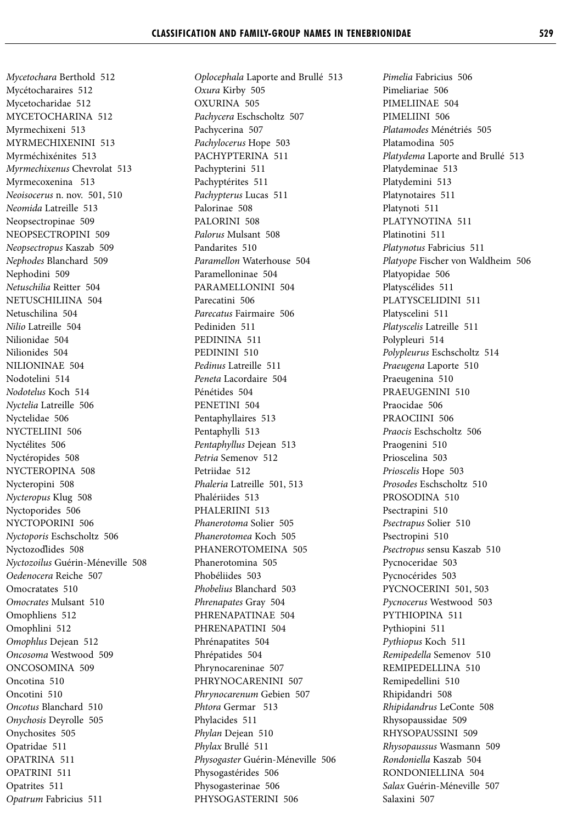*Mycetochara* Berthold 512 Mycétocharaires 512 Mycetocharidae 512 MYCETOCHARINA 512 Myrmechixeni 513 MYRMECHIXENINI 513 Myrméchixénites 513 *Myrmechixenus* Chevrolat 513 Myrmecoxenina 513 *Neoisocerus* n. nov. 501, 510 *Neomida* Latreille 513 Neopsectropinae 509 NEOPSECTROPINI 509 *Neopsectropus* Kaszab 509 *Nephodes* Blanchard 509 Nephodini 509 *Netuschilia* Reitter 504 NETUSCHILIINA 504 Netuschilina 504 *Nilio* Latreille 504 Nilionidae 504 Nilionides 504 NILIONINAE 504 Nodotelini 514 *Nodotelus* Koch 514 *Nyctelia* Latreille 506 Nyctelidae 506 NYCTELIINI 506 Nyctélites 506 Nyctéropides 508 NYCTEROPINA 508 Nycteropini 508 *Nycteropus* Klug 508 Nyctoporides 506 NYCTOPORINI 506 *Nyctoporis* Eschscholtz 506 Nyctozoďlides 508 *Nyctozoilus* Guérin-Méneville 508 *Oedenocera* Reiche 507 Omocratates 510 *Omocrates* Mulsant 510 Omophliens 512 Omophlini 512 *Omophlus* Dejean 512 *Oncosoma* Westwood 509 ONCOSOMINA 509 Oncotina 510 Oncotini 510 *Oncotus* Blanchard 510 *Onychosis* Deyrolle 505 Onychosites 505 Opatridae 511 OPATRINA 511 OPATRINI 511 Opatrites 511 *Opatrum* Fabricius 511

*Oplocephala* Laporte and Brullé 513 *Oxura* Kirby 505 OXURINA 505 *Pachycera* Eschscholtz 507 Pachycerina 507 *Pachylocerus* Hope 503 PACHYPTERINA 511 Pachypterini 511 Pachyptérites 511 *Pachypterus* Lucas 511 Palorinae 508 PALORINI 508 *Palorus* Mulsant 508 Pandarites 510 *Paramellon* Waterhouse 504 Paramelloninae 504 PARAMELLONINI 504 Parecatini 506 *Parecatus* Fairmaire 506 Pediniden 511 PEDININA 511 PEDININI 510 *Pedinus* Latreille 511 *Peneta* Lacordaire 504 Pénétides 504 PENETINI 504 Pentaphyllaires 513 Pentaphylli 513 *Pentaphyllus* Dejean 513 *Petria* Semenov 512 Petriidae 512 *Phaleria* Latreille 501, 513 Phalériides 513 PHALERIINI 513 *Phanerotoma* Solier 505 *Phanerotomea* Koch 505 PHANEROTOMEINA 505 Phanerotomina 505 Phobéliides 503 *Phobelius* Blanchard 503 *Phrenapates* Gray 504 PHRENAPATINAE 504 PHRENAPATINI 504 Phrénapatites 504 Phrépatides 504 Phrynocareninae 507 PHRYNOCARENINI 507 *Phrynocarenum* Gebien 507 *Phtora* Germar 513 Phylacides 511 *Phylan* Dejean 510 *Phylax* Brullé 511 *Physogaster* Guérin-Méneville 506 Physogastérides 506 Physogasterinae 506 PHYSOGASTERINI 506

*Pimelia* Fabricius 506 Pimeliariae 506 PIMELIINAE 504 PIMELIINI 506 *Platamodes* Ménétriés 505 Platamodina 505 *Platydema* Laporte and Brullé 513 Platydeminae 513 Platydemini 513 Platynotaires 511 Platynoti 511 PLATYNOTINA 511 Platinotini 511 *Platynotus* Fabricius 511 *Platyope* Fischer von Waldheim 506 Platyopidae 506 Platyscélides 511 PLATYSCELIDINI 511 Platyscelini 511 *Platyscelis* Latreille 511 Polypleuri 514 *Polypleurus* Eschscholtz 514 *Praeugena* Laporte 510 Praeugenina 510 PRAEUGENINI 510 Praocidae 506 PRAOCIINI 506 *Praocis* Eschscholtz 506 Praogenini 510 Prioscelina 503 *Prioscelis* Hope 503 *Prosodes* Eschscholtz 510 PROSODINA 510 Psectrapini 510 *Psectrapus* Solier 510 Psectropini 510 *Psectropus* sensu Kaszab 510 Pycnoceridae 503 Pycnocérides 503 PYCNOCERINI 501, 503 *Pycnocerus* Westwood 503 PYTHIOPINA 511 Pythiopini 511 *Pythiopus* Koch 511 *Remipedella* Semenov 510 REMIPEDELLINA 510 Remipedellini 510 Rhipidandri 508 *Rhipidandrus* LeConte 508 Rhysopaussidae 509 RHYSOPAUSSINI 509 *Rhysopaussus* Wasmann 509 *Rondoniella* Kaszab 504 RONDONIELLINA 504 *Salax* Guérin-Méneville 507 Salaxini 507